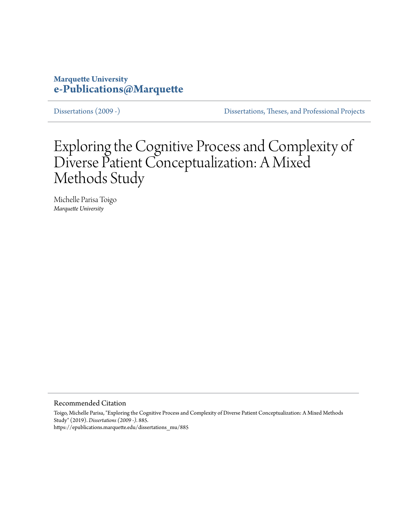# **Marquette University [e-Publications@Marquette](https://epublications.marquette.edu)**

[Dissertations \(2009 -\)](https://epublications.marquette.edu/dissertations_mu) [Dissertations, Theses, and Professional Projects](https://epublications.marquette.edu/diss_theses)

# Exploring the Cognitive Process and Complexity of Diverse Patient Conceptualization: A Mixed Methods Study

Michelle Parisa Toigo *Marquette University*

Recommended Citation

Toigo, Michelle Parisa, "Exploring the Cognitive Process and Complexity of Diverse Patient Conceptualization: A Mixed Methods Study" (2019). *Dissertations (2009 -)*. 885. https://epublications.marquette.edu/dissertations\_mu/885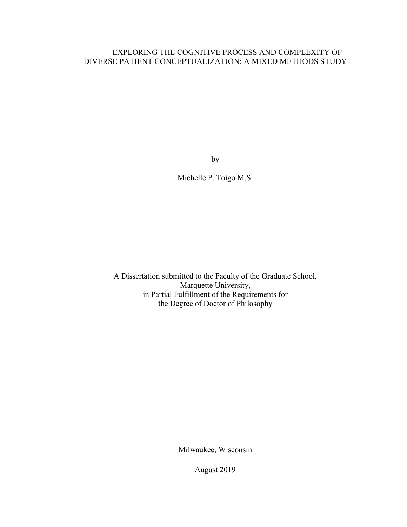## EXPLORING THE COGNITIVE PROCESS AND COMPLEXITY OF DIVERSE PATIENT CONCEPTUALIZATION: A MIXED METHODS STUDY

by

Michelle P. Toigo M.S.

A Dissertation submitted to the Faculty of the Graduate School, Marquette University, in Partial Fulfillment of the Requirements for the Degree of Doctor of Philosophy

Milwaukee, Wisconsin

August 2019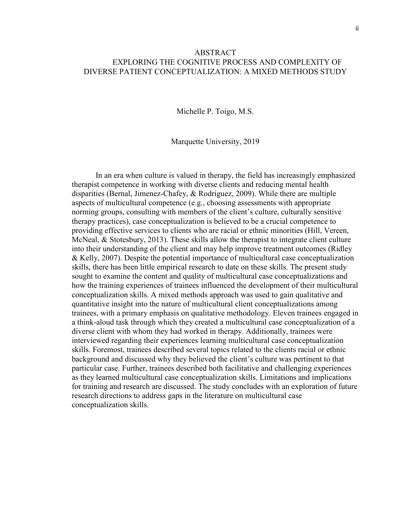## ABSTRACT EXPLORING THE COGNITIVE PROCESS AND COMPLEXITY OF DIVERSE PATIENT CONCEPTUALIZATION: A MIXED METHODS STUDY

Michelle P. Toigo, M.S.

Marquette University, 2019

In an era when culture is valued in therapy, the field has increasingly emphasized therapist competence in working with diverse clients and reducing mental health disparities (Bernal, Jimenez-Chafey, & Rodriguez, 2009). While there are multiple aspects of multicultural competence (e.g., choosing assessments with appropriate norming groups, consulting with members of the client's culture, culturally sensitive therapy practices), case conceptualization is believed to be a crucial competence to providing effective services to clients who are racial or ethnic minorities (Hill, Vereen, McNeal, & Stotesbury, 2013). These skills allow the therapist to integrate client culture into their understanding of the client and may help improve treatment outcomes (Ridley & Kelly, 2007). Despite the potential importance of multicultural case conceptualization skills, there has been little empirical research to date on these skills. The present study sought to examine the content and quality of multicultural case conceptualizations and how the training experiences of trainees influenced the development of their multicultural conceptualization skills. A mixed methods approach was used to gain qualitative and quantitative insight into the nature of multicultural client conceptualizations among trainees, with a primary emphasis on qualitative methodology. Eleven trainees engaged in a think-aloud task through which they created a multicultural case conceptualization of a diverse client with whom they had worked in therapy. Additionally, trainees were interviewed regarding their experiences learning multicultural case conceptualization skills. Foremost, trainees described several topics related to the clients racial or ethnic background and discussed why they believed the client's culture was pertinent to that particular case. Further, trainees described both facilitative and challenging experiences as they learned multicultural case conceptualization skills. Limitations and implications for training and research are discussed. The study concludes with an exploration of future research directions to address gaps in the literature on multicultural case conceptualization skills.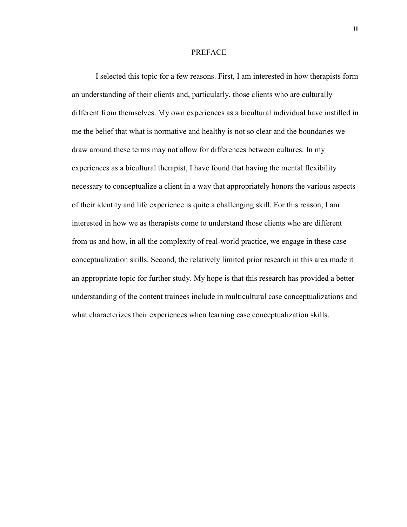#### PREFACE

I selected this topic for a few reasons. First, I am interested in how therapists form an understanding of their clients and, particularly, those clients who are culturally different from themselves. My own experiences as a bicultural individual have instilled in me the belief that what is normative and healthy is not so clear and the boundaries we draw around these terms may not allow for differences between cultures. In my experiences as a bicultural therapist, I have found that having the mental flexibility necessary to conceptualize a client in a way that appropriately honors the various aspects of their identity and life experience is quite a challenging skill. For this reason, I am interested in how we as therapists come to understand those clients who are different from us and how, in all the complexity of real-world practice, we engage in these case conceptualization skills. Second, the relatively limited prior research in this area made it an appropriate topic for further study. My hope is that this research has provided a better understanding of the content trainees include in multicultural case conceptualizations and what characterizes their experiences when learning case conceptualization skills.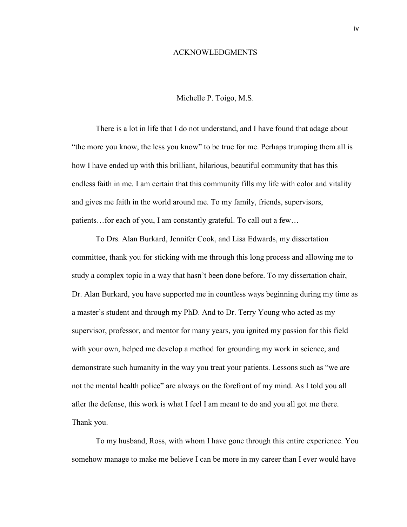#### ACKNOWLEDGMENTS

#### Michelle P. Toigo, M.S.

There is a lot in life that I do not understand, and I have found that adage about "the more you know, the less you know" to be true for me. Perhaps trumping them all is how I have ended up with this brilliant, hilarious, beautiful community that has this endless faith in me. I am certain that this community fills my life with color and vitality and gives me faith in the world around me. To my family, friends, supervisors, patients…for each of you, I am constantly grateful. To call out a few…

To Drs. Alan Burkard, Jennifer Cook, and Lisa Edwards, my dissertation committee, thank you for sticking with me through this long process and allowing me to study a complex topic in a way that hasn't been done before. To my dissertation chair, Dr. Alan Burkard, you have supported me in countless ways beginning during my time as a master's student and through my PhD. And to Dr. Terry Young who acted as my supervisor, professor, and mentor for many years, you ignited my passion for this field with your own, helped me develop a method for grounding my work in science, and demonstrate such humanity in the way you treat your patients. Lessons such as "we are not the mental health police" are always on the forefront of my mind. As I told you all after the defense, this work is what I feel I am meant to do and you all got me there. Thank you.

To my husband, Ross, with whom I have gone through this entire experience. You somehow manage to make me believe I can be more in my career than I ever would have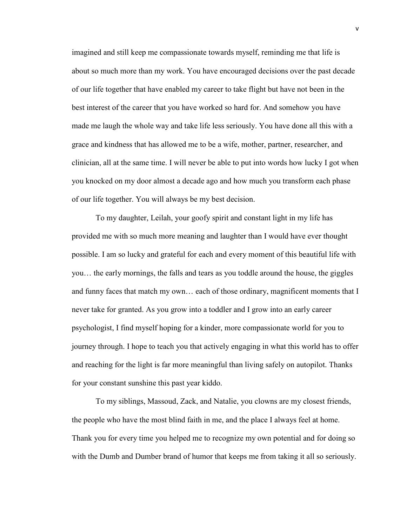imagined and still keep me compassionate towards myself, reminding me that life is about so much more than my work. You have encouraged decisions over the past decade of our life together that have enabled my career to take flight but have not been in the best interest of the career that you have worked so hard for. And somehow you have made me laugh the whole way and take life less seriously. You have done all this with a grace and kindness that has allowed me to be a wife, mother, partner, researcher, and clinician, all at the same time. I will never be able to put into words how lucky I got when you knocked on my door almost a decade ago and how much you transform each phase of our life together. You will always be my best decision.

To my daughter, Leilah, your goofy spirit and constant light in my life has provided me with so much more meaning and laughter than I would have ever thought possible. I am so lucky and grateful for each and every moment of this beautiful life with you… the early mornings, the falls and tears as you toddle around the house, the giggles and funny faces that match my own… each of those ordinary, magnificent moments that I never take for granted. As you grow into a toddler and I grow into an early career psychologist, I find myself hoping for a kinder, more compassionate world for you to journey through. I hope to teach you that actively engaging in what this world has to offer and reaching for the light is far more meaningful than living safely on autopilot. Thanks for your constant sunshine this past year kiddo.

To my siblings, Massoud, Zack, and Natalie, you clowns are my closest friends, the people who have the most blind faith in me, and the place I always feel at home. Thank you for every time you helped me to recognize my own potential and for doing so with the Dumb and Dumber brand of humor that keeps me from taking it all so seriously.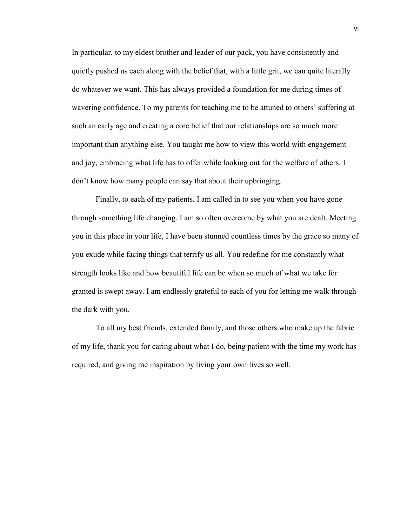In particular, to my eldest brother and leader of our pack, you have consistently and quietly pushed us each along with the belief that, with a little grit, we can quite literally do whatever we want. This has always provided a foundation for me during times of wavering confidence. To my parents for teaching me to be attuned to others' suffering at such an early age and creating a core belief that our relationships are so much more important than anything else. You taught me how to view this world with engagement and joy, embracing what life has to offer while looking out for the welfare of others. I don't know how many people can say that about their upbringing.

Finally, to each of my patients. I am called in to see you when you have gone through something life changing. I am so often overcome by what you are dealt. Meeting you in this place in your life, I have been stunned countless times by the grace so many of you exude while facing things that terrify us all. You redefine for me constantly what strength looks like and how beautiful life can be when so much of what we take for granted is swept away. I am endlessly grateful to each of you for letting me walk through the dark with you.

To all my best friends, extended family, and those others who make up the fabric of my life, thank you for caring about what I do, being patient with the time my work has required, and giving me inspiration by living your own lives so well.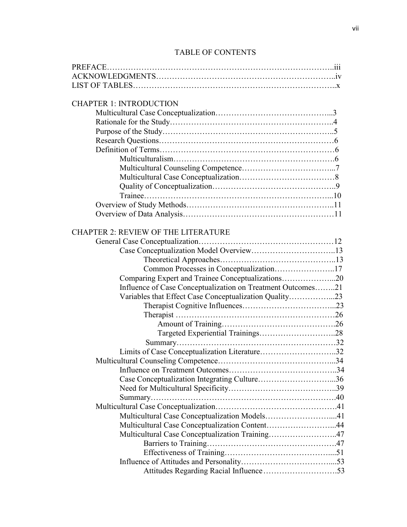# TABLE OF CONTENTS

| <b>CHAPTER 1: INTRODUCTION</b>                              |  |
|-------------------------------------------------------------|--|
|                                                             |  |
|                                                             |  |
|                                                             |  |
|                                                             |  |
|                                                             |  |
|                                                             |  |
|                                                             |  |
|                                                             |  |
|                                                             |  |
|                                                             |  |
|                                                             |  |
|                                                             |  |
|                                                             |  |
| <b>CHAPTER 2: REVIEW OF THE LITERATURE</b>                  |  |
|                                                             |  |
|                                                             |  |
|                                                             |  |
| Common Processes in Conceptualization17                     |  |
| Comparing Expert and Trainee Conceptualizations20           |  |
| Influence of Case Conceptualization on Treatment Outcomes21 |  |
| Variables that Effect Case Conceptualization Quality23      |  |
|                                                             |  |
|                                                             |  |
|                                                             |  |
|                                                             |  |
|                                                             |  |
| Limits of Case Conceptualization Literature32               |  |
| Multicultural Counseling Competence                         |  |
|                                                             |  |
|                                                             |  |
|                                                             |  |
|                                                             |  |
|                                                             |  |
| Multicultural Case Conceptualization Models41               |  |
| Multicultural Case Conceptualization Content44              |  |
| Multicultural Case Conceptualization Training47             |  |
|                                                             |  |
|                                                             |  |
|                                                             |  |
|                                                             |  |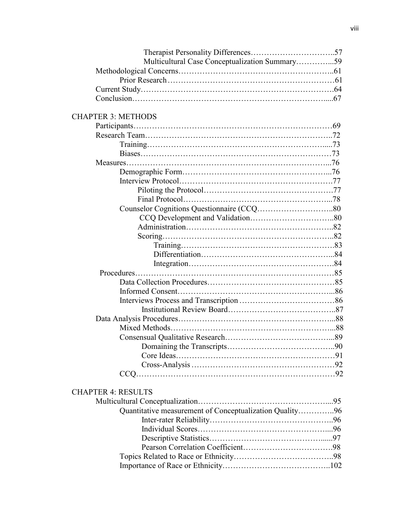| Multicultural Case Conceptualization Summary59 |  |
|------------------------------------------------|--|
|                                                |  |
|                                                |  |
|                                                |  |
|                                                |  |

# CHAPTER 3: METHODS

## CHAPTER 4: RESULTS

| Quantitative measurement of Conceptualization Quality96 |  |
|---------------------------------------------------------|--|
|                                                         |  |
|                                                         |  |
|                                                         |  |
|                                                         |  |
|                                                         |  |
|                                                         |  |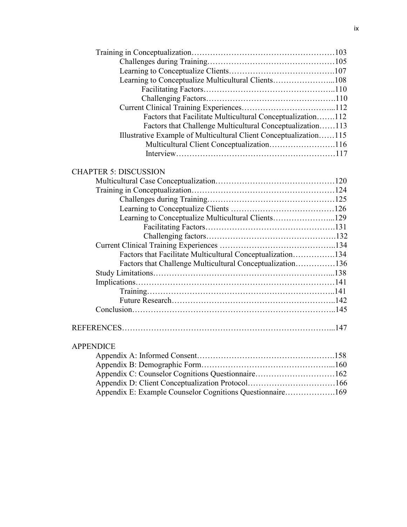| Learning to Conceptualize Multicultural Clients108                |  |
|-------------------------------------------------------------------|--|
|                                                                   |  |
|                                                                   |  |
|                                                                   |  |
| Factors that Facilitate Multicultural Conceptualization112        |  |
| Factors that Challenge Multicultural Conceptualization113         |  |
| Illustrative Example of Multicultural Client Conceptualization115 |  |
| Multicultural Client Conceptualization116                         |  |
|                                                                   |  |
|                                                                   |  |
| <b>CHAPTER 5: DISCUSSION</b>                                      |  |
|                                                                   |  |
|                                                                   |  |
|                                                                   |  |
|                                                                   |  |
| Learning to Conceptualize Multicultural Clients129                |  |
|                                                                   |  |
|                                                                   |  |
|                                                                   |  |
| Factors that Facilitate Multicultural Conceptualization134        |  |
| Factors that Challenge Multicultural Conceptualization136         |  |
|                                                                   |  |
|                                                                   |  |
|                                                                   |  |
|                                                                   |  |
|                                                                   |  |
|                                                                   |  |
|                                                                   |  |
|                                                                   |  |
| <b>APPENDICE</b>                                                  |  |

| Appendix E: Example Counselor Cognitions Questionnaire169 |  |
|-----------------------------------------------------------|--|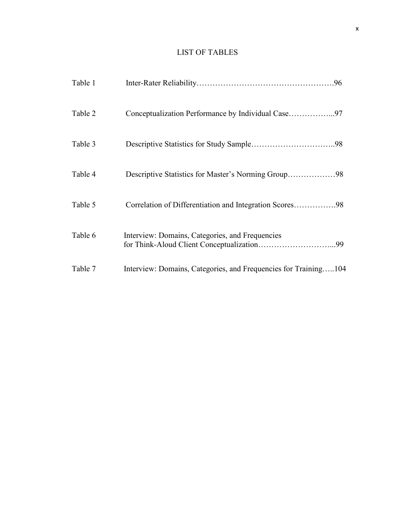# LIST OF TABLES

| Table 1 |                                                                 |
|---------|-----------------------------------------------------------------|
| Table 2 |                                                                 |
| Table 3 |                                                                 |
| Table 4 |                                                                 |
| Table 5 | Correlation of Differentiation and Integration Scores98         |
| Table 6 | Interview: Domains, Categories, and Frequencies                 |
| Table 7 | Interview: Domains, Categories, and Frequencies for Training104 |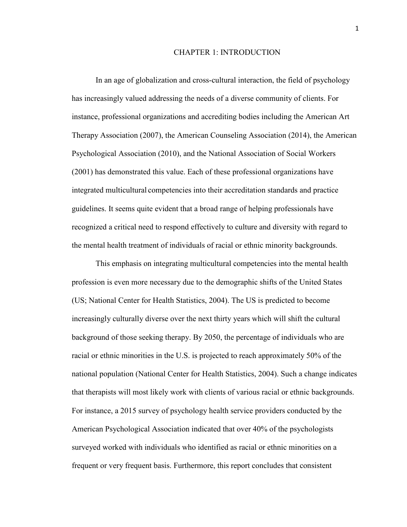## CHAPTER 1: INTRODUCTION

In an age of globalization and cross-cultural interaction, the field of psychology has increasingly valued addressing the needs of a diverse community of clients. For instance, professional organizations and accrediting bodies including the American Art Therapy Association (2007), the American Counseling Association (2014), the American Psychological Association (2010), and the National Association of Social Workers (2001) has demonstrated this value. Each of these professional organizations have integrated multicultural competencies into their accreditation standards and practice guidelines. It seems quite evident that a broad range of helping professionals have recognized a critical need to respond effectively to culture and diversity with regard to the mental health treatment of individuals of racial or ethnic minority backgrounds.

This emphasis on integrating multicultural competencies into the mental health profession is even more necessary due to the demographic shifts of the United States (US; National Center for Health Statistics, 2004). The US is predicted to become increasingly culturally diverse over the next thirty years which will shift the cultural background of those seeking therapy. By 2050, the percentage of individuals who are racial or ethnic minorities in the U.S. is projected to reach approximately 50% of the national population (National Center for Health Statistics, 2004). Such a change indicates that therapists will most likely work with clients of various racial or ethnic backgrounds. For instance, a 2015 survey of psychology health service providers conducted by the American Psychological Association indicated that over 40% of the psychologists surveyed worked with individuals who identified as racial or ethnic minorities on a frequent or very frequent basis. Furthermore, this report concludes that consistent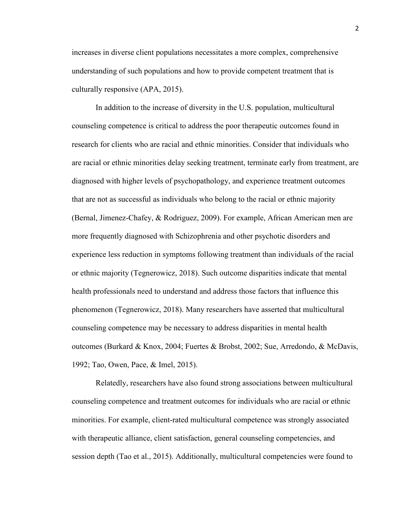increases in diverse client populations necessitates a more complex, comprehensive understanding of such populations and how to provide competent treatment that is culturally responsive (APA, 2015).

In addition to the increase of diversity in the U.S. population, multicultural counseling competence is critical to address the poor therapeutic outcomes found in research for clients who are racial and ethnic minorities. Consider that individuals who are racial or ethnic minorities delay seeking treatment, terminate early from treatment, are diagnosed with higher levels of psychopathology, and experience treatment outcomes that are not as successful as individuals who belong to the racial or ethnic majority (Bernal, Jimenez-Chafey, & Rodriguez, 2009). For example, African American men are more frequently diagnosed with Schizophrenia and other psychotic disorders and experience less reduction in symptoms following treatment than individuals of the racial or ethnic majority (Tegnerowicz, 2018). Such outcome disparities indicate that mental health professionals need to understand and address those factors that influence this phenomenon (Tegnerowicz, 2018). Many researchers have asserted that multicultural counseling competence may be necessary to address disparities in mental health outcomes (Burkard & Knox, 2004; Fuertes & Brobst, 2002; Sue, Arredondo, & McDavis, 1992; Tao, Owen, Pace, & Imel, 2015).

Relatedly, researchers have also found strong associations between multicultural counseling competence and treatment outcomes for individuals who are racial or ethnic minorities. For example, client-rated multicultural competence was strongly associated with therapeutic alliance, client satisfaction, general counseling competencies, and session depth (Tao et al., 2015). Additionally, multicultural competencies were found to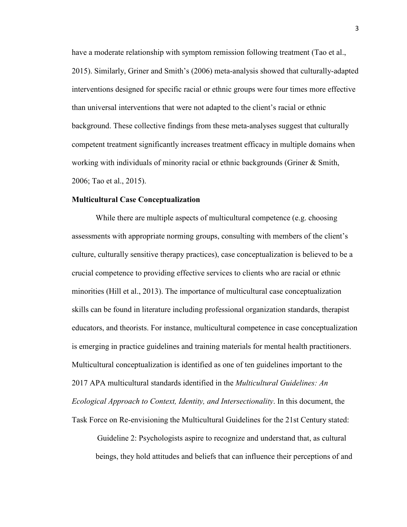have a moderate relationship with symptom remission following treatment (Tao et al., 2015). Similarly, Griner and Smith's (2006) meta-analysis showed that culturally-adapted interventions designed for specific racial or ethnic groups were four times more effective than universal interventions that were not adapted to the client's racial or ethnic background. These collective findings from these meta-analyses suggest that culturally competent treatment significantly increases treatment efficacy in multiple domains when working with individuals of minority racial or ethnic backgrounds (Griner & Smith, 2006; Tao et al., 2015).

#### **Multicultural Case Conceptualization**

While there are multiple aspects of multicultural competence (e.g. choosing assessments with appropriate norming groups, consulting with members of the client's culture, culturally sensitive therapy practices), case conceptualization is believed to be a crucial competence to providing effective services to clients who are racial or ethnic minorities (Hill et al., 2013). The importance of multicultural case conceptualization skills can be found in literature including professional organization standards, therapist educators, and theorists. For instance, multicultural competence in case conceptualization is emerging in practice guidelines and training materials for mental health practitioners. Multicultural conceptualization is identified as one of ten guidelines important to the 2017 APA multicultural standards identified in the *Multicultural Guidelines: An Ecological Approach to Context, Identity, and Intersectionality*. In this document, the Task Force on Re-envisioning the Multicultural Guidelines for the 21st Century stated:

Guideline 2: Psychologists aspire to recognize and understand that, as cultural beings, they hold attitudes and beliefs that can influence their perceptions of and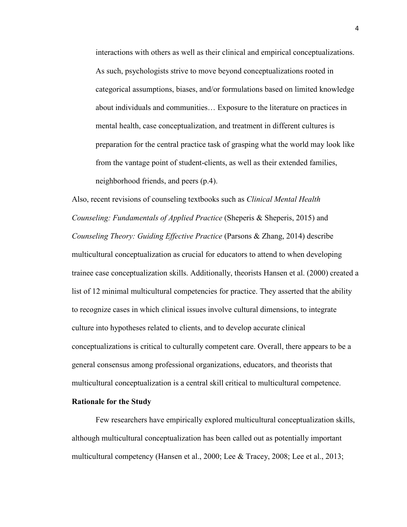interactions with others as well as their clinical and empirical conceptualizations. As such, psychologists strive to move beyond conceptualizations rooted in categorical assumptions, biases, and/or formulations based on limited knowledge about individuals and communities… Exposure to the literature on practices in mental health, case conceptualization, and treatment in different cultures is preparation for the central practice task of grasping what the world may look like from the vantage point of student-clients, as well as their extended families, neighborhood friends, and peers (p.4).

Also, recent revisions of counseling textbooks such as *Clinical Mental Health Counseling: Fundamentals of Applied Practice* (Sheperis & Sheperis, 2015) and *Counseling Theory: Guiding Effective Practice* (Parsons & Zhang, 2014) describe multicultural conceptualization as crucial for educators to attend to when developing trainee case conceptualization skills. Additionally, theorists Hansen et al. (2000) created a list of 12 minimal multicultural competencies for practice. They asserted that the ability to recognize cases in which clinical issues involve cultural dimensions, to integrate culture into hypotheses related to clients, and to develop accurate clinical conceptualizations is critical to culturally competent care. Overall, there appears to be a general consensus among professional organizations, educators, and theorists that multicultural conceptualization is a central skill critical to multicultural competence.

## **Rationale for the Study**

Few researchers have empirically explored multicultural conceptualization skills, although multicultural conceptualization has been called out as potentially important multicultural competency (Hansen et al., 2000; Lee & Tracey, 2008; Lee et al., 2013;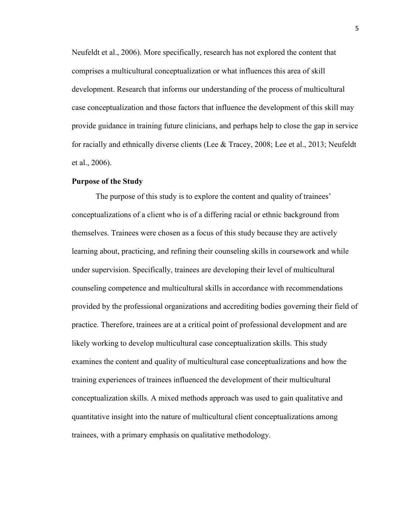Neufeldt et al., 2006). More specifically, research has not explored the content that comprises a multicultural conceptualization or what influences this area of skill development. Research that informs our understanding of the process of multicultural case conceptualization and those factors that influence the development of this skill may provide guidance in training future clinicians, and perhaps help to close the gap in service for racially and ethnically diverse clients (Lee & Tracey, 2008; Lee et al., 2013; Neufeldt et al., 2006).

#### **Purpose of the Study**

The purpose of this study is to explore the content and quality of trainees' conceptualizations of a client who is of a differing racial or ethnic background from themselves. Trainees were chosen as a focus of this study because they are actively learning about, practicing, and refining their counseling skills in coursework and while under supervision. Specifically, trainees are developing their level of multicultural counseling competence and multicultural skills in accordance with recommendations provided by the professional organizations and accrediting bodies governing their field of practice. Therefore, trainees are at a critical point of professional development and are likely working to develop multicultural case conceptualization skills. This study examines the content and quality of multicultural case conceptualizations and how the training experiences of trainees influenced the development of their multicultural conceptualization skills. A mixed methods approach was used to gain qualitative and quantitative insight into the nature of multicultural client conceptualizations among trainees, with a primary emphasis on qualitative methodology.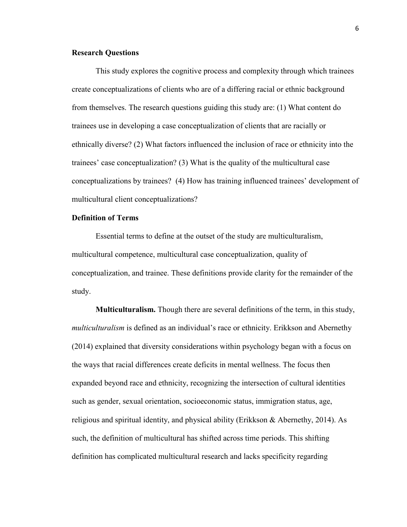## **Research Questions**

This study explores the cognitive process and complexity through which trainees create conceptualizations of clients who are of a differing racial or ethnic background from themselves. The research questions guiding this study are: (1) What content do trainees use in developing a case conceptualization of clients that are racially or ethnically diverse? (2) What factors influenced the inclusion of race or ethnicity into the trainees' case conceptualization? (3) What is the quality of the multicultural case conceptualizations by trainees? (4) How has training influenced trainees' development of multicultural client conceptualizations?

## **Definition of Terms**

 Essential terms to define at the outset of the study are multiculturalism, multicultural competence, multicultural case conceptualization, quality of conceptualization, and trainee. These definitions provide clarity for the remainder of the study.

 **Multiculturalism.** Though there are several definitions of the term, in this study, *multiculturalism* is defined as an individual's race or ethnicity. Erikkson and Abernethy (2014) explained that diversity considerations within psychology began with a focus on the ways that racial differences create deficits in mental wellness. The focus then expanded beyond race and ethnicity, recognizing the intersection of cultural identities such as gender, sexual orientation, socioeconomic status, immigration status, age, religious and spiritual identity, and physical ability (Erikkson & Abernethy, 2014). As such, the definition of multicultural has shifted across time periods. This shifting definition has complicated multicultural research and lacks specificity regarding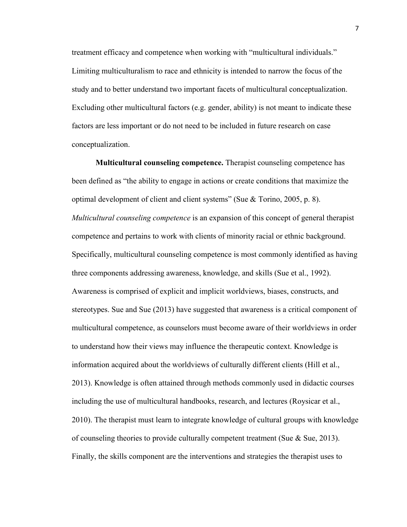treatment efficacy and competence when working with "multicultural individuals." Limiting multiculturalism to race and ethnicity is intended to narrow the focus of the study and to better understand two important facets of multicultural conceptualization. Excluding other multicultural factors (e.g. gender, ability) is not meant to indicate these factors are less important or do not need to be included in future research on case conceptualization.

**Multicultural counseling competence.** Therapist counseling competence has been defined as "the ability to engage in actions or create conditions that maximize the optimal development of client and client systems" (Sue  $\&$  Torino, 2005, p. 8). *Multicultural counseling competence* is an expansion of this concept of general therapist competence and pertains to work with clients of minority racial or ethnic background. Specifically, multicultural counseling competence is most commonly identified as having three components addressing awareness, knowledge, and skills (Sue et al., 1992). Awareness is comprised of explicit and implicit worldviews, biases, constructs, and stereotypes. Sue and Sue (2013) have suggested that awareness is a critical component of multicultural competence, as counselors must become aware of their worldviews in order to understand how their views may influence the therapeutic context. Knowledge is information acquired about the worldviews of culturally different clients (Hill et al., 2013). Knowledge is often attained through methods commonly used in didactic courses including the use of multicultural handbooks, research, and lectures (Roysicar et al., 2010). The therapist must learn to integrate knowledge of cultural groups with knowledge of counseling theories to provide culturally competent treatment (Sue  $\&$  Sue, 2013). Finally, the skills component are the interventions and strategies the therapist uses to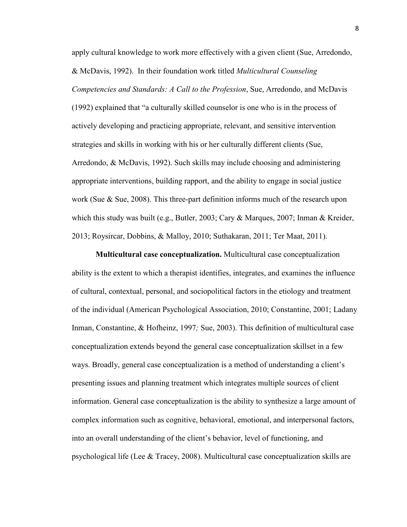apply cultural knowledge to work more effectively with a given client (Sue, Arredondo, & McDavis, 1992). In their foundation work titled *Multicultural Counseling Competencies and Standards: A Call to the Profession*, Sue, Arredondo, and McDavis (1992) explained that "a culturally skilled counselor is one who is in the process of actively developing and practicing appropriate, relevant, and sensitive intervention strategies and skills in working with his or her culturally different clients (Sue, Arredondo, & McDavis, 1992). Such skills may include choosing and administering appropriate interventions, building rapport, and the ability to engage in social justice work (Sue & Sue, 2008). This three-part definition informs much of the research upon which this study was built (e.g., Butler, 2003; Cary & Marques, 2007; Inman & Kreider, 2013; Roysircar, Dobbins, & Malloy, 2010; Suthakaran, 2011; Ter Maat, 2011).

**Multicultural case conceptualization.** Multicultural case conceptualization ability is the extent to which a therapist identifies, integrates, and examines the influence of cultural, contextual, personal, and sociopolitical factors in the etiology and treatment of the individual (American Psychological Association, 2010; Constantine, 2001; Ladany Inman, Constantine, & Hofheinz, 1997*;* Sue, 2003). This definition of multicultural case conceptualization extends beyond the general case conceptualization skillset in a few ways. Broadly, general case conceptualization is a method of understanding a client's presenting issues and planning treatment which integrates multiple sources of client information. General case conceptualization is the ability to synthesize a large amount of complex information such as cognitive, behavioral, emotional, and interpersonal factors, into an overall understanding of the client's behavior, level of functioning, and psychological life (Lee & Tracey, 2008). Multicultural case conceptualization skills are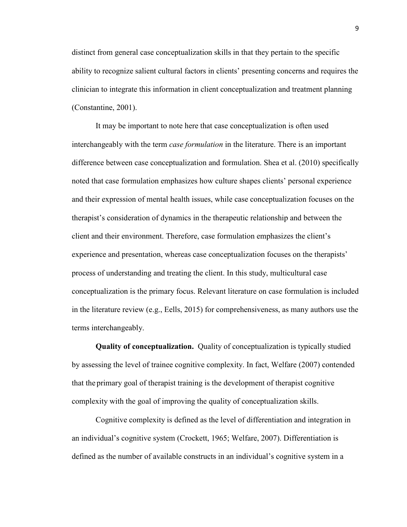distinct from general case conceptualization skills in that they pertain to the specific ability to recognize salient cultural factors in clients' presenting concerns and requires the clinician to integrate this information in client conceptualization and treatment planning (Constantine, 2001).

It may be important to note here that case conceptualization is often used interchangeably with the term *case formulation* in the literature. There is an important difference between case conceptualization and formulation. Shea et al. (2010) specifically noted that case formulation emphasizes how culture shapes clients' personal experience and their expression of mental health issues, while case conceptualization focuses on the therapist's consideration of dynamics in the therapeutic relationship and between the client and their environment. Therefore, case formulation emphasizes the client's experience and presentation, whereas case conceptualization focuses on the therapists' process of understanding and treating the client. In this study, multicultural case conceptualization is the primary focus. Relevant literature on case formulation is included in the literature review (e.g., Eells, 2015) for comprehensiveness, as many authors use the terms interchangeably.

**Quality of conceptualization.** Quality of conceptualization is typically studied by assessing the level of trainee cognitive complexity. In fact, Welfare (2007) contended that the primary goal of therapist training is the development of therapist cognitive complexity with the goal of improving the quality of conceptualization skills.

Cognitive complexity is defined as the level of differentiation and integration in an individual's cognitive system (Crockett, 1965; Welfare, 2007). Differentiation is defined as the number of available constructs in an individual's cognitive system in a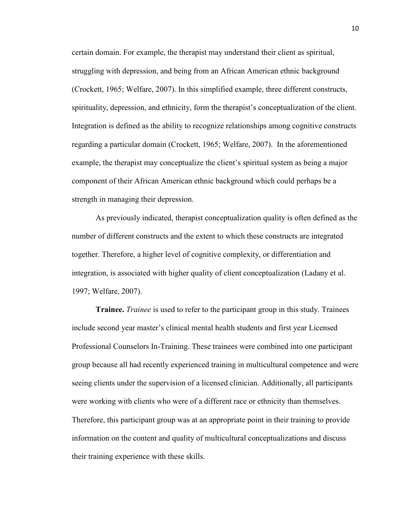certain domain. For example, the therapist may understand their client as spiritual, struggling with depression, and being from an African American ethnic background (Crockett, 1965; Welfare, 2007). In this simplified example, three different constructs, spirituality, depression, and ethnicity, form the therapist's conceptualization of the client. Integration is defined as the ability to recognize relationships among cognitive constructs regarding a particular domain (Crockett, 1965; Welfare, 2007). In the aforementioned example, the therapist may conceptualize the client's spiritual system as being a major component of their African American ethnic background which could perhaps be a strength in managing their depression.

As previously indicated, therapist conceptualization quality is often defined as the number of different constructs and the extent to which these constructs are integrated together. Therefore, a higher level of cognitive complexity, or differentiation and integration, is associated with higher quality of client conceptualization (Ladany et al. 1997; Welfare, 2007).

**Trainee.** *Trainee* is used to refer to the participant group in this study. Trainees include second year master's clinical mental health students and first year Licensed Professional Counselors In-Training. These trainees were combined into one participant group because all had recently experienced training in multicultural competence and were seeing clients under the supervision of a licensed clinician. Additionally, all participants were working with clients who were of a different race or ethnicity than themselves. Therefore, this participant group was at an appropriate point in their training to provide information on the content and quality of multicultural conceptualizations and discuss their training experience with these skills.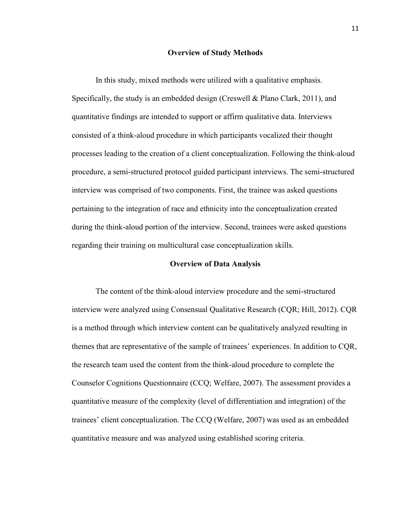#### **Overview of Study Methods**

In this study, mixed methods were utilized with a qualitative emphasis. Specifically, the study is an embedded design (Creswell & Plano Clark, 2011), and quantitative findings are intended to support or affirm qualitative data. Interviews consisted of a think-aloud procedure in which participants vocalized their thought processes leading to the creation of a client conceptualization. Following the think-aloud procedure, a semi-structured protocol guided participant interviews. The semi-structured interview was comprised of two components. First, the trainee was asked questions pertaining to the integration of race and ethnicity into the conceptualization created during the think-aloud portion of the interview. Second, trainees were asked questions regarding their training on multicultural case conceptualization skills.

#### **Overview of Data Analysis**

The content of the think-aloud interview procedure and the semi-structured interview were analyzed using Consensual Qualitative Research (CQR; Hill, 2012). CQR is a method through which interview content can be qualitatively analyzed resulting in themes that are representative of the sample of trainees' experiences. In addition to CQR, the research team used the content from the think-aloud procedure to complete the Counselor Cognitions Questionnaire (CCQ; Welfare, 2007). The assessment provides a quantitative measure of the complexity (level of differentiation and integration) of the trainees' client conceptualization. The CCQ (Welfare, 2007) was used as an embedded quantitative measure and was analyzed using established scoring criteria.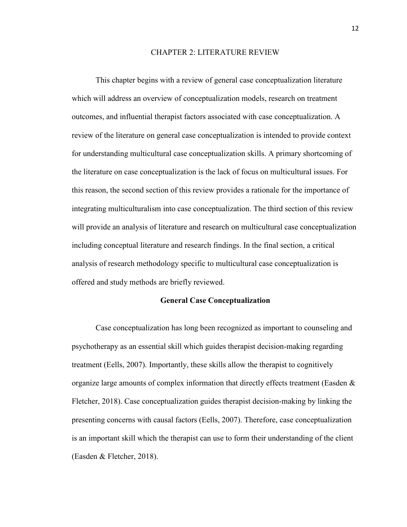#### CHAPTER 2: LITERATURE REVIEW

This chapter begins with a review of general case conceptualization literature which will address an overview of conceptualization models, research on treatment outcomes, and influential therapist factors associated with case conceptualization. A review of the literature on general case conceptualization is intended to provide context for understanding multicultural case conceptualization skills. A primary shortcoming of the literature on case conceptualization is the lack of focus on multicultural issues. For this reason, the second section of this review provides a rationale for the importance of integrating multiculturalism into case conceptualization. The third section of this review will provide an analysis of literature and research on multicultural case conceptualization including conceptual literature and research findings. In the final section, a critical analysis of research methodology specific to multicultural case conceptualization is offered and study methods are briefly reviewed.

#### **General Case Conceptualization**

Case conceptualization has long been recognized as important to counseling and psychotherapy as an essential skill which guides therapist decision-making regarding treatment (Eells, 2007). Importantly, these skills allow the therapist to cognitively organize large amounts of complex information that directly effects treatment (Easden  $\&$ Fletcher, 2018). Case conceptualization guides therapist decision-making by linking the presenting concerns with causal factors (Eells, 2007). Therefore, case conceptualization is an important skill which the therapist can use to form their understanding of the client (Easden & Fletcher, 2018).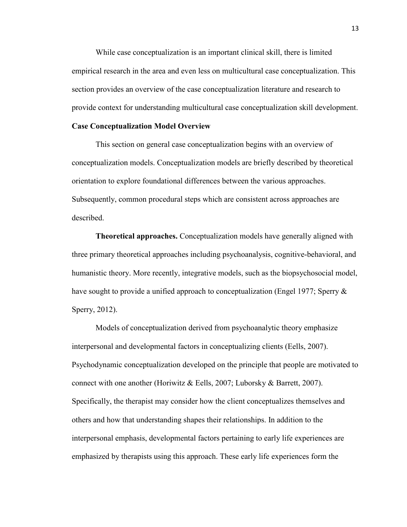While case conceptualization is an important clinical skill, there is limited empirical research in the area and even less on multicultural case conceptualization. This section provides an overview of the case conceptualization literature and research to provide context for understanding multicultural case conceptualization skill development.

#### **Case Conceptualization Model Overview**

This section on general case conceptualization begins with an overview of conceptualization models. Conceptualization models are briefly described by theoretical orientation to explore foundational differences between the various approaches. Subsequently, common procedural steps which are consistent across approaches are described.

**Theoretical approaches.** Conceptualization models have generally aligned with three primary theoretical approaches including psychoanalysis, cognitive-behavioral, and humanistic theory. More recently, integrative models, such as the biopsychosocial model, have sought to provide a unified approach to conceptualization (Engel 1977; Sperry  $\&$ Sperry, 2012).

 Models of conceptualization derived from psychoanalytic theory emphasize interpersonal and developmental factors in conceptualizing clients (Eells, 2007). Psychodynamic conceptualization developed on the principle that people are motivated to connect with one another (Horiwitz & Eells, 2007; Luborsky & Barrett, 2007). Specifically, the therapist may consider how the client conceptualizes themselves and others and how that understanding shapes their relationships. In addition to the interpersonal emphasis, developmental factors pertaining to early life experiences are emphasized by therapists using this approach. These early life experiences form the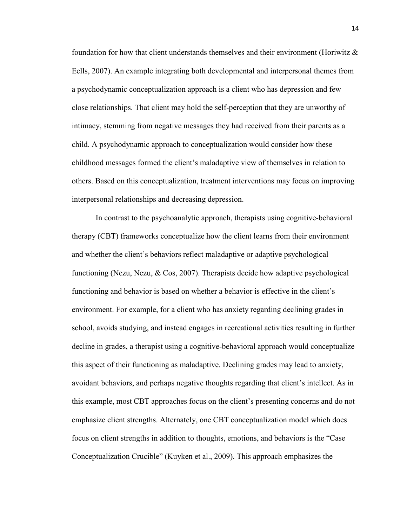foundation for how that client understands themselves and their environment (Horiwitz  $\&$ Eells, 2007). An example integrating both developmental and interpersonal themes from a psychodynamic conceptualization approach is a client who has depression and few close relationships. That client may hold the self-perception that they are unworthy of intimacy, stemming from negative messages they had received from their parents as a child. A psychodynamic approach to conceptualization would consider how these childhood messages formed the client's maladaptive view of themselves in relation to others. Based on this conceptualization, treatment interventions may focus on improving interpersonal relationships and decreasing depression.

 In contrast to the psychoanalytic approach, therapists using cognitive-behavioral therapy (CBT) frameworks conceptualize how the client learns from their environment and whether the client's behaviors reflect maladaptive or adaptive psychological functioning (Nezu, Nezu, & Cos, 2007). Therapists decide how adaptive psychological functioning and behavior is based on whether a behavior is effective in the client's environment. For example, for a client who has anxiety regarding declining grades in school, avoids studying, and instead engages in recreational activities resulting in further decline in grades, a therapist using a cognitive-behavioral approach would conceptualize this aspect of their functioning as maladaptive. Declining grades may lead to anxiety, avoidant behaviors, and perhaps negative thoughts regarding that client's intellect. As in this example, most CBT approaches focus on the client's presenting concerns and do not emphasize client strengths. Alternately, one CBT conceptualization model which does focus on client strengths in addition to thoughts, emotions, and behaviors is the "Case Conceptualization Crucible" (Kuyken et al., 2009). This approach emphasizes the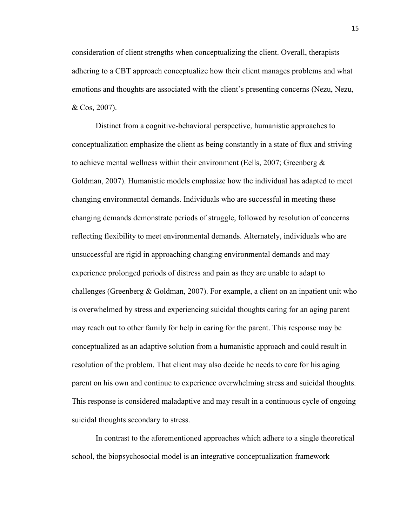consideration of client strengths when conceptualizing the client. Overall, therapists adhering to a CBT approach conceptualize how their client manages problems and what emotions and thoughts are associated with the client's presenting concerns (Nezu, Nezu, & Cos, 2007).

 Distinct from a cognitive-behavioral perspective, humanistic approaches to conceptualization emphasize the client as being constantly in a state of flux and striving to achieve mental wellness within their environment (Eells, 2007; Greenberg  $\&$ Goldman, 2007). Humanistic models emphasize how the individual has adapted to meet changing environmental demands. Individuals who are successful in meeting these changing demands demonstrate periods of struggle, followed by resolution of concerns reflecting flexibility to meet environmental demands. Alternately, individuals who are unsuccessful are rigid in approaching changing environmental demands and may experience prolonged periods of distress and pain as they are unable to adapt to challenges (Greenberg  $&$  Goldman, 2007). For example, a client on an inpatient unit who is overwhelmed by stress and experiencing suicidal thoughts caring for an aging parent may reach out to other family for help in caring for the parent. This response may be conceptualized as an adaptive solution from a humanistic approach and could result in resolution of the problem. That client may also decide he needs to care for his aging parent on his own and continue to experience overwhelming stress and suicidal thoughts. This response is considered maladaptive and may result in a continuous cycle of ongoing suicidal thoughts secondary to stress.

 In contrast to the aforementioned approaches which adhere to a single theoretical school, the biopsychosocial model is an integrative conceptualization framework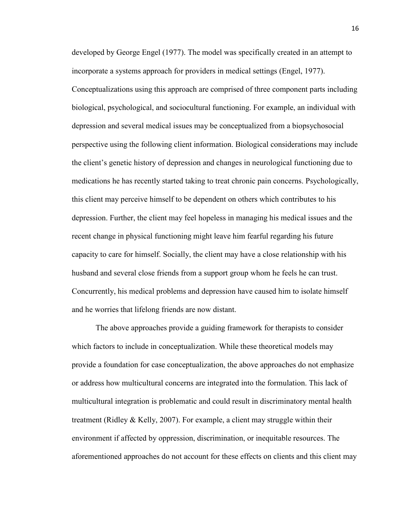developed by George Engel (1977). The model was specifically created in an attempt to incorporate a systems approach for providers in medical settings (Engel, 1977). Conceptualizations using this approach are comprised of three component parts including biological, psychological, and sociocultural functioning. For example, an individual with depression and several medical issues may be conceptualized from a biopsychosocial perspective using the following client information. Biological considerations may include the client's genetic history of depression and changes in neurological functioning due to medications he has recently started taking to treat chronic pain concerns. Psychologically, this client may perceive himself to be dependent on others which contributes to his depression. Further, the client may feel hopeless in managing his medical issues and the recent change in physical functioning might leave him fearful regarding his future capacity to care for himself. Socially, the client may have a close relationship with his husband and several close friends from a support group whom he feels he can trust. Concurrently, his medical problems and depression have caused him to isolate himself and he worries that lifelong friends are now distant.

The above approaches provide a guiding framework for therapists to consider which factors to include in conceptualization. While these theoretical models may provide a foundation for case conceptualization, the above approaches do not emphasize or address how multicultural concerns are integrated into the formulation. This lack of multicultural integration is problematic and could result in discriminatory mental health treatment (Ridley & Kelly, 2007). For example, a client may struggle within their environment if affected by oppression, discrimination, or inequitable resources. The aforementioned approaches do not account for these effects on clients and this client may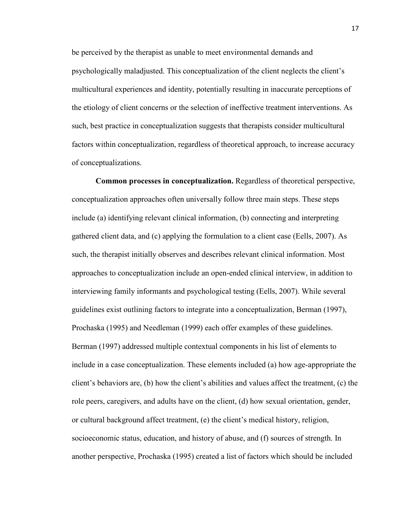be perceived by the therapist as unable to meet environmental demands and psychologically maladjusted. This conceptualization of the client neglects the client's multicultural experiences and identity, potentially resulting in inaccurate perceptions of the etiology of client concerns or the selection of ineffective treatment interventions. As such, best practice in conceptualization suggests that therapists consider multicultural factors within conceptualization, regardless of theoretical approach, to increase accuracy of conceptualizations.

**Common processes in conceptualization.** Regardless of theoretical perspective, conceptualization approaches often universally follow three main steps. These steps include (a) identifying relevant clinical information, (b) connecting and interpreting gathered client data, and (c) applying the formulation to a client case (Eells, 2007). As such, the therapist initially observes and describes relevant clinical information. Most approaches to conceptualization include an open-ended clinical interview, in addition to interviewing family informants and psychological testing (Eells, 2007). While several guidelines exist outlining factors to integrate into a conceptualization, Berman (1997), Prochaska (1995) and Needleman (1999) each offer examples of these guidelines. Berman (1997) addressed multiple contextual components in his list of elements to include in a case conceptualization. These elements included (a) how age-appropriate the client's behaviors are, (b) how the client's abilities and values affect the treatment, (c) the role peers, caregivers, and adults have on the client, (d) how sexual orientation, gender, or cultural background affect treatment, (e) the client's medical history, religion, socioeconomic status, education, and history of abuse, and (f) sources of strength. In another perspective, Prochaska (1995) created a list of factors which should be included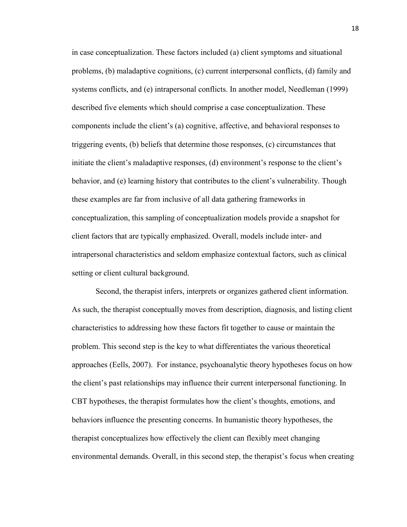in case conceptualization. These factors included (a) client symptoms and situational problems, (b) maladaptive cognitions, (c) current interpersonal conflicts, (d) family and systems conflicts, and (e) intrapersonal conflicts. In another model, Needleman (1999) described five elements which should comprise a case conceptualization. These components include the client's (a) cognitive, affective, and behavioral responses to triggering events, (b) beliefs that determine those responses, (c) circumstances that initiate the client's maladaptive responses, (d) environment's response to the client's behavior, and (e) learning history that contributes to the client's vulnerability. Though these examples are far from inclusive of all data gathering frameworks in conceptualization, this sampling of conceptualization models provide a snapshot for client factors that are typically emphasized. Overall, models include inter- and intrapersonal characteristics and seldom emphasize contextual factors, such as clinical setting or client cultural background.

Second, the therapist infers, interprets or organizes gathered client information. As such, the therapist conceptually moves from description, diagnosis, and listing client characteristics to addressing how these factors fit together to cause or maintain the problem. This second step is the key to what differentiates the various theoretical approaches (Eells, 2007). For instance, psychoanalytic theory hypotheses focus on how the client's past relationships may influence their current interpersonal functioning. In CBT hypotheses, the therapist formulates how the client's thoughts, emotions, and behaviors influence the presenting concerns. In humanistic theory hypotheses, the therapist conceptualizes how effectively the client can flexibly meet changing environmental demands. Overall, in this second step, the therapist's focus when creating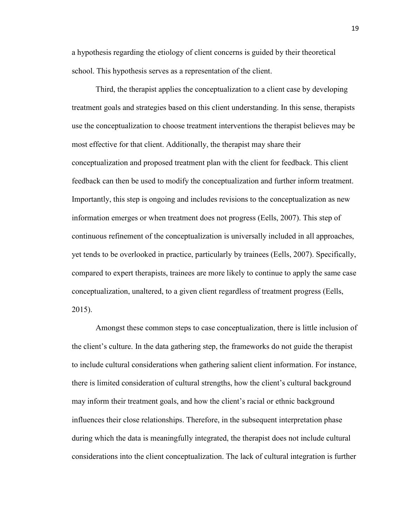a hypothesis regarding the etiology of client concerns is guided by their theoretical school. This hypothesis serves as a representation of the client.

Third, the therapist applies the conceptualization to a client case by developing treatment goals and strategies based on this client understanding. In this sense, therapists use the conceptualization to choose treatment interventions the therapist believes may be most effective for that client. Additionally, the therapist may share their conceptualization and proposed treatment plan with the client for feedback. This client feedback can then be used to modify the conceptualization and further inform treatment. Importantly, this step is ongoing and includes revisions to the conceptualization as new information emerges or when treatment does not progress (Eells, 2007). This step of continuous refinement of the conceptualization is universally included in all approaches, yet tends to be overlooked in practice, particularly by trainees (Eells, 2007). Specifically, compared to expert therapists, trainees are more likely to continue to apply the same case conceptualization, unaltered, to a given client regardless of treatment progress (Eells, 2015).

Amongst these common steps to case conceptualization, there is little inclusion of the client's culture. In the data gathering step, the frameworks do not guide the therapist to include cultural considerations when gathering salient client information. For instance, there is limited consideration of cultural strengths, how the client's cultural background may inform their treatment goals, and how the client's racial or ethnic background influences their close relationships. Therefore, in the subsequent interpretation phase during which the data is meaningfully integrated, the therapist does not include cultural considerations into the client conceptualization. The lack of cultural integration is further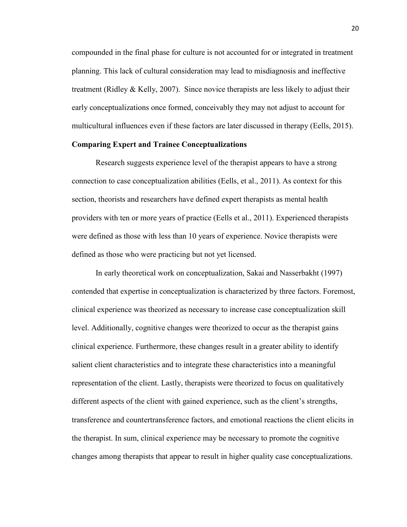compounded in the final phase for culture is not accounted for or integrated in treatment planning. This lack of cultural consideration may lead to misdiagnosis and ineffective treatment (Ridley  $&$  Kelly, 2007). Since novice therapists are less likely to adjust their early conceptualizations once formed, conceivably they may not adjust to account for multicultural influences even if these factors are later discussed in therapy (Eells, 2015).

## **Comparing Expert and Trainee Conceptualizations**

 Research suggests experience level of the therapist appears to have a strong connection to case conceptualization abilities (Eells, et al., 2011). As context for this section, theorists and researchers have defined expert therapists as mental health providers with ten or more years of practice (Eells et al., 2011). Experienced therapists were defined as those with less than 10 years of experience. Novice therapists were defined as those who were practicing but not yet licensed.

In early theoretical work on conceptualization, Sakai and Nasserbakht (1997) contended that expertise in conceptualization is characterized by three factors. Foremost, clinical experience was theorized as necessary to increase case conceptualization skill level. Additionally, cognitive changes were theorized to occur as the therapist gains clinical experience. Furthermore, these changes result in a greater ability to identify salient client characteristics and to integrate these characteristics into a meaningful representation of the client. Lastly, therapists were theorized to focus on qualitatively different aspects of the client with gained experience, such as the client's strengths, transference and countertransference factors, and emotional reactions the client elicits in the therapist. In sum, clinical experience may be necessary to promote the cognitive changes among therapists that appear to result in higher quality case conceptualizations.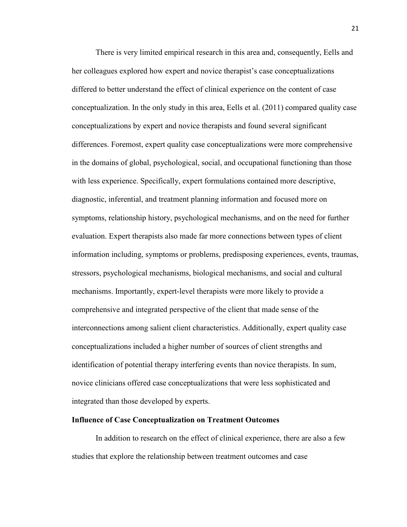There is very limited empirical research in this area and, consequently, Eells and her colleagues explored how expert and novice therapist's case conceptualizations differed to better understand the effect of clinical experience on the content of case conceptualization. In the only study in this area, Eells et al. (2011) compared quality case conceptualizations by expert and novice therapists and found several significant differences. Foremost, expert quality case conceptualizations were more comprehensive in the domains of global, psychological, social, and occupational functioning than those with less experience. Specifically, expert formulations contained more descriptive, diagnostic, inferential, and treatment planning information and focused more on symptoms, relationship history, psychological mechanisms, and on the need for further evaluation. Expert therapists also made far more connections between types of client information including, symptoms or problems, predisposing experiences, events, traumas, stressors, psychological mechanisms, biological mechanisms, and social and cultural mechanisms. Importantly, expert-level therapists were more likely to provide a comprehensive and integrated perspective of the client that made sense of the interconnections among salient client characteristics. Additionally, expert quality case conceptualizations included a higher number of sources of client strengths and identification of potential therapy interfering events than novice therapists. In sum, novice clinicians offered case conceptualizations that were less sophisticated and integrated than those developed by experts.

#### **Influence of Case Conceptualization on Treatment Outcomes**

In addition to research on the effect of clinical experience, there are also a few studies that explore the relationship between treatment outcomes and case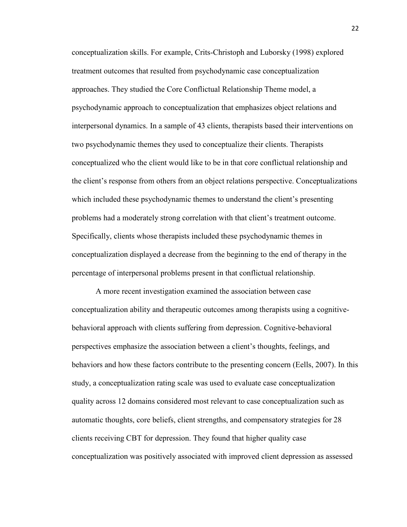conceptualization skills. For example, Crits-Christoph and Luborsky (1998) explored treatment outcomes that resulted from psychodynamic case conceptualization approaches. They studied the Core Conflictual Relationship Theme model, a psychodynamic approach to conceptualization that emphasizes object relations and interpersonal dynamics. In a sample of 43 clients, therapists based their interventions on two psychodynamic themes they used to conceptualize their clients. Therapists conceptualized who the client would like to be in that core conflictual relationship and the client's response from others from an object relations perspective. Conceptualizations which included these psychodynamic themes to understand the client's presenting problems had a moderately strong correlation with that client's treatment outcome. Specifically, clients whose therapists included these psychodynamic themes in conceptualization displayed a decrease from the beginning to the end of therapy in the percentage of interpersonal problems present in that conflictual relationship.

A more recent investigation examined the association between case conceptualization ability and therapeutic outcomes among therapists using a cognitivebehavioral approach with clients suffering from depression. Cognitive-behavioral perspectives emphasize the association between a client's thoughts, feelings, and behaviors and how these factors contribute to the presenting concern (Eells, 2007). In this study, a conceptualization rating scale was used to evaluate case conceptualization quality across 12 domains considered most relevant to case conceptualization such as automatic thoughts, core beliefs, client strengths, and compensatory strategies for 28 clients receiving CBT for depression. They found that higher quality case conceptualization was positively associated with improved client depression as assessed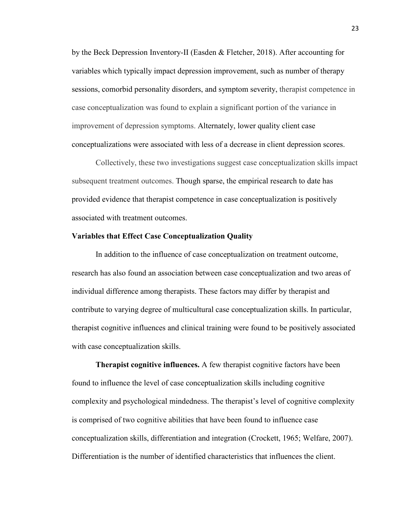by the Beck Depression Inventory-II (Easden & Fletcher, 2018). After accounting for variables which typically impact depression improvement, such as number of therapy sessions, comorbid personality disorders, and symptom severity, therapist competence in case conceptualization was found to explain a significant portion of the variance in improvement of depression symptoms. Alternately, lower quality client case conceptualizations were associated with less of a decrease in client depression scores.

Collectively, these two investigations suggest case conceptualization skills impact subsequent treatment outcomes. Though sparse, the empirical research to date has provided evidence that therapist competence in case conceptualization is positively associated with treatment outcomes.

#### **Variables that Effect Case Conceptualization Quality**

In addition to the influence of case conceptualization on treatment outcome, research has also found an association between case conceptualization and two areas of individual difference among therapists. These factors may differ by therapist and contribute to varying degree of multicultural case conceptualization skills. In particular, therapist cognitive influences and clinical training were found to be positively associated with case conceptualization skills.

**Therapist cognitive influences.** A few therapist cognitive factors have been found to influence the level of case conceptualization skills including cognitive complexity and psychological mindedness. The therapist's level of cognitive complexity is comprised of two cognitive abilities that have been found to influence case conceptualization skills, differentiation and integration (Crockett, 1965; Welfare, 2007). Differentiation is the number of identified characteristics that influences the client.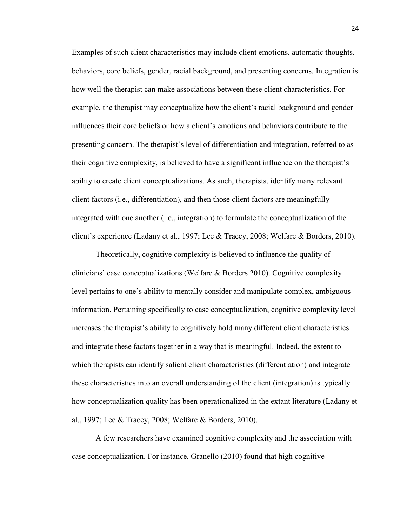Examples of such client characteristics may include client emotions, automatic thoughts, behaviors, core beliefs, gender, racial background, and presenting concerns. Integration is how well the therapist can make associations between these client characteristics. For example, the therapist may conceptualize how the client's racial background and gender influences their core beliefs or how a client's emotions and behaviors contribute to the presenting concern. The therapist's level of differentiation and integration, referred to as their cognitive complexity, is believed to have a significant influence on the therapist's ability to create client conceptualizations. As such, therapists, identify many relevant client factors (i.e., differentiation), and then those client factors are meaningfully integrated with one another (i.e., integration) to formulate the conceptualization of the client's experience (Ladany et al., 1997; Lee & Tracey, 2008; Welfare & Borders, 2010).

Theoretically, cognitive complexity is believed to influence the quality of clinicians' case conceptualizations (Welfare & Borders 2010). Cognitive complexity level pertains to one's ability to mentally consider and manipulate complex, ambiguous information. Pertaining specifically to case conceptualization, cognitive complexity level increases the therapist's ability to cognitively hold many different client characteristics and integrate these factors together in a way that is meaningful. Indeed, the extent to which therapists can identify salient client characteristics (differentiation) and integrate these characteristics into an overall understanding of the client (integration) is typically how conceptualization quality has been operationalized in the extant literature (Ladany et al., 1997; Lee & Tracey, 2008; Welfare & Borders, 2010).

A few researchers have examined cognitive complexity and the association with case conceptualization. For instance, Granello (2010) found that high cognitive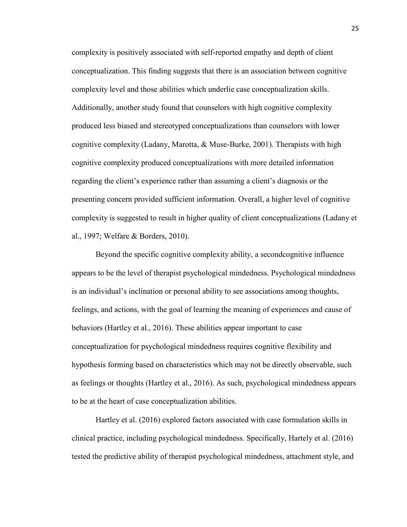complexity is positively associated with self-reported empathy and depth of client conceptualization. This finding suggests that there is an association between cognitive complexity level and those abilities which underlie case conceptualization skills. Additionally, another study found that counselors with high cognitive complexity produced less biased and stereotyped conceptualizations than counselors with lower cognitive complexity (Ladany, Marotta, & Muse-Burke, 2001). Therapists with high cognitive complexity produced conceptualizations with more detailed information regarding the client's experience rather than assuming a client's diagnosis or the presenting concern provided sufficient information. Overall, a higher level of cognitive complexity is suggested to result in higher quality of client conceptualizations (Ladany et al., 1997; Welfare & Borders, 2010).

Beyond the specific cognitive complexity ability, a secondcognitive influence appears to be the level of therapist psychological mindedness. Psychological mindedness is an individual's inclination or personal ability to see associations among thoughts, feelings, and actions, with the goal of learning the meaning of experiences and cause of behaviors (Hartley et al., 2016). These abilities appear important to case conceptualization for psychological mindedness requires cognitive flexibility and hypothesis forming based on characteristics which may not be directly observable, such as feelings or thoughts (Hartley et al., 2016). As such, psychological mindedness appears to be at the heart of case conceptualization abilities.

Hartley et al. (2016) explored factors associated with case formulation skills in clinical practice, including psychological mindedness. Specifically, Hartely et al. (2016) tested the predictive ability of therapist psychological mindedness, attachment style, and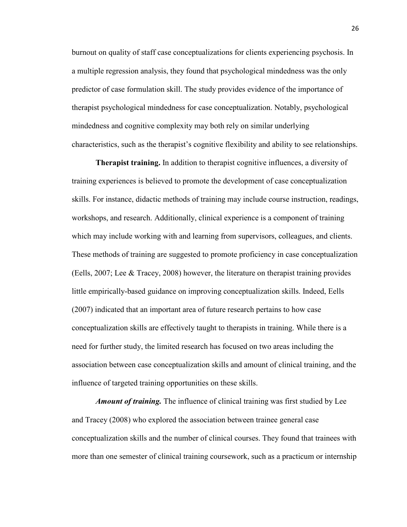burnout on quality of staff case conceptualizations for clients experiencing psychosis. In a multiple regression analysis, they found that psychological mindedness was the only predictor of case formulation skill. The study provides evidence of the importance of therapist psychological mindedness for case conceptualization. Notably, psychological mindedness and cognitive complexity may both rely on similar underlying characteristics, such as the therapist's cognitive flexibility and ability to see relationships.

**Therapist training.** In addition to therapist cognitive influences, a diversity of training experiences is believed to promote the development of case conceptualization skills. For instance, didactic methods of training may include course instruction, readings, workshops, and research. Additionally, clinical experience is a component of training which may include working with and learning from supervisors, colleagues, and clients. These methods of training are suggested to promote proficiency in case conceptualization (Eells, 2007; Lee & Tracey, 2008) however, the literature on therapist training provides little empirically-based guidance on improving conceptualization skills. Indeed, Eells (2007) indicated that an important area of future research pertains to how case conceptualization skills are effectively taught to therapists in training. While there is a need for further study, the limited research has focused on two areas including the association between case conceptualization skills and amount of clinical training, and the influence of targeted training opportunities on these skills.

*Amount of training.* The influence of clinical training was first studied by Lee and Tracey (2008) who explored the association between trainee general case conceptualization skills and the number of clinical courses. They found that trainees with more than one semester of clinical training coursework, such as a practicum or internship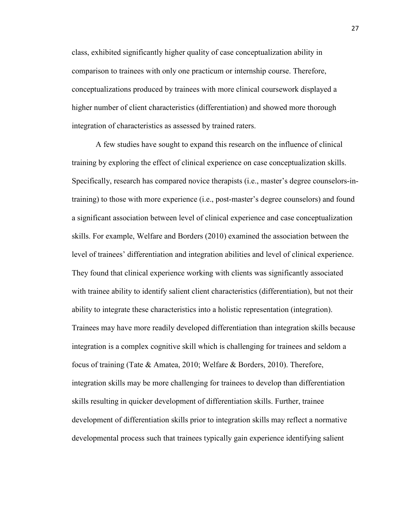class, exhibited significantly higher quality of case conceptualization ability in comparison to trainees with only one practicum or internship course. Therefore, conceptualizations produced by trainees with more clinical coursework displayed a higher number of client characteristics (differentiation) and showed more thorough integration of characteristics as assessed by trained raters.

A few studies have sought to expand this research on the influence of clinical training by exploring the effect of clinical experience on case conceptualization skills. Specifically, research has compared novice therapists (i.e., master's degree counselors-intraining) to those with more experience (i.e., post-master's degree counselors) and found a significant association between level of clinical experience and case conceptualization skills. For example, Welfare and Borders (2010) examined the association between the level of trainees' differentiation and integration abilities and level of clinical experience. They found that clinical experience working with clients was significantly associated with trainee ability to identify salient client characteristics (differentiation), but not their ability to integrate these characteristics into a holistic representation (integration). Trainees may have more readily developed differentiation than integration skills because integration is a complex cognitive skill which is challenging for trainees and seldom a focus of training (Tate & Amatea, 2010; Welfare & Borders, 2010). Therefore, integration skills may be more challenging for trainees to develop than differentiation skills resulting in quicker development of differentiation skills. Further, trainee development of differentiation skills prior to integration skills may reflect a normative developmental process such that trainees typically gain experience identifying salient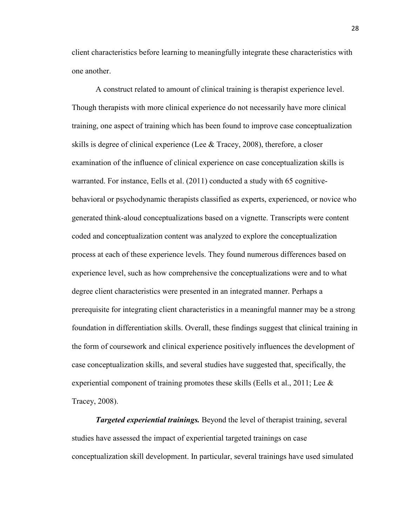client characteristics before learning to meaningfully integrate these characteristics with one another.

A construct related to amount of clinical training is therapist experience level. Though therapists with more clinical experience do not necessarily have more clinical training, one aspect of training which has been found to improve case conceptualization skills is degree of clinical experience (Lee  $&$  Tracey, 2008), therefore, a closer examination of the influence of clinical experience on case conceptualization skills is warranted. For instance, Eells et al. (2011) conducted a study with 65 cognitivebehavioral or psychodynamic therapists classified as experts, experienced, or novice who generated think-aloud conceptualizations based on a vignette. Transcripts were content coded and conceptualization content was analyzed to explore the conceptualization process at each of these experience levels. They found numerous differences based on experience level, such as how comprehensive the conceptualizations were and to what degree client characteristics were presented in an integrated manner. Perhaps a prerequisite for integrating client characteristics in a meaningful manner may be a strong foundation in differentiation skills. Overall, these findings suggest that clinical training in the form of coursework and clinical experience positively influences the development of case conceptualization skills, and several studies have suggested that, specifically, the experiential component of training promotes these skills (Eells et al., 2011; Lee  $\&$ Tracey, 2008).

*Targeted experiential trainings.* Beyond the level of therapist training, several studies have assessed the impact of experiential targeted trainings on case conceptualization skill development. In particular, several trainings have used simulated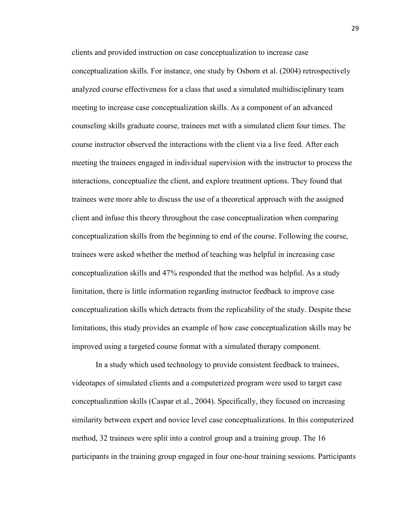clients and provided instruction on case conceptualization to increase case conceptualization skills. For instance, one study by Osborn et al. (2004) retrospectively analyzed course effectiveness for a class that used a simulated multidisciplinary team meeting to increase case conceptualization skills. As a component of an advanced counseling skills graduate course, trainees met with a simulated client four times. The course instructor observed the interactions with the client via a live feed. After each meeting the trainees engaged in individual supervision with the instructor to process the interactions, conceptualize the client, and explore treatment options. They found that trainees were more able to discuss the use of a theoretical approach with the assigned client and infuse this theory throughout the case conceptualization when comparing conceptualization skills from the beginning to end of the course. Following the course, trainees were asked whether the method of teaching was helpful in increasing case conceptualization skills and 47% responded that the method was helpful. As a study limitation, there is little information regarding instructor feedback to improve case conceptualization skills which detracts from the replicability of the study. Despite these limitations, this study provides an example of how case conceptualization skills may be improved using a targeted course format with a simulated therapy component.

In a study which used technology to provide consistent feedback to trainees, videotapes of simulated clients and a computerized program were used to target case conceptualization skills (Caspar et al., 2004). Specifically, they focused on increasing similarity between expert and novice level case conceptualizations. In this computerized method, 32 trainees were split into a control group and a training group. The 16 participants in the training group engaged in four one-hour training sessions. Participants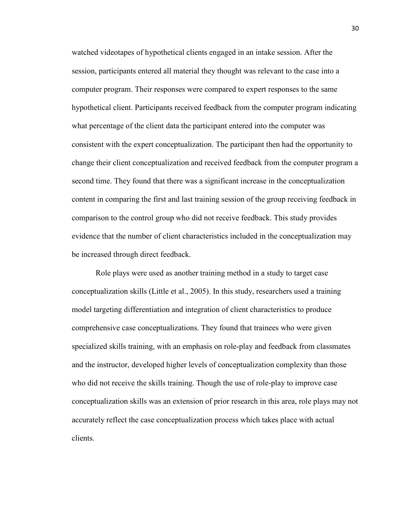watched videotapes of hypothetical clients engaged in an intake session. After the session, participants entered all material they thought was relevant to the case into a computer program. Their responses were compared to expert responses to the same hypothetical client. Participants received feedback from the computer program indicating what percentage of the client data the participant entered into the computer was consistent with the expert conceptualization. The participant then had the opportunity to change their client conceptualization and received feedback from the computer program a second time. They found that there was a significant increase in the conceptualization content in comparing the first and last training session of the group receiving feedback in comparison to the control group who did not receive feedback. This study provides evidence that the number of client characteristics included in the conceptualization may be increased through direct feedback.

Role plays were used as another training method in a study to target case conceptualization skills (Little et al., 2005). In this study, researchers used a training model targeting differentiation and integration of client characteristics to produce comprehensive case conceptualizations. They found that trainees who were given specialized skills training, with an emphasis on role-play and feedback from classmates and the instructor, developed higher levels of conceptualization complexity than those who did not receive the skills training. Though the use of role-play to improve case conceptualization skills was an extension of prior research in this area, role plays may not accurately reflect the case conceptualization process which takes place with actual clients.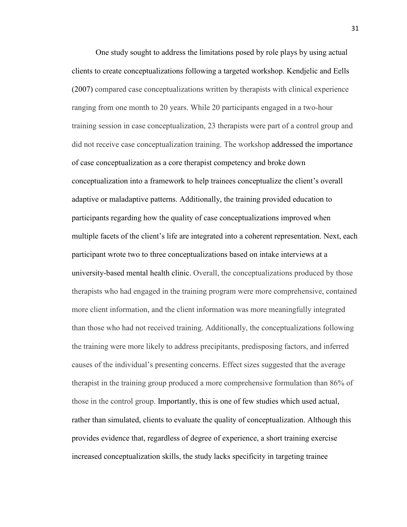One study sought to address the limitations posed by role plays by using actual clients to create conceptualizations following a targeted workshop. Kendjelic and Eells (2007) compared case conceptualizations written by therapists with clinical experience ranging from one month to 20 years. While 20 participants engaged in a two-hour training session in case conceptualization, 23 therapists were part of a control group and did not receive case conceptualization training. The workshop addressed the importance of case conceptualization as a core therapist competency and broke down conceptualization into a framework to help trainees conceptualize the client's overall adaptive or maladaptive patterns. Additionally, the training provided education to participants regarding how the quality of case conceptualizations improved when multiple facets of the client's life are integrated into a coherent representation. Next, each participant wrote two to three conceptualizations based on intake interviews at a university-based mental health clinic. Overall, the conceptualizations produced by those therapists who had engaged in the training program were more comprehensive, contained more client information, and the client information was more meaningfully integrated than those who had not received training. Additionally, the conceptualizations following the training were more likely to address precipitants, predisposing factors, and inferred causes of the individual's presenting concerns. Effect sizes suggested that the average therapist in the training group produced a more comprehensive formulation than 86% of those in the control group. Importantly, this is one of few studies which used actual, rather than simulated, clients to evaluate the quality of conceptualization. Although this provides evidence that, regardless of degree of experience, a short training exercise increased conceptualization skills, the study lacks specificity in targeting trainee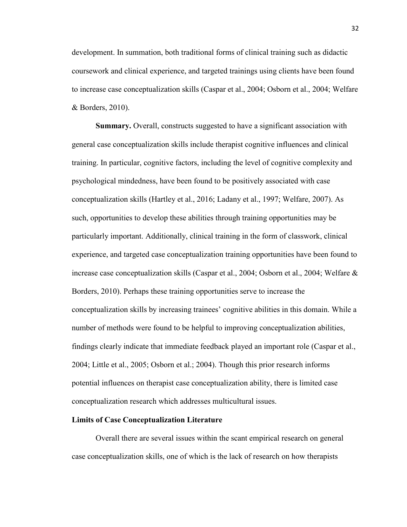development. In summation, both traditional forms of clinical training such as didactic coursework and clinical experience, and targeted trainings using clients have been found to increase case conceptualization skills (Caspar et al., 2004; Osborn et al., 2004; Welfare & Borders, 2010).

**Summary.** Overall, constructs suggested to have a significant association with general case conceptualization skills include therapist cognitive influences and clinical training. In particular, cognitive factors, including the level of cognitive complexity and psychological mindedness, have been found to be positively associated with case conceptualization skills (Hartley et al., 2016; Ladany et al., 1997; Welfare, 2007). As such, opportunities to develop these abilities through training opportunities may be particularly important. Additionally, clinical training in the form of classwork, clinical experience, and targeted case conceptualization training opportunities have been found to increase case conceptualization skills (Caspar et al., 2004; Osborn et al., 2004; Welfare & Borders, 2010). Perhaps these training opportunities serve to increase the conceptualization skills by increasing trainees' cognitive abilities in this domain. While a number of methods were found to be helpful to improving conceptualization abilities, findings clearly indicate that immediate feedback played an important role (Caspar et al., 2004; Little et al., 2005; Osborn et al.; 2004). Though this prior research informs potential influences on therapist case conceptualization ability, there is limited case conceptualization research which addresses multicultural issues.

### **Limits of Case Conceptualization Literature**

Overall there are several issues within the scant empirical research on general case conceptualization skills, one of which is the lack of research on how therapists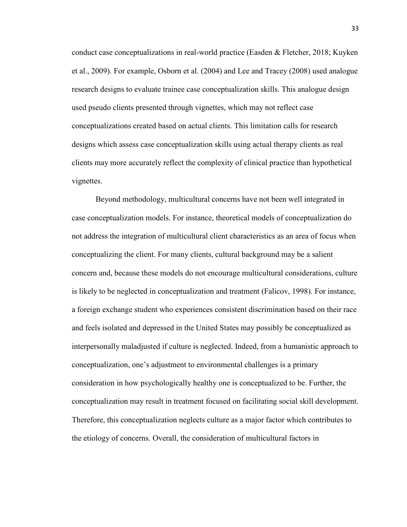conduct case conceptualizations in real-world practice (Easden & Fletcher, 2018; Kuyken et al., 2009). For example, Osborn et al. (2004) and Lee and Tracey (2008) used analogue research designs to evaluate trainee case conceptualization skills. This analogue design used pseudo clients presented through vignettes, which may not reflect case conceptualizations created based on actual clients. This limitation calls for research designs which assess case conceptualization skills using actual therapy clients as real clients may more accurately reflect the complexity of clinical practice than hypothetical vignettes.

Beyond methodology, multicultural concerns have not been well integrated in case conceptualization models. For instance, theoretical models of conceptualization do not address the integration of multicultural client characteristics as an area of focus when conceptualizing the client. For many clients, cultural background may be a salient concern and, because these models do not encourage multicultural considerations, culture is likely to be neglected in conceptualization and treatment (Falicov, 1998). For instance, a foreign exchange student who experiences consistent discrimination based on their race and feels isolated and depressed in the United States may possibly be conceptualized as interpersonally maladjusted if culture is neglected. Indeed, from a humanistic approach to conceptualization, one's adjustment to environmental challenges is a primary consideration in how psychologically healthy one is conceptualized to be. Further, the conceptualization may result in treatment focused on facilitating social skill development. Therefore, this conceptualization neglects culture as a major factor which contributes to the etiology of concerns. Overall, the consideration of multicultural factors in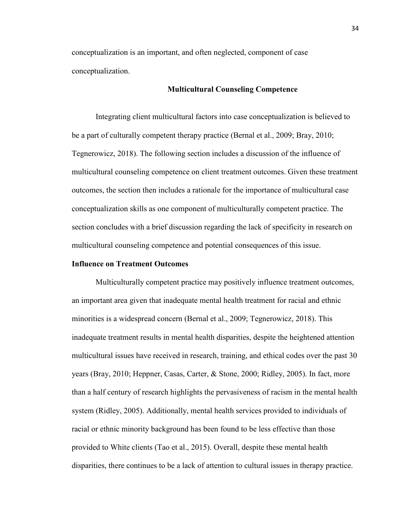conceptualization is an important, and often neglected, component of case conceptualization.

# **Multicultural Counseling Competence**

Integrating client multicultural factors into case conceptualization is believed to be a part of culturally competent therapy practice (Bernal et al., 2009; Bray, 2010; Tegnerowicz, 2018). The following section includes a discussion of the influence of multicultural counseling competence on client treatment outcomes. Given these treatment outcomes, the section then includes a rationale for the importance of multicultural case conceptualization skills as one component of multiculturally competent practice. The section concludes with a brief discussion regarding the lack of specificity in research on multicultural counseling competence and potential consequences of this issue.

# **Influence on Treatment Outcomes**

Multiculturally competent practice may positively influence treatment outcomes, an important area given that inadequate mental health treatment for racial and ethnic minorities is a widespread concern (Bernal et al., 2009; Tegnerowicz, 2018). This inadequate treatment results in mental health disparities, despite the heightened attention multicultural issues have received in research, training, and ethical codes over the past 30 years (Bray, 2010; Heppner, Casas, Carter, & Stone, 2000; Ridley, 2005). In fact, more than a half century of research highlights the pervasiveness of racism in the mental health system (Ridley, 2005). Additionally, mental health services provided to individuals of racial or ethnic minority background has been found to be less effective than those provided to White clients (Tao et al., 2015). Overall, despite these mental health disparities, there continues to be a lack of attention to cultural issues in therapy practice.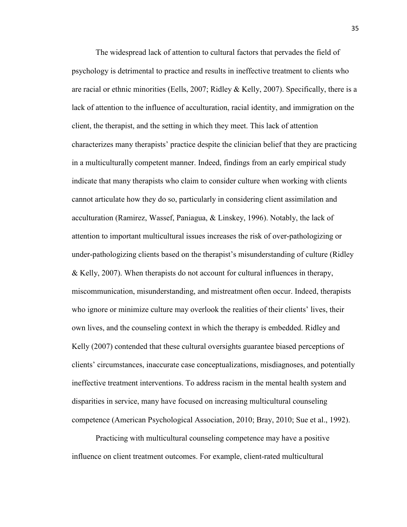The widespread lack of attention to cultural factors that pervades the field of psychology is detrimental to practice and results in ineffective treatment to clients who are racial or ethnic minorities (Eells, 2007; Ridley & Kelly, 2007). Specifically, there is a lack of attention to the influence of acculturation, racial identity, and immigration on the client, the therapist, and the setting in which they meet. This lack of attention characterizes many therapists' practice despite the clinician belief that they are practicing in a multiculturally competent manner. Indeed, findings from an early empirical study indicate that many therapists who claim to consider culture when working with clients cannot articulate how they do so, particularly in considering client assimilation and acculturation (Ramirez, Wassef, Paniagua, & Linskey, 1996). Notably, the lack of attention to important multicultural issues increases the risk of over-pathologizing or under-pathologizing clients based on the therapist's misunderstanding of culture (Ridley & Kelly, 2007). When therapists do not account for cultural influences in therapy, miscommunication, misunderstanding, and mistreatment often occur. Indeed, therapists who ignore or minimize culture may overlook the realities of their clients' lives, their own lives, and the counseling context in which the therapy is embedded. Ridley and Kelly (2007) contended that these cultural oversights guarantee biased perceptions of clients' circumstances, inaccurate case conceptualizations, misdiagnoses, and potentially ineffective treatment interventions. To address racism in the mental health system and disparities in service, many have focused on increasing multicultural counseling competence (American Psychological Association, 2010; Bray, 2010; Sue et al., 1992).

Practicing with multicultural counseling competence may have a positive influence on client treatment outcomes. For example, client-rated multicultural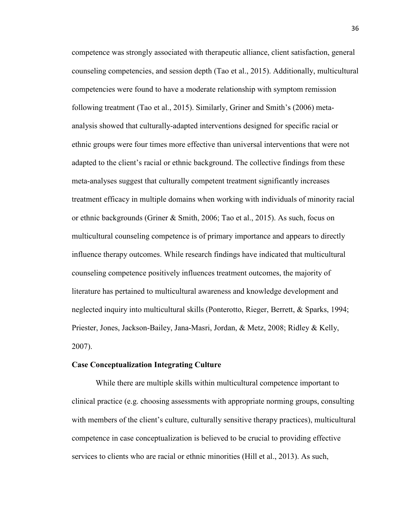competence was strongly associated with therapeutic alliance, client satisfaction, general counseling competencies, and session depth (Tao et al., 2015). Additionally, multicultural competencies were found to have a moderate relationship with symptom remission following treatment (Tao et al., 2015). Similarly, Griner and Smith's (2006) metaanalysis showed that culturally-adapted interventions designed for specific racial or ethnic groups were four times more effective than universal interventions that were not adapted to the client's racial or ethnic background. The collective findings from these meta-analyses suggest that culturally competent treatment significantly increases treatment efficacy in multiple domains when working with individuals of minority racial or ethnic backgrounds (Griner & Smith, 2006; Tao et al., 2015). As such, focus on multicultural counseling competence is of primary importance and appears to directly influence therapy outcomes. While research findings have indicated that multicultural counseling competence positively influences treatment outcomes, the majority of literature has pertained to multicultural awareness and knowledge development and neglected inquiry into multicultural skills (Ponterotto, Rieger, Berrett, & Sparks, 1994; Priester, Jones, Jackson-Bailey, Jana-Masri, Jordan, & Metz, 2008; Ridley & Kelly, 2007).

#### **Case Conceptualization Integrating Culture**

While there are multiple skills within multicultural competence important to clinical practice (e.g. choosing assessments with appropriate norming groups, consulting with members of the client's culture, culturally sensitive therapy practices), multicultural competence in case conceptualization is believed to be crucial to providing effective services to clients who are racial or ethnic minorities (Hill et al., 2013). As such,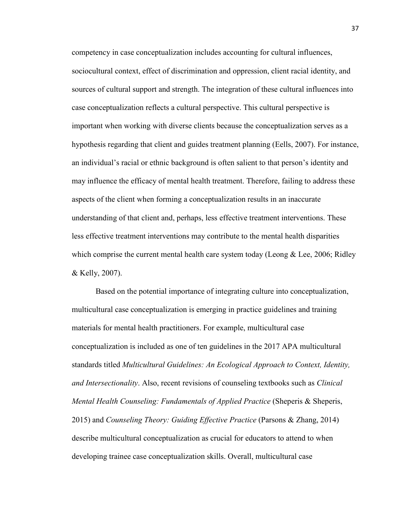competency in case conceptualization includes accounting for cultural influences, sociocultural context, effect of discrimination and oppression, client racial identity, and sources of cultural support and strength. The integration of these cultural influences into case conceptualization reflects a cultural perspective. This cultural perspective is important when working with diverse clients because the conceptualization serves as a hypothesis regarding that client and guides treatment planning (Eells, 2007). For instance, an individual's racial or ethnic background is often salient to that person's identity and may influence the efficacy of mental health treatment. Therefore, failing to address these aspects of the client when forming a conceptualization results in an inaccurate understanding of that client and, perhaps, less effective treatment interventions. These less effective treatment interventions may contribute to the mental health disparities which comprise the current mental health care system today (Leong  $\&$  Lee, 2006; Ridley & Kelly, 2007).

Based on the potential importance of integrating culture into conceptualization, multicultural case conceptualization is emerging in practice guidelines and training materials for mental health practitioners. For example, multicultural case conceptualization is included as one of ten guidelines in the 2017 APA multicultural standards titled *Multicultural Guidelines: An Ecological Approach to Context, Identity, and Intersectionality*. Also, recent revisions of counseling textbooks such as *Clinical Mental Health Counseling: Fundamentals of Applied Practice (Sheperis & Sheperis,* 2015) and *Counseling Theory: Guiding Effective Practice* (Parsons & Zhang, 2014) describe multicultural conceptualization as crucial for educators to attend to when developing trainee case conceptualization skills. Overall, multicultural case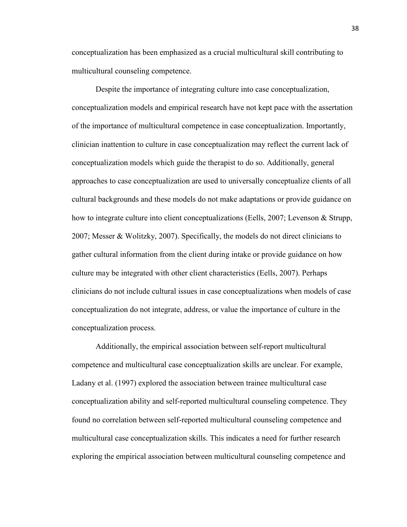conceptualization has been emphasized as a crucial multicultural skill contributing to multicultural counseling competence.

Despite the importance of integrating culture into case conceptualization, conceptualization models and empirical research have not kept pace with the assertation of the importance of multicultural competence in case conceptualization. Importantly, clinician inattention to culture in case conceptualization may reflect the current lack of conceptualization models which guide the therapist to do so. Additionally, general approaches to case conceptualization are used to universally conceptualize clients of all cultural backgrounds and these models do not make adaptations or provide guidance on how to integrate culture into client conceptualizations (Eells, 2007; Levenson & Strupp, 2007; Messer & Wolitzky, 2007). Specifically, the models do not direct clinicians to gather cultural information from the client during intake or provide guidance on how culture may be integrated with other client characteristics (Eells, 2007). Perhaps clinicians do not include cultural issues in case conceptualizations when models of case conceptualization do not integrate, address, or value the importance of culture in the conceptualization process.

Additionally, the empirical association between self-report multicultural competence and multicultural case conceptualization skills are unclear. For example, Ladany et al. (1997) explored the association between trainee multicultural case conceptualization ability and self-reported multicultural counseling competence. They found no correlation between self-reported multicultural counseling competence and multicultural case conceptualization skills. This indicates a need for further research exploring the empirical association between multicultural counseling competence and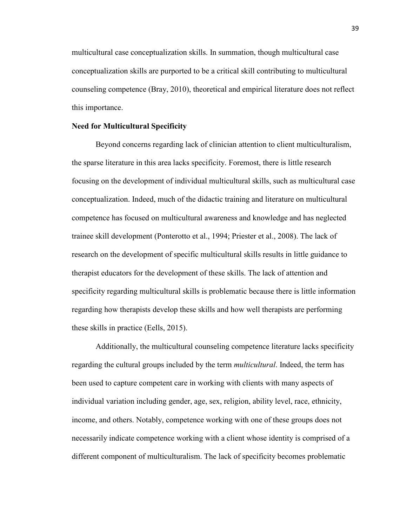multicultural case conceptualization skills. In summation, though multicultural case conceptualization skills are purported to be a critical skill contributing to multicultural counseling competence (Bray, 2010), theoretical and empirical literature does not reflect this importance.

# **Need for Multicultural Specificity**

 Beyond concerns regarding lack of clinician attention to client multiculturalism, the sparse literature in this area lacks specificity. Foremost, there is little research focusing on the development of individual multicultural skills, such as multicultural case conceptualization. Indeed, much of the didactic training and literature on multicultural competence has focused on multicultural awareness and knowledge and has neglected trainee skill development (Ponterotto et al., 1994; Priester et al., 2008). The lack of research on the development of specific multicultural skills results in little guidance to therapist educators for the development of these skills. The lack of attention and specificity regarding multicultural skills is problematic because there is little information regarding how therapists develop these skills and how well therapists are performing these skills in practice (Eells, 2015).

 Additionally, the multicultural counseling competence literature lacks specificity regarding the cultural groups included by the term *multicultural*. Indeed, the term has been used to capture competent care in working with clients with many aspects of individual variation including gender, age, sex, religion, ability level, race, ethnicity, income, and others. Notably, competence working with one of these groups does not necessarily indicate competence working with a client whose identity is comprised of a different component of multiculturalism. The lack of specificity becomes problematic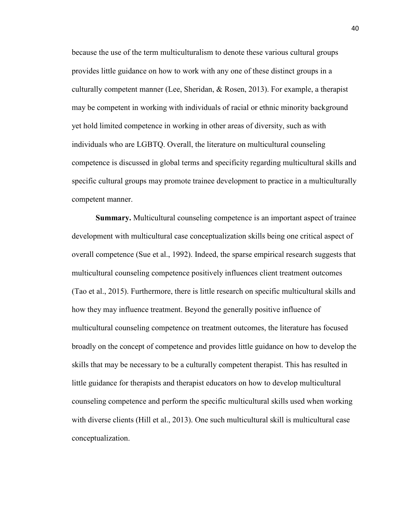because the use of the term multiculturalism to denote these various cultural groups provides little guidance on how to work with any one of these distinct groups in a culturally competent manner (Lee, Sheridan, & Rosen, 2013). For example, a therapist may be competent in working with individuals of racial or ethnic minority background yet hold limited competence in working in other areas of diversity, such as with individuals who are LGBTQ. Overall, the literature on multicultural counseling competence is discussed in global terms and specificity regarding multicultural skills and specific cultural groups may promote trainee development to practice in a multiculturally competent manner.

**Summary.** Multicultural counseling competence is an important aspect of trainee development with multicultural case conceptualization skills being one critical aspect of overall competence (Sue et al., 1992). Indeed, the sparse empirical research suggests that multicultural counseling competence positively influences client treatment outcomes (Tao et al., 2015). Furthermore, there is little research on specific multicultural skills and how they may influence treatment. Beyond the generally positive influence of multicultural counseling competence on treatment outcomes, the literature has focused broadly on the concept of competence and provides little guidance on how to develop the skills that may be necessary to be a culturally competent therapist. This has resulted in little guidance for therapists and therapist educators on how to develop multicultural counseling competence and perform the specific multicultural skills used when working with diverse clients (Hill et al., 2013). One such multicultural skill is multicultural case conceptualization.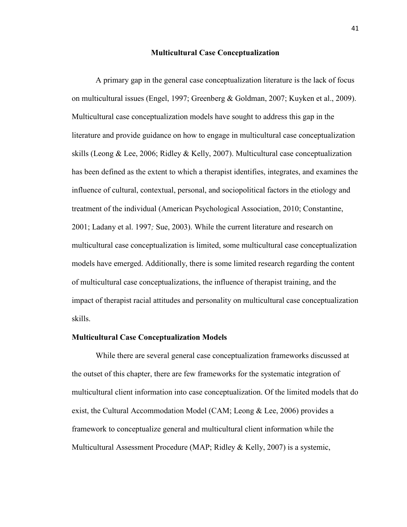### **Multicultural Case Conceptualization**

A primary gap in the general case conceptualization literature is the lack of focus on multicultural issues (Engel, 1997; Greenberg & Goldman, 2007; Kuyken et al., 2009). Multicultural case conceptualization models have sought to address this gap in the literature and provide guidance on how to engage in multicultural case conceptualization skills (Leong & Lee, 2006; Ridley & Kelly, 2007). Multicultural case conceptualization has been defined as the extent to which a therapist identifies, integrates, and examines the influence of cultural, contextual, personal, and sociopolitical factors in the etiology and treatment of the individual (American Psychological Association, 2010; Constantine, 2001; Ladany et al. 1997*;* Sue, 2003). While the current literature and research on multicultural case conceptualization is limited, some multicultural case conceptualization models have emerged. Additionally, there is some limited research regarding the content of multicultural case conceptualizations, the influence of therapist training, and the impact of therapist racial attitudes and personality on multicultural case conceptualization skills.

### **Multicultural Case Conceptualization Models**

While there are several general case conceptualization frameworks discussed at the outset of this chapter, there are few frameworks for the systematic integration of multicultural client information into case conceptualization. Of the limited models that do exist, the Cultural Accommodation Model (CAM; Leong & Lee, 2006) provides a framework to conceptualize general and multicultural client information while the Multicultural Assessment Procedure (MAP; Ridley & Kelly, 2007) is a systemic,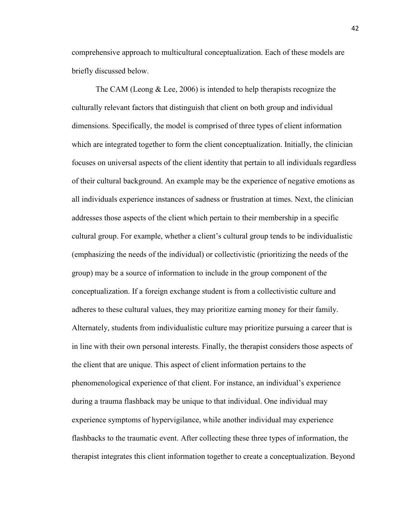comprehensive approach to multicultural conceptualization. Each of these models are briefly discussed below.

The CAM (Leong & Lee, 2006) is intended to help therapists recognize the culturally relevant factors that distinguish that client on both group and individual dimensions. Specifically, the model is comprised of three types of client information which are integrated together to form the client conceptualization. Initially, the clinician focuses on universal aspects of the client identity that pertain to all individuals regardless of their cultural background. An example may be the experience of negative emotions as all individuals experience instances of sadness or frustration at times. Next, the clinician addresses those aspects of the client which pertain to their membership in a specific cultural group. For example, whether a client's cultural group tends to be individualistic (emphasizing the needs of the individual) or collectivistic (prioritizing the needs of the group) may be a source of information to include in the group component of the conceptualization. If a foreign exchange student is from a collectivistic culture and adheres to these cultural values, they may prioritize earning money for their family. Alternately, students from individualistic culture may prioritize pursuing a career that is in line with their own personal interests. Finally, the therapist considers those aspects of the client that are unique. This aspect of client information pertains to the phenomenological experience of that client. For instance, an individual's experience during a trauma flashback may be unique to that individual. One individual may experience symptoms of hypervigilance, while another individual may experience flashbacks to the traumatic event. After collecting these three types of information, the therapist integrates this client information together to create a conceptualization. Beyond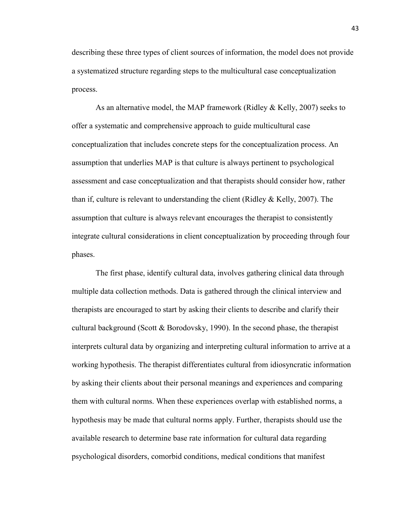describing these three types of client sources of information, the model does not provide a systematized structure regarding steps to the multicultural case conceptualization process.

As an alternative model, the MAP framework (Ridley & Kelly, 2007) seeks to offer a systematic and comprehensive approach to guide multicultural case conceptualization that includes concrete steps for the conceptualization process. An assumption that underlies MAP is that culture is always pertinent to psychological assessment and case conceptualization and that therapists should consider how, rather than if, culture is relevant to understanding the client (Ridley  $&$  Kelly, 2007). The assumption that culture is always relevant encourages the therapist to consistently integrate cultural considerations in client conceptualization by proceeding through four phases.

The first phase, identify cultural data, involves gathering clinical data through multiple data collection methods. Data is gathered through the clinical interview and therapists are encouraged to start by asking their clients to describe and clarify their cultural background (Scott & Borodovsky, 1990). In the second phase, the therapist interprets cultural data by organizing and interpreting cultural information to arrive at a working hypothesis. The therapist differentiates cultural from idiosyncratic information by asking their clients about their personal meanings and experiences and comparing them with cultural norms. When these experiences overlap with established norms, a hypothesis may be made that cultural norms apply. Further, therapists should use the available research to determine base rate information for cultural data regarding psychological disorders, comorbid conditions, medical conditions that manifest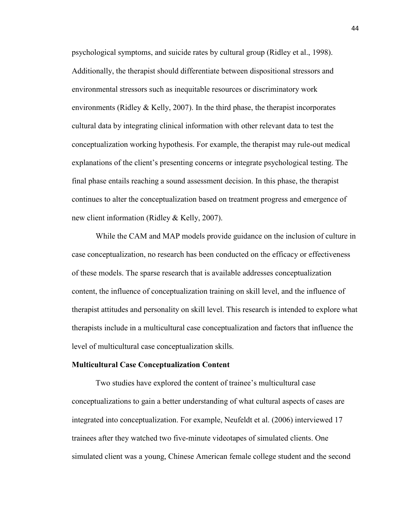psychological symptoms, and suicide rates by cultural group (Ridley et al., 1998). Additionally, the therapist should differentiate between dispositional stressors and environmental stressors such as inequitable resources or discriminatory work environments (Ridley  $&$  Kelly, 2007). In the third phase, the therapist incorporates cultural data by integrating clinical information with other relevant data to test the conceptualization working hypothesis. For example, the therapist may rule-out medical explanations of the client's presenting concerns or integrate psychological testing. The final phase entails reaching a sound assessment decision. In this phase, the therapist continues to alter the conceptualization based on treatment progress and emergence of new client information (Ridley & Kelly, 2007).

While the CAM and MAP models provide guidance on the inclusion of culture in case conceptualization, no research has been conducted on the efficacy or effectiveness of these models. The sparse research that is available addresses conceptualization content, the influence of conceptualization training on skill level, and the influence of therapist attitudes and personality on skill level. This research is intended to explore what therapists include in a multicultural case conceptualization and factors that influence the level of multicultural case conceptualization skills.

#### **Multicultural Case Conceptualization Content**

Two studies have explored the content of trainee's multicultural case conceptualizations to gain a better understanding of what cultural aspects of cases are integrated into conceptualization. For example, Neufeldt et al. (2006) interviewed 17 trainees after they watched two five-minute videotapes of simulated clients. One simulated client was a young, Chinese American female college student and the second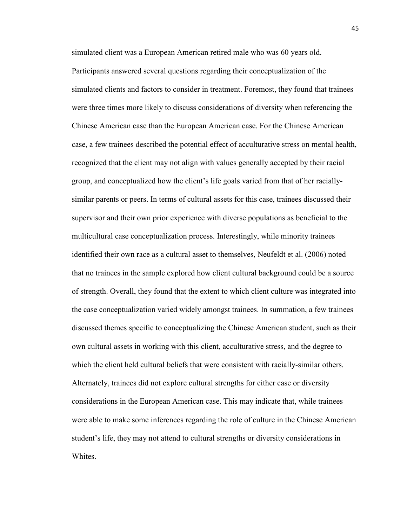simulated client was a European American retired male who was 60 years old. Participants answered several questions regarding their conceptualization of the simulated clients and factors to consider in treatment. Foremost, they found that trainees were three times more likely to discuss considerations of diversity when referencing the Chinese American case than the European American case. For the Chinese American case, a few trainees described the potential effect of acculturative stress on mental health, recognized that the client may not align with values generally accepted by their racial group, and conceptualized how the client's life goals varied from that of her raciallysimilar parents or peers. In terms of cultural assets for this case, trainees discussed their supervisor and their own prior experience with diverse populations as beneficial to the multicultural case conceptualization process. Interestingly, while minority trainees identified their own race as a cultural asset to themselves, Neufeldt et al. (2006) noted that no trainees in the sample explored how client cultural background could be a source of strength. Overall, they found that the extent to which client culture was integrated into the case conceptualization varied widely amongst trainees. In summation, a few trainees discussed themes specific to conceptualizing the Chinese American student, such as their own cultural assets in working with this client, acculturative stress, and the degree to which the client held cultural beliefs that were consistent with racially-similar others. Alternately, trainees did not explore cultural strengths for either case or diversity considerations in the European American case. This may indicate that, while trainees were able to make some inferences regarding the role of culture in the Chinese American student's life, they may not attend to cultural strengths or diversity considerations in Whites.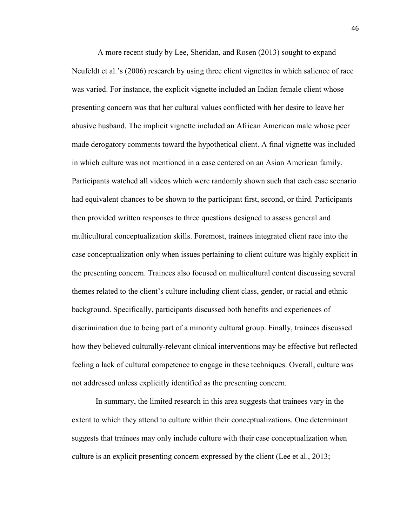A more recent study by Lee, Sheridan, and Rosen (2013) sought to expand Neufeldt et al.'s (2006) research by using three client vignettes in which salience of race was varied. For instance, the explicit vignette included an Indian female client whose presenting concern was that her cultural values conflicted with her desire to leave her abusive husband. The implicit vignette included an African American male whose peer made derogatory comments toward the hypothetical client. A final vignette was included in which culture was not mentioned in a case centered on an Asian American family. Participants watched all videos which were randomly shown such that each case scenario had equivalent chances to be shown to the participant first, second, or third. Participants then provided written responses to three questions designed to assess general and multicultural conceptualization skills. Foremost, trainees integrated client race into the case conceptualization only when issues pertaining to client culture was highly explicit in the presenting concern. Trainees also focused on multicultural content discussing several themes related to the client's culture including client class, gender, or racial and ethnic background. Specifically, participants discussed both benefits and experiences of discrimination due to being part of a minority cultural group. Finally, trainees discussed how they believed culturally-relevant clinical interventions may be effective but reflected feeling a lack of cultural competence to engage in these techniques. Overall, culture was not addressed unless explicitly identified as the presenting concern.

In summary, the limited research in this area suggests that trainees vary in the extent to which they attend to culture within their conceptualizations. One determinant suggests that trainees may only include culture with their case conceptualization when culture is an explicit presenting concern expressed by the client (Lee et al., 2013;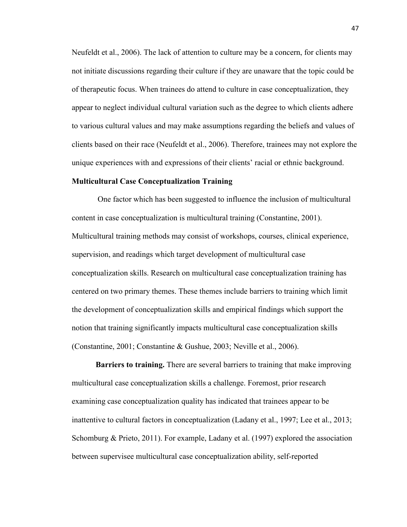Neufeldt et al., 2006). The lack of attention to culture may be a concern, for clients may not initiate discussions regarding their culture if they are unaware that the topic could be of therapeutic focus. When trainees do attend to culture in case conceptualization, they appear to neglect individual cultural variation such as the degree to which clients adhere to various cultural values and may make assumptions regarding the beliefs and values of clients based on their race (Neufeldt et al., 2006). Therefore, trainees may not explore the unique experiences with and expressions of their clients' racial or ethnic background.

#### **Multicultural Case Conceptualization Training**

One factor which has been suggested to influence the inclusion of multicultural content in case conceptualization is multicultural training (Constantine, 2001). Multicultural training methods may consist of workshops, courses, clinical experience, supervision, and readings which target development of multicultural case conceptualization skills. Research on multicultural case conceptualization training has centered on two primary themes. These themes include barriers to training which limit the development of conceptualization skills and empirical findings which support the notion that training significantly impacts multicultural case conceptualization skills (Constantine, 2001; Constantine & Gushue, 2003; Neville et al., 2006).

**Barriers to training.** There are several barriers to training that make improving multicultural case conceptualization skills a challenge. Foremost, prior research examining case conceptualization quality has indicated that trainees appear to be inattentive to cultural factors in conceptualization (Ladany et al., 1997; Lee et al., 2013; Schomburg & Prieto, 2011). For example, Ladany et al. (1997) explored the association between supervisee multicultural case conceptualization ability, self-reported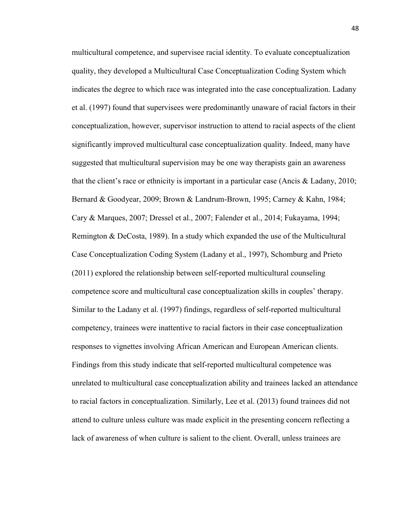multicultural competence, and supervisee racial identity. To evaluate conceptualization quality, they developed a Multicultural Case Conceptualization Coding System which indicates the degree to which race was integrated into the case conceptualization. Ladany et al. (1997) found that supervisees were predominantly unaware of racial factors in their conceptualization, however, supervisor instruction to attend to racial aspects of the client significantly improved multicultural case conceptualization quality. Indeed, many have suggested that multicultural supervision may be one way therapists gain an awareness that the client's race or ethnicity is important in a particular case (Ancis & Ladany, 2010; Bernard & Goodyear, 2009; Brown & Landrum-Brown, 1995; Carney & Kahn, 1984; Cary & Marques, 2007; Dressel et al., 2007; Falender et al., 2014; Fukayama, 1994; Remington & DeCosta, 1989). In a study which expanded the use of the Multicultural Case Conceptualization Coding System (Ladany et al., 1997), Schomburg and Prieto (2011) explored the relationship between self-reported multicultural counseling competence score and multicultural case conceptualization skills in couples' therapy. Similar to the Ladany et al. (1997) findings, regardless of self-reported multicultural competency, trainees were inattentive to racial factors in their case conceptualization responses to vignettes involving African American and European American clients. Findings from this study indicate that self-reported multicultural competence was unrelated to multicultural case conceptualization ability and trainees lacked an attendance to racial factors in conceptualization. Similarly, Lee et al. (2013) found trainees did not attend to culture unless culture was made explicit in the presenting concern reflecting a lack of awareness of when culture is salient to the client. Overall, unless trainees are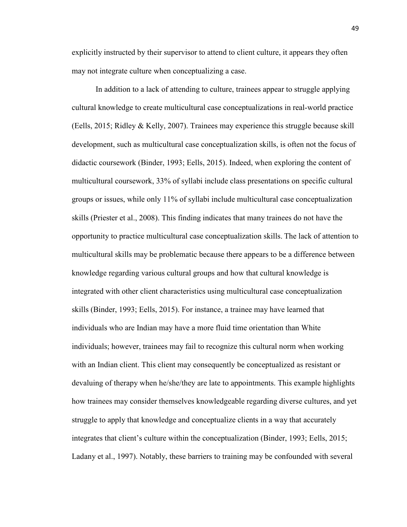explicitly instructed by their supervisor to attend to client culture, it appears they often may not integrate culture when conceptualizing a case.

In addition to a lack of attending to culture, trainees appear to struggle applying cultural knowledge to create multicultural case conceptualizations in real-world practice (Eells, 2015; Ridley & Kelly, 2007). Trainees may experience this struggle because skill development, such as multicultural case conceptualization skills, is often not the focus of didactic coursework (Binder, 1993; Eells, 2015). Indeed, when exploring the content of multicultural coursework, 33% of syllabi include class presentations on specific cultural groups or issues, while only 11% of syllabi include multicultural case conceptualization skills (Priester et al., 2008). This finding indicates that many trainees do not have the opportunity to practice multicultural case conceptualization skills. The lack of attention to multicultural skills may be problematic because there appears to be a difference between knowledge regarding various cultural groups and how that cultural knowledge is integrated with other client characteristics using multicultural case conceptualization skills (Binder, 1993; Eells, 2015). For instance, a trainee may have learned that individuals who are Indian may have a more fluid time orientation than White individuals; however, trainees may fail to recognize this cultural norm when working with an Indian client. This client may consequently be conceptualized as resistant or devaluing of therapy when he/she/they are late to appointments. This example highlights how trainees may consider themselves knowledgeable regarding diverse cultures, and yet struggle to apply that knowledge and conceptualize clients in a way that accurately integrates that client's culture within the conceptualization (Binder, 1993; Eells, 2015; Ladany et al., 1997). Notably, these barriers to training may be confounded with several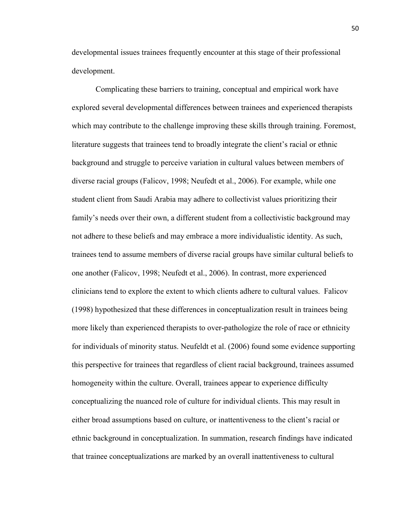developmental issues trainees frequently encounter at this stage of their professional development.

Complicating these barriers to training, conceptual and empirical work have explored several developmental differences between trainees and experienced therapists which may contribute to the challenge improving these skills through training. Foremost, literature suggests that trainees tend to broadly integrate the client's racial or ethnic background and struggle to perceive variation in cultural values between members of diverse racial groups (Falicov, 1998; Neufedt et al., 2006). For example, while one student client from Saudi Arabia may adhere to collectivist values prioritizing their family's needs over their own, a different student from a collectivistic background may not adhere to these beliefs and may embrace a more individualistic identity. As such, trainees tend to assume members of diverse racial groups have similar cultural beliefs to one another (Falicov, 1998; Neufedt et al., 2006). In contrast, more experienced clinicians tend to explore the extent to which clients adhere to cultural values. Falicov (1998) hypothesized that these differences in conceptualization result in trainees being more likely than experienced therapists to over-pathologize the role of race or ethnicity for individuals of minority status. Neufeldt et al. (2006) found some evidence supporting this perspective for trainees that regardless of client racial background, trainees assumed homogeneity within the culture. Overall, trainees appear to experience difficulty conceptualizing the nuanced role of culture for individual clients. This may result in either broad assumptions based on culture, or inattentiveness to the client's racial or ethnic background in conceptualization. In summation, research findings have indicated that trainee conceptualizations are marked by an overall inattentiveness to cultural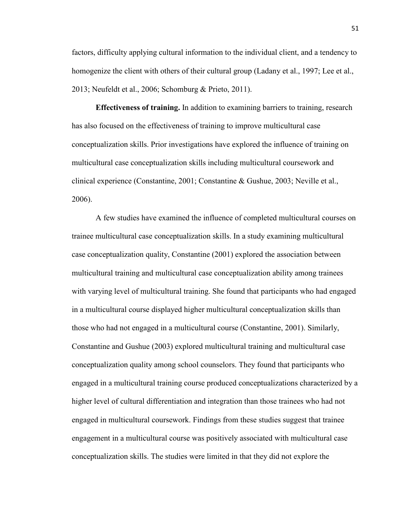factors, difficulty applying cultural information to the individual client, and a tendency to homogenize the client with others of their cultural group (Ladany et al., 1997; Lee et al., 2013; Neufeldt et al., 2006; Schomburg & Prieto, 2011).

**Effectiveness of training.** In addition to examining barriers to training, research has also focused on the effectiveness of training to improve multicultural case conceptualization skills. Prior investigations have explored the influence of training on multicultural case conceptualization skills including multicultural coursework and clinical experience (Constantine, 2001; Constantine & Gushue, 2003; Neville et al., 2006).

A few studies have examined the influence of completed multicultural courses on trainee multicultural case conceptualization skills. In a study examining multicultural case conceptualization quality, Constantine (2001) explored the association between multicultural training and multicultural case conceptualization ability among trainees with varying level of multicultural training. She found that participants who had engaged in a multicultural course displayed higher multicultural conceptualization skills than those who had not engaged in a multicultural course (Constantine, 2001). Similarly, Constantine and Gushue (2003) explored multicultural training and multicultural case conceptualization quality among school counselors. They found that participants who engaged in a multicultural training course produced conceptualizations characterized by a higher level of cultural differentiation and integration than those trainees who had not engaged in multicultural coursework. Findings from these studies suggest that trainee engagement in a multicultural course was positively associated with multicultural case conceptualization skills. The studies were limited in that they did not explore the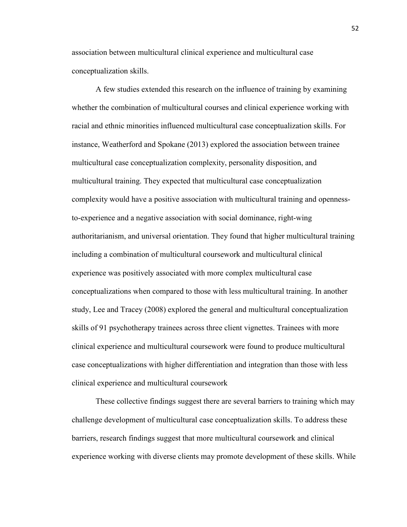association between multicultural clinical experience and multicultural case conceptualization skills.

A few studies extended this research on the influence of training by examining whether the combination of multicultural courses and clinical experience working with racial and ethnic minorities influenced multicultural case conceptualization skills. For instance, Weatherford and Spokane (2013) explored the association between trainee multicultural case conceptualization complexity, personality disposition, and multicultural training. They expected that multicultural case conceptualization complexity would have a positive association with multicultural training and opennessto-experience and a negative association with social dominance, right-wing authoritarianism, and universal orientation. They found that higher multicultural training including a combination of multicultural coursework and multicultural clinical experience was positively associated with more complex multicultural case conceptualizations when compared to those with less multicultural training. In another study, Lee and Tracey (2008) explored the general and multicultural conceptualization skills of 91 psychotherapy trainees across three client vignettes. Trainees with more clinical experience and multicultural coursework were found to produce multicultural case conceptualizations with higher differentiation and integration than those with less clinical experience and multicultural coursework

These collective findings suggest there are several barriers to training which may challenge development of multicultural case conceptualization skills. To address these barriers, research findings suggest that more multicultural coursework and clinical experience working with diverse clients may promote development of these skills. While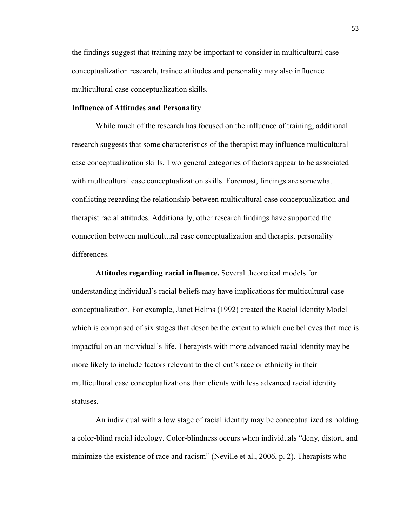the findings suggest that training may be important to consider in multicultural case conceptualization research, trainee attitudes and personality may also influence multicultural case conceptualization skills.

# **Influence of Attitudes and Personality**

While much of the research has focused on the influence of training, additional research suggests that some characteristics of the therapist may influence multicultural case conceptualization skills. Two general categories of factors appear to be associated with multicultural case conceptualization skills. Foremost, findings are somewhat conflicting regarding the relationship between multicultural case conceptualization and therapist racial attitudes. Additionally, other research findings have supported the connection between multicultural case conceptualization and therapist personality differences.

**Attitudes regarding racial influence.** Several theoretical models for understanding individual's racial beliefs may have implications for multicultural case conceptualization. For example, Janet Helms (1992) created the Racial Identity Model which is comprised of six stages that describe the extent to which one believes that race is impactful on an individual's life. Therapists with more advanced racial identity may be more likely to include factors relevant to the client's race or ethnicity in their multicultural case conceptualizations than clients with less advanced racial identity statuses.

An individual with a low stage of racial identity may be conceptualized as holding a color-blind racial ideology. Color-blindness occurs when individuals "deny, distort, and minimize the existence of race and racism" (Neville et al., 2006, p. 2). Therapists who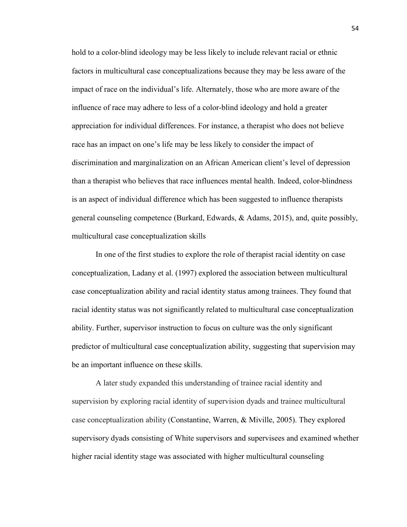hold to a color-blind ideology may be less likely to include relevant racial or ethnic factors in multicultural case conceptualizations because they may be less aware of the impact of race on the individual's life. Alternately, those who are more aware of the influence of race may adhere to less of a color-blind ideology and hold a greater appreciation for individual differences. For instance, a therapist who does not believe race has an impact on one's life may be less likely to consider the impact of discrimination and marginalization on an African American client's level of depression than a therapist who believes that race influences mental health. Indeed, color-blindness is an aspect of individual difference which has been suggested to influence therapists general counseling competence (Burkard, Edwards, & Adams, 2015), and, quite possibly, multicultural case conceptualization skills

In one of the first studies to explore the role of therapist racial identity on case conceptualization, Ladany et al. (1997) explored the association between multicultural case conceptualization ability and racial identity status among trainees. They found that racial identity status was not significantly related to multicultural case conceptualization ability. Further, supervisor instruction to focus on culture was the only significant predictor of multicultural case conceptualization ability, suggesting that supervision may be an important influence on these skills.

A later study expanded this understanding of trainee racial identity and supervision by exploring racial identity of supervision dyads and trainee multicultural case conceptualization ability (Constantine, Warren, & Miville, 2005). They explored supervisory dyads consisting of White supervisors and supervisees and examined whether higher racial identity stage was associated with higher multicultural counseling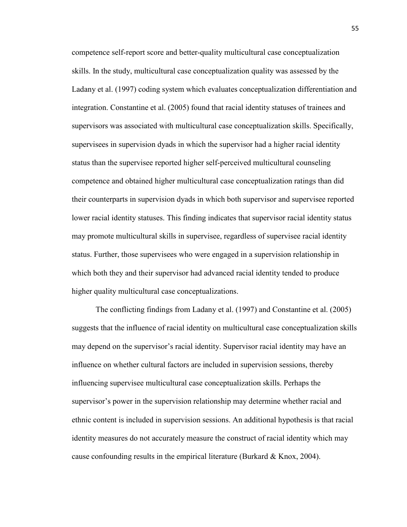competence self-report score and better-quality multicultural case conceptualization skills. In the study, multicultural case conceptualization quality was assessed by the Ladany et al. (1997) coding system which evaluates conceptualization differentiation and integration. Constantine et al. (2005) found that racial identity statuses of trainees and supervisors was associated with multicultural case conceptualization skills. Specifically, supervisees in supervision dyads in which the supervisor had a higher racial identity status than the supervisee reported higher self-perceived multicultural counseling competence and obtained higher multicultural case conceptualization ratings than did their counterparts in supervision dyads in which both supervisor and supervisee reported lower racial identity statuses. This finding indicates that supervisor racial identity status may promote multicultural skills in supervisee, regardless of supervisee racial identity status. Further, those supervisees who were engaged in a supervision relationship in which both they and their supervisor had advanced racial identity tended to produce higher quality multicultural case conceptualizations.

The conflicting findings from Ladany et al. (1997) and Constantine et al. (2005) suggests that the influence of racial identity on multicultural case conceptualization skills may depend on the supervisor's racial identity. Supervisor racial identity may have an influence on whether cultural factors are included in supervision sessions, thereby influencing supervisee multicultural case conceptualization skills. Perhaps the supervisor's power in the supervision relationship may determine whether racial and ethnic content is included in supervision sessions. An additional hypothesis is that racial identity measures do not accurately measure the construct of racial identity which may cause confounding results in the empirical literature (Burkard  $\&$  Knox, 2004).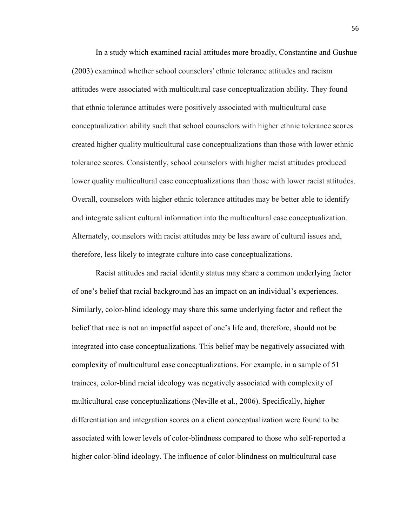In a study which examined racial attitudes more broadly, Constantine and Gushue (2003) examined whether school counselors' ethnic tolerance attitudes and racism attitudes were associated with multicultural case conceptualization ability. They found that ethnic tolerance attitudes were positively associated with multicultural case conceptualization ability such that school counselors with higher ethnic tolerance scores created higher quality multicultural case conceptualizations than those with lower ethnic tolerance scores. Consistently, school counselors with higher racist attitudes produced lower quality multicultural case conceptualizations than those with lower racist attitudes. Overall, counselors with higher ethnic tolerance attitudes may be better able to identify and integrate salient cultural information into the multicultural case conceptualization. Alternately, counselors with racist attitudes may be less aware of cultural issues and, therefore, less likely to integrate culture into case conceptualizations.

Racist attitudes and racial identity status may share a common underlying factor of one's belief that racial background has an impact on an individual's experiences. Similarly, color-blind ideology may share this same underlying factor and reflect the belief that race is not an impactful aspect of one's life and, therefore, should not be integrated into case conceptualizations. This belief may be negatively associated with complexity of multicultural case conceptualizations. For example, in a sample of 51 trainees, color-blind racial ideology was negatively associated with complexity of multicultural case conceptualizations (Neville et al., 2006). Specifically, higher differentiation and integration scores on a client conceptualization were found to be associated with lower levels of color-blindness compared to those who self-reported a higher color-blind ideology. The influence of color-blindness on multicultural case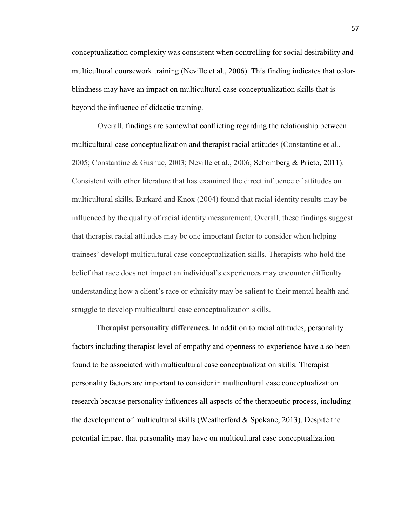conceptualization complexity was consistent when controlling for social desirability and multicultural coursework training (Neville et al., 2006). This finding indicates that colorblindness may have an impact on multicultural case conceptualization skills that is beyond the influence of didactic training.

Overall, findings are somewhat conflicting regarding the relationship between multicultural case conceptualization and therapist racial attitudes (Constantine et al., 2005; Constantine & Gushue, 2003; Neville et al., 2006; Schomberg & Prieto, 2011). Consistent with other literature that has examined the direct influence of attitudes on multicultural skills, Burkard and Knox (2004) found that racial identity results may be influenced by the quality of racial identity measurement. Overall, these findings suggest that therapist racial attitudes may be one important factor to consider when helping trainees' developt multicultural case conceptualization skills. Therapists who hold the belief that race does not impact an individual's experiences may encounter difficulty understanding how a client's race or ethnicity may be salient to their mental health and struggle to develop multicultural case conceptualization skills.

**Therapist personality differences.** In addition to racial attitudes, personality factors including therapist level of empathy and openness-to-experience have also been found to be associated with multicultural case conceptualization skills. Therapist personality factors are important to consider in multicultural case conceptualization research because personality influences all aspects of the therapeutic process, including the development of multicultural skills (Weatherford & Spokane, 2013). Despite the potential impact that personality may have on multicultural case conceptualization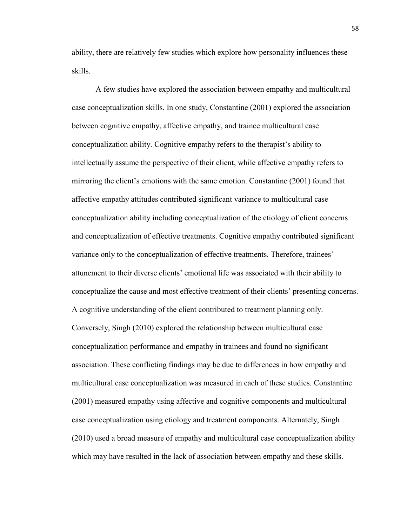ability, there are relatively few studies which explore how personality influences these skills.

A few studies have explored the association between empathy and multicultural case conceptualization skills. In one study, Constantine (2001) explored the association between cognitive empathy, affective empathy, and trainee multicultural case conceptualization ability. Cognitive empathy refers to the therapist's ability to intellectually assume the perspective of their client, while affective empathy refers to mirroring the client's emotions with the same emotion. Constantine (2001) found that affective empathy attitudes contributed significant variance to multicultural case conceptualization ability including conceptualization of the etiology of client concerns and conceptualization of effective treatments. Cognitive empathy contributed significant variance only to the conceptualization of effective treatments. Therefore, trainees' attunement to their diverse clients' emotional life was associated with their ability to conceptualize the cause and most effective treatment of their clients' presenting concerns. A cognitive understanding of the client contributed to treatment planning only. Conversely, Singh (2010) explored the relationship between multicultural case conceptualization performance and empathy in trainees and found no significant association. These conflicting findings may be due to differences in how empathy and multicultural case conceptualization was measured in each of these studies. Constantine (2001) measured empathy using affective and cognitive components and multicultural case conceptualization using etiology and treatment components. Alternately, Singh (2010) used a broad measure of empathy and multicultural case conceptualization ability which may have resulted in the lack of association between empathy and these skills.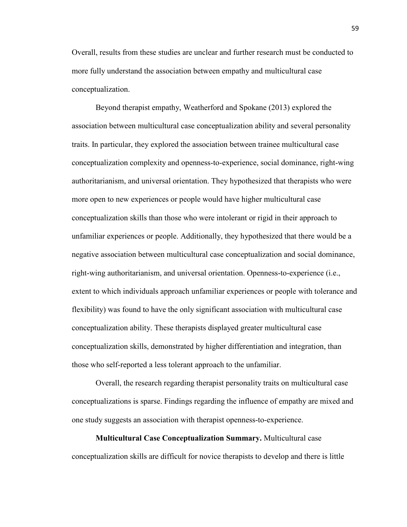Overall, results from these studies are unclear and further research must be conducted to more fully understand the association between empathy and multicultural case conceptualization.

Beyond therapist empathy, Weatherford and Spokane (2013) explored the association between multicultural case conceptualization ability and several personality traits. In particular, they explored the association between trainee multicultural case conceptualization complexity and openness-to-experience, social dominance, right-wing authoritarianism, and universal orientation. They hypothesized that therapists who were more open to new experiences or people would have higher multicultural case conceptualization skills than those who were intolerant or rigid in their approach to unfamiliar experiences or people. Additionally, they hypothesized that there would be a negative association between multicultural case conceptualization and social dominance, right-wing authoritarianism, and universal orientation. Openness-to-experience (i.e., extent to which individuals approach unfamiliar experiences or people with tolerance and flexibility) was found to have the only significant association with multicultural case conceptualization ability. These therapists displayed greater multicultural case conceptualization skills, demonstrated by higher differentiation and integration, than those who self-reported a less tolerant approach to the unfamiliar.

Overall, the research regarding therapist personality traits on multicultural case conceptualizations is sparse. Findings regarding the influence of empathy are mixed and one study suggests an association with therapist openness-to-experience.

**Multicultural Case Conceptualization Summary.** Multicultural case conceptualization skills are difficult for novice therapists to develop and there is little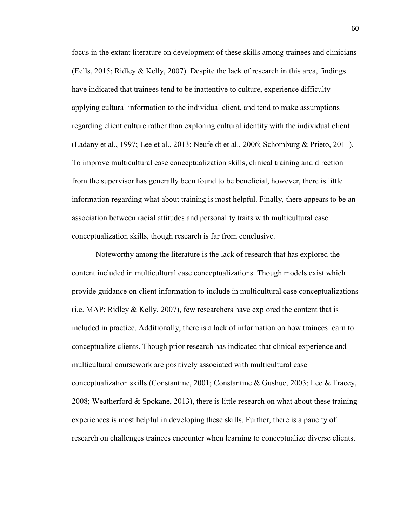focus in the extant literature on development of these skills among trainees and clinicians (Eells, 2015; Ridley & Kelly, 2007). Despite the lack of research in this area, findings have indicated that trainees tend to be inattentive to culture, experience difficulty applying cultural information to the individual client, and tend to make assumptions regarding client culture rather than exploring cultural identity with the individual client (Ladany et al., 1997; Lee et al., 2013; Neufeldt et al., 2006; Schomburg & Prieto, 2011). To improve multicultural case conceptualization skills, clinical training and direction from the supervisor has generally been found to be beneficial, however, there is little information regarding what about training is most helpful. Finally, there appears to be an association between racial attitudes and personality traits with multicultural case conceptualization skills, though research is far from conclusive.

Noteworthy among the literature is the lack of research that has explored the content included in multicultural case conceptualizations. Though models exist which provide guidance on client information to include in multicultural case conceptualizations (i.e. MAP; Ridley  $&$  Kelly, 2007), few researchers have explored the content that is included in practice. Additionally, there is a lack of information on how trainees learn to conceptualize clients. Though prior research has indicated that clinical experience and multicultural coursework are positively associated with multicultural case conceptualization skills (Constantine, 2001; Constantine & Gushue, 2003; Lee & Tracey, 2008; Weatherford & Spokane, 2013), there is little research on what about these training experiences is most helpful in developing these skills. Further, there is a paucity of research on challenges trainees encounter when learning to conceptualize diverse clients.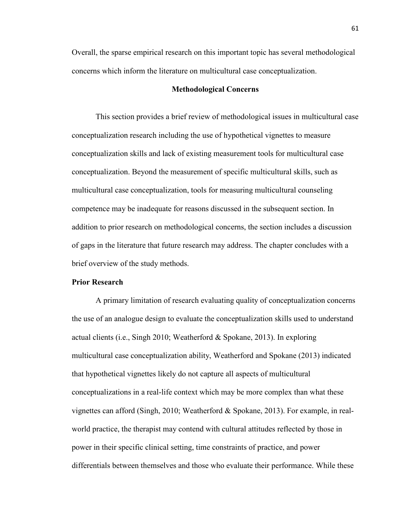Overall, the sparse empirical research on this important topic has several methodological concerns which inform the literature on multicultural case conceptualization.

# **Methodological Concerns**

This section provides a brief review of methodological issues in multicultural case conceptualization research including the use of hypothetical vignettes to measure conceptualization skills and lack of existing measurement tools for multicultural case conceptualization. Beyond the measurement of specific multicultural skills, such as multicultural case conceptualization, tools for measuring multicultural counseling competence may be inadequate for reasons discussed in the subsequent section. In addition to prior research on methodological concerns, the section includes a discussion of gaps in the literature that future research may address. The chapter concludes with a brief overview of the study methods.

# **Prior Research**

A primary limitation of research evaluating quality of conceptualization concerns the use of an analogue design to evaluate the conceptualization skills used to understand actual clients (i.e., Singh 2010; Weatherford & Spokane, 2013). In exploring multicultural case conceptualization ability, Weatherford and Spokane (2013) indicated that hypothetical vignettes likely do not capture all aspects of multicultural conceptualizations in a real-life context which may be more complex than what these vignettes can afford (Singh, 2010; Weatherford & Spokane, 2013). For example, in realworld practice, the therapist may contend with cultural attitudes reflected by those in power in their specific clinical setting, time constraints of practice, and power differentials between themselves and those who evaluate their performance. While these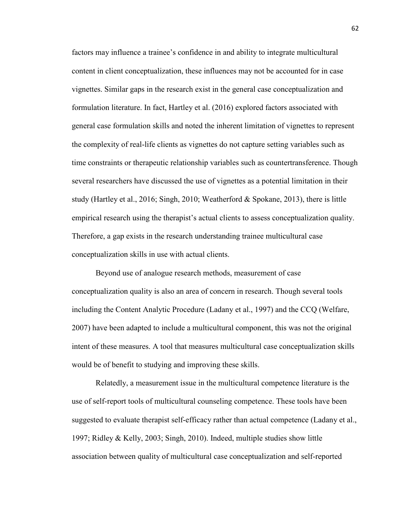factors may influence a trainee's confidence in and ability to integrate multicultural content in client conceptualization, these influences may not be accounted for in case vignettes. Similar gaps in the research exist in the general case conceptualization and formulation literature. In fact, Hartley et al. (2016) explored factors associated with general case formulation skills and noted the inherent limitation of vignettes to represent the complexity of real-life clients as vignettes do not capture setting variables such as time constraints or therapeutic relationship variables such as countertransference. Though several researchers have discussed the use of vignettes as a potential limitation in their study (Hartley et al., 2016; Singh, 2010; Weatherford & Spokane, 2013), there is little empirical research using the therapist's actual clients to assess conceptualization quality. Therefore, a gap exists in the research understanding trainee multicultural case conceptualization skills in use with actual clients.

Beyond use of analogue research methods, measurement of case conceptualization quality is also an area of concern in research. Though several tools including the Content Analytic Procedure (Ladany et al., 1997) and the CCQ (Welfare, 2007) have been adapted to include a multicultural component, this was not the original intent of these measures. A tool that measures multicultural case conceptualization skills would be of benefit to studying and improving these skills.

Relatedly, a measurement issue in the multicultural competence literature is the use of self-report tools of multicultural counseling competence. These tools have been suggested to evaluate therapist self-efficacy rather than actual competence (Ladany et al., 1997; Ridley & Kelly, 2003; Singh, 2010). Indeed, multiple studies show little association between quality of multicultural case conceptualization and self-reported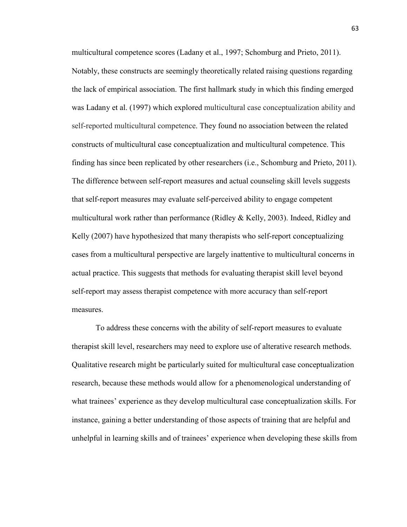multicultural competence scores (Ladany et al., 1997; Schomburg and Prieto, 2011). Notably, these constructs are seemingly theoretically related raising questions regarding the lack of empirical association. The first hallmark study in which this finding emerged was Ladany et al. (1997) which explored multicultural case conceptualization ability and self-reported multicultural competence. They found no association between the related constructs of multicultural case conceptualization and multicultural competence. This finding has since been replicated by other researchers (i.e., Schomburg and Prieto, 2011). The difference between self-report measures and actual counseling skill levels suggests that self-report measures may evaluate self-perceived ability to engage competent multicultural work rather than performance (Ridley  $\&$  Kelly, 2003). Indeed, Ridley and Kelly (2007) have hypothesized that many therapists who self-report conceptualizing cases from a multicultural perspective are largely inattentive to multicultural concerns in actual practice. This suggests that methods for evaluating therapist skill level beyond self-report may assess therapist competence with more accuracy than self-report measures.

To address these concerns with the ability of self-report measures to evaluate therapist skill level, researchers may need to explore use of alterative research methods. Qualitative research might be particularly suited for multicultural case conceptualization research, because these methods would allow for a phenomenological understanding of what trainees' experience as they develop multicultural case conceptualization skills. For instance, gaining a better understanding of those aspects of training that are helpful and unhelpful in learning skills and of trainees' experience when developing these skills from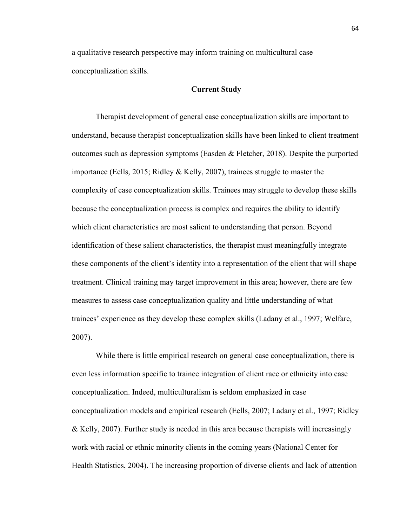a qualitative research perspective may inform training on multicultural case conceptualization skills.

## **Current Study**

Therapist development of general case conceptualization skills are important to understand, because therapist conceptualization skills have been linked to client treatment outcomes such as depression symptoms (Easden & Fletcher, 2018). Despite the purported importance (Eells, 2015; Ridley & Kelly, 2007), trainees struggle to master the complexity of case conceptualization skills. Trainees may struggle to develop these skills because the conceptualization process is complex and requires the ability to identify which client characteristics are most salient to understanding that person. Beyond identification of these salient characteristics, the therapist must meaningfully integrate these components of the client's identity into a representation of the client that will shape treatment. Clinical training may target improvement in this area; however, there are few measures to assess case conceptualization quality and little understanding of what trainees' experience as they develop these complex skills (Ladany et al., 1997; Welfare, 2007).

While there is little empirical research on general case conceptualization, there is even less information specific to trainee integration of client race or ethnicity into case conceptualization. Indeed, multiculturalism is seldom emphasized in case conceptualization models and empirical research (Eells, 2007; Ladany et al., 1997; Ridley & Kelly, 2007). Further study is needed in this area because therapists will increasingly work with racial or ethnic minority clients in the coming years (National Center for Health Statistics, 2004). The increasing proportion of diverse clients and lack of attention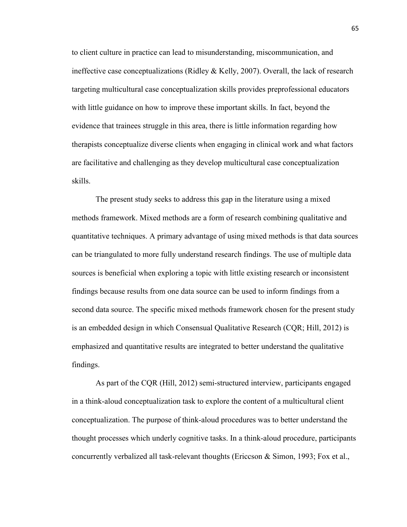to client culture in practice can lead to misunderstanding, miscommunication, and ineffective case conceptualizations (Ridley & Kelly, 2007). Overall, the lack of research targeting multicultural case conceptualization skills provides preprofessional educators with little guidance on how to improve these important skills. In fact, beyond the evidence that trainees struggle in this area, there is little information regarding how therapists conceptualize diverse clients when engaging in clinical work and what factors are facilitative and challenging as they develop multicultural case conceptualization skills.

The present study seeks to address this gap in the literature using a mixed methods framework. Mixed methods are a form of research combining qualitative and quantitative techniques. A primary advantage of using mixed methods is that data sources can be triangulated to more fully understand research findings. The use of multiple data sources is beneficial when exploring a topic with little existing research or inconsistent findings because results from one data source can be used to inform findings from a second data source. The specific mixed methods framework chosen for the present study is an embedded design in which Consensual Qualitative Research (CQR; Hill, 2012) is emphasized and quantitative results are integrated to better understand the qualitative findings.

As part of the CQR (Hill, 2012) semi-structured interview, participants engaged in a think-aloud conceptualization task to explore the content of a multicultural client conceptualization. The purpose of think-aloud procedures was to better understand the thought processes which underly cognitive tasks. In a think-aloud procedure, participants concurrently verbalized all task-relevant thoughts (Ericcson & Simon, 1993; Fox et al.,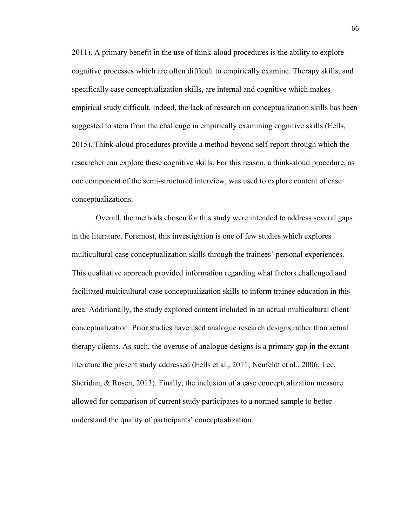2011). A primary benefit in the use of think-aloud procedures is the ability to explore cognitive processes which are often difficult to empirically examine. Therapy skills, and specifically case conceptualization skills, are internal and cognitive which makes empirical study difficult. Indeed, the lack of research on conceptualization skills has been suggested to stem from the challenge in empirically examining cognitive skills (Eells, 2015). Think-aloud procedures provide a method beyond self-report through which the researcher can explore these cognitive skills. For this reason, a think-aloud procedure, as one component of the semi-structured interview, was used to explore content of case conceptualizations.

Overall, the methods chosen for this study were intended to address several gaps in the literature. Foremost, this investigation is one of few studies which explores multicultural case conceptualization skills through the trainees' personal experiences. This qualitative approach provided information regarding what factors challenged and facilitated multicultural case conceptualization skills to inform trainee education in this area. Additionally, the study explored content included in an actual multicultural client conceptualization. Prior studies have used analogue research designs rather than actual therapy clients. As such, the overuse of analogue designs is a primary gap in the extant literature the present study addressed (Eells et al., 2011; Neufeldt et al., 2006; Lee, Sheridan, & Rosen, 2013). Finally, the inclusion of a case conceptualization measure allowed for comparison of current study participates to a normed sample to better understand the quality of participants' conceptualization.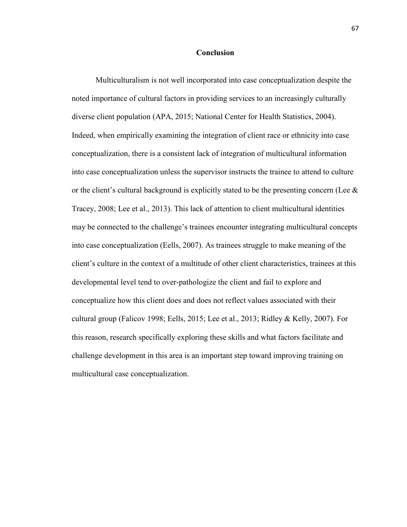#### **Conclusion**

Multiculturalism is not well incorporated into case conceptualization despite the noted importance of cultural factors in providing services to an increasingly culturally diverse client population (APA, 2015; National Center for Health Statistics, 2004). Indeed, when empirically examining the integration of client race or ethnicity into case conceptualization, there is a consistent lack of integration of multicultural information into case conceptualization unless the supervisor instructs the trainee to attend to culture or the client's cultural background is explicitly stated to be the presenting concern (Lee & Tracey, 2008; Lee et al., 2013). This lack of attention to client multicultural identities may be connected to the challenge's trainees encounter integrating multicultural concepts into case conceptualization (Eells, 2007). As trainees struggle to make meaning of the client's culture in the context of a multitude of other client characteristics, trainees at this developmental level tend to over-pathologize the client and fail to explore and conceptualize how this client does and does not reflect values associated with their cultural group (Falicov 1998; Eells, 2015; Lee et al., 2013; Ridley & Kelly, 2007). For this reason, research specifically exploring these skills and what factors facilitate and challenge development in this area is an important step toward improving training on multicultural case conceptualization.

67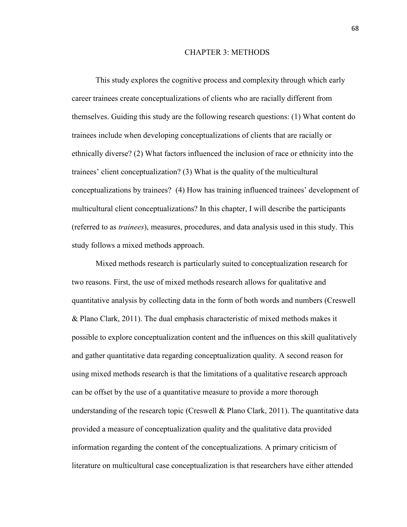#### CHAPTER 3: METHODS

This study explores the cognitive process and complexity through which early career trainees create conceptualizations of clients who are racially different from themselves. Guiding this study are the following research questions: (1) What content do trainees include when developing conceptualizations of clients that are racially or ethnically diverse? (2) What factors influenced the inclusion of race or ethnicity into the trainees' client conceptualization? (3) What is the quality of the multicultural conceptualizations by trainees? (4) How has training influenced trainees' development of multicultural client conceptualizations? In this chapter, I will describe the participants (referred to as *trainees*), measures, procedures, and data analysis used in this study. This study follows a mixed methods approach.

Mixed methods research is particularly suited to conceptualization research for two reasons. First, the use of mixed methods research allows for qualitative and quantitative analysis by collecting data in the form of both words and numbers (Creswell & Plano Clark, 2011). The dual emphasis characteristic of mixed methods makes it possible to explore conceptualization content and the influences on this skill qualitatively and gather quantitative data regarding conceptualization quality. A second reason for using mixed methods research is that the limitations of a qualitative research approach can be offset by the use of a quantitative measure to provide a more thorough understanding of the research topic (Creswell & Plano Clark, 2011). The quantitative data provided a measure of conceptualization quality and the qualitative data provided information regarding the content of the conceptualizations. A primary criticism of literature on multicultural case conceptualization is that researchers have either attended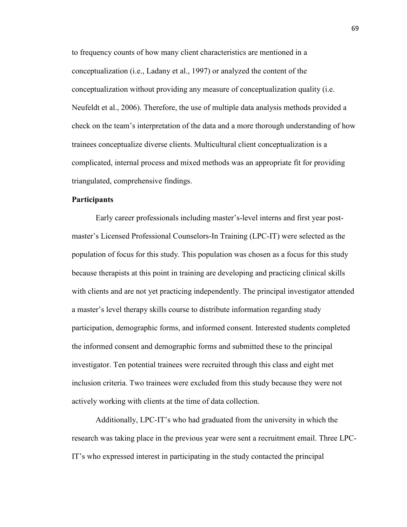to frequency counts of how many client characteristics are mentioned in a conceptualization (i.e., Ladany et al., 1997) or analyzed the content of the conceptualization without providing any measure of conceptualization quality (i.e. Neufeldt et al., 2006). Therefore, the use of multiple data analysis methods provided a check on the team's interpretation of the data and a more thorough understanding of how trainees conceptualize diverse clients. Multicultural client conceptualization is a complicated, internal process and mixed methods was an appropriate fit for providing triangulated, comprehensive findings.

### **Participants**

Early career professionals including master's-level interns and first year postmaster's Licensed Professional Counselors-In Training (LPC-IT) were selected as the population of focus for this study. This population was chosen as a focus for this study because therapists at this point in training are developing and practicing clinical skills with clients and are not yet practicing independently. The principal investigator attended a master's level therapy skills course to distribute information regarding study participation, demographic forms, and informed consent. Interested students completed the informed consent and demographic forms and submitted these to the principal investigator. Ten potential trainees were recruited through this class and eight met inclusion criteria. Two trainees were excluded from this study because they were not actively working with clients at the time of data collection.

Additionally, LPC-IT's who had graduated from the university in which the research was taking place in the previous year were sent a recruitment email. Three LPC-IT's who expressed interest in participating in the study contacted the principal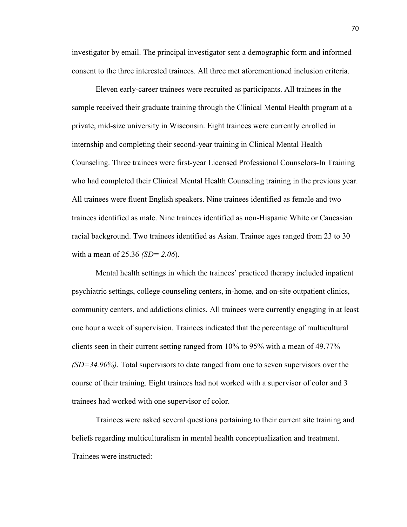investigator by email. The principal investigator sent a demographic form and informed consent to the three interested trainees. All three met aforementioned inclusion criteria.

Eleven early-career trainees were recruited as participants. All trainees in the sample received their graduate training through the Clinical Mental Health program at a private, mid-size university in Wisconsin. Eight trainees were currently enrolled in internship and completing their second-year training in Clinical Mental Health Counseling. Three trainees were first-year Licensed Professional Counselors-In Training who had completed their Clinical Mental Health Counseling training in the previous year. All trainees were fluent English speakers. Nine trainees identified as female and two trainees identified as male. Nine trainees identified as non-Hispanic White or Caucasian racial background. Two trainees identified as Asian. Trainee ages ranged from 23 to 30 with a mean of 25.36 *(SD= 2.06*).

Mental health settings in which the trainees' practiced therapy included inpatient psychiatric settings, college counseling centers, in-home, and on-site outpatient clinics, community centers, and addictions clinics. All trainees were currently engaging in at least one hour a week of supervision. Trainees indicated that the percentage of multicultural clients seen in their current setting ranged from 10% to 95% with a mean of 49.77% *(SD=34.90%)*. Total supervisors to date ranged from one to seven supervisors over the course of their training. Eight trainees had not worked with a supervisor of color and 3 trainees had worked with one supervisor of color.

Trainees were asked several questions pertaining to their current site training and beliefs regarding multiculturalism in mental health conceptualization and treatment. Trainees were instructed: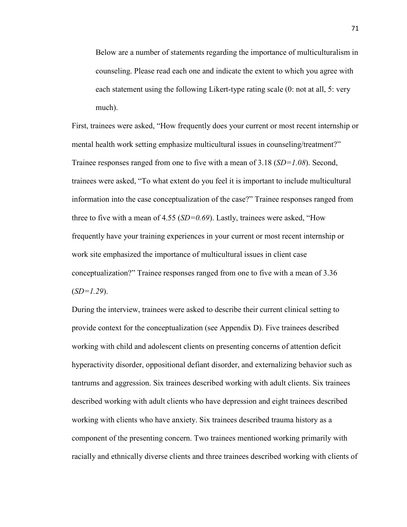Below are a number of statements regarding the importance of multiculturalism in counseling. Please read each one and indicate the extent to which you agree with each statement using the following Likert-type rating scale (0: not at all, 5: very much).

First, trainees were asked, "How frequently does your current or most recent internship or mental health work setting emphasize multicultural issues in counseling/treatment?" Trainee responses ranged from one to five with a mean of 3.18 (*SD=1.08*). Second, trainees were asked, "To what extent do you feel it is important to include multicultural information into the case conceptualization of the case?" Trainee responses ranged from three to five with a mean of 4.55 (*SD=0.69*). Lastly, trainees were asked, "How frequently have your training experiences in your current or most recent internship or work site emphasized the importance of multicultural issues in client case conceptualization?" Trainee responses ranged from one to five with a mean of 3.36 (*SD=1.29*).

During the interview, trainees were asked to describe their current clinical setting to provide context for the conceptualization (see Appendix D). Five trainees described working with child and adolescent clients on presenting concerns of attention deficit hyperactivity disorder, oppositional defiant disorder, and externalizing behavior such as tantrums and aggression. Six trainees described working with adult clients. Six trainees described working with adult clients who have depression and eight trainees described working with clients who have anxiety. Six trainees described trauma history as a component of the presenting concern. Two trainees mentioned working primarily with racially and ethnically diverse clients and three trainees described working with clients of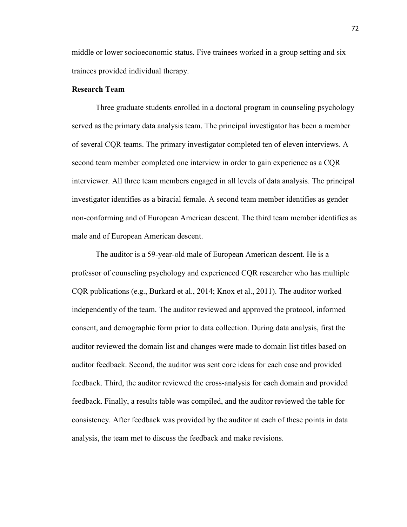middle or lower socioeconomic status. Five trainees worked in a group setting and six trainees provided individual therapy.

# **Research Team**

Three graduate students enrolled in a doctoral program in counseling psychology served as the primary data analysis team. The principal investigator has been a member of several CQR teams. The primary investigator completed ten of eleven interviews. A second team member completed one interview in order to gain experience as a CQR interviewer. All three team members engaged in all levels of data analysis. The principal investigator identifies as a biracial female. A second team member identifies as gender non-conforming and of European American descent. The third team member identifies as male and of European American descent.

The auditor is a 59-year-old male of European American descent. He is a professor of counseling psychology and experienced CQR researcher who has multiple CQR publications (e.g., Burkard et al., 2014; Knox et al., 2011). The auditor worked independently of the team. The auditor reviewed and approved the protocol, informed consent, and demographic form prior to data collection. During data analysis, first the auditor reviewed the domain list and changes were made to domain list titles based on auditor feedback. Second, the auditor was sent core ideas for each case and provided feedback. Third, the auditor reviewed the cross-analysis for each domain and provided feedback. Finally, a results table was compiled, and the auditor reviewed the table for consistency. After feedback was provided by the auditor at each of these points in data analysis, the team met to discuss the feedback and make revisions.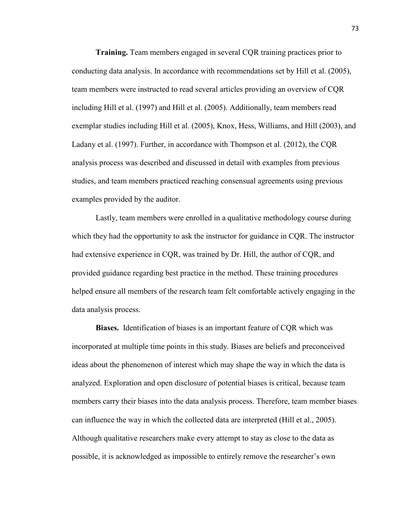**Training.** Team members engaged in several CQR training practices prior to conducting data analysis. In accordance with recommendations set by Hill et al. (2005), team members were instructed to read several articles providing an overview of CQR including Hill et al. (1997) and Hill et al. (2005). Additionally, team members read exemplar studies including Hill et al. (2005), Knox, Hess, Williams, and Hill (2003), and Ladany et al. (1997). Further, in accordance with Thompson et al. (2012), the CQR analysis process was described and discussed in detail with examples from previous studies, and team members practiced reaching consensual agreements using previous examples provided by the auditor.

Lastly, team members were enrolled in a qualitative methodology course during which they had the opportunity to ask the instructor for guidance in CQR. The instructor had extensive experience in CQR, was trained by Dr. Hill, the author of CQR, and provided guidance regarding best practice in the method. These training procedures helped ensure all members of the research team felt comfortable actively engaging in the data analysis process.

**Biases.** Identification of biases is an important feature of CQR which was incorporated at multiple time points in this study. Biases are beliefs and preconceived ideas about the phenomenon of interest which may shape the way in which the data is analyzed. Exploration and open disclosure of potential biases is critical, because team members carry their biases into the data analysis process. Therefore, team member biases can influence the way in which the collected data are interpreted (Hill et al., 2005). Although qualitative researchers make every attempt to stay as close to the data as possible, it is acknowledged as impossible to entirely remove the researcher's own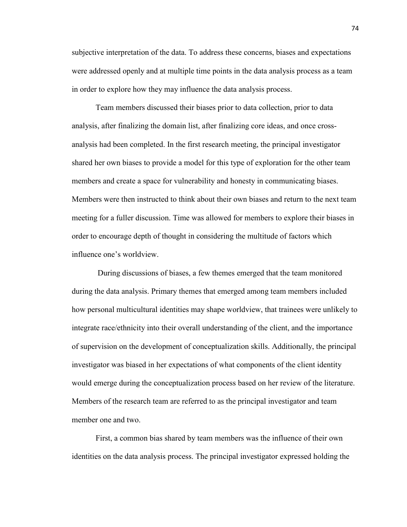subjective interpretation of the data. To address these concerns, biases and expectations were addressed openly and at multiple time points in the data analysis process as a team in order to explore how they may influence the data analysis process.

Team members discussed their biases prior to data collection, prior to data analysis, after finalizing the domain list, after finalizing core ideas, and once crossanalysis had been completed. In the first research meeting, the principal investigator shared her own biases to provide a model for this type of exploration for the other team members and create a space for vulnerability and honesty in communicating biases. Members were then instructed to think about their own biases and return to the next team meeting for a fuller discussion. Time was allowed for members to explore their biases in order to encourage depth of thought in considering the multitude of factors which influence one's worldview.

During discussions of biases, a few themes emerged that the team monitored during the data analysis. Primary themes that emerged among team members included how personal multicultural identities may shape worldview, that trainees were unlikely to integrate race/ethnicity into their overall understanding of the client, and the importance of supervision on the development of conceptualization skills. Additionally, the principal investigator was biased in her expectations of what components of the client identity would emerge during the conceptualization process based on her review of the literature. Members of the research team are referred to as the principal investigator and team member one and two.

First, a common bias shared by team members was the influence of their own identities on the data analysis process. The principal investigator expressed holding the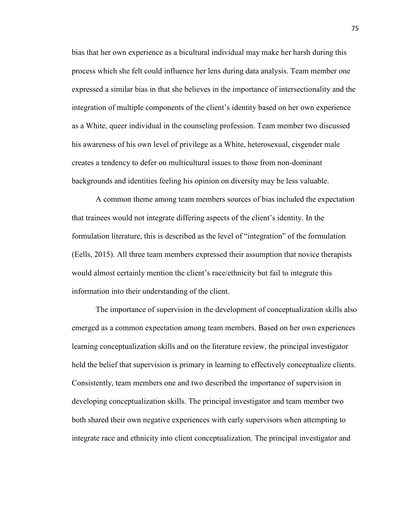bias that her own experience as a bicultural individual may make her harsh during this process which she felt could influence her lens during data analysis. Team member one expressed a similar bias in that she believes in the importance of intersectionality and the integration of multiple components of the client's identity based on her own experience as a White, queer individual in the counseling profession. Team member two discussed his awareness of his own level of privilege as a White, heterosexual, cisgender male creates a tendency to defer on multicultural issues to those from non-dominant backgrounds and identities feeling his opinion on diversity may be less valuable.

A common theme among team members sources of bias included the expectation that trainees would not integrate differing aspects of the client's identity. In the formulation literature, this is described as the level of "integration" of the formulation (Eells, 2015). All three team members expressed their assumption that novice therapists would almost certainly mention the client's race/ethnicity but fail to integrate this information into their understanding of the client.

The importance of supervision in the development of conceptualization skills also emerged as a common expectation among team members. Based on her own experiences learning conceptualization skills and on the literature review, the principal investigator held the belief that supervision is primary in learning to effectively conceptualize clients. Consistently, team members one and two described the importance of supervision in developing conceptualization skills. The principal investigator and team member two both shared their own negative experiences with early supervisors when attempting to integrate race and ethnicity into client conceptualization. The principal investigator and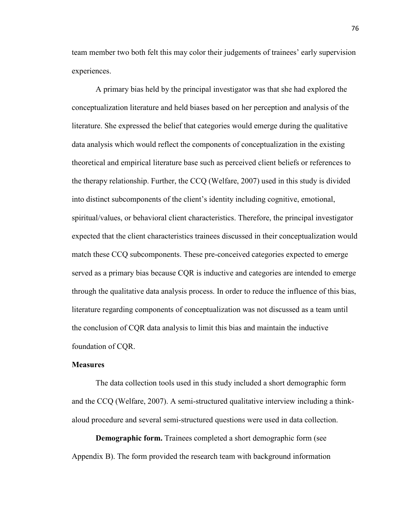team member two both felt this may color their judgements of trainees' early supervision experiences.

A primary bias held by the principal investigator was that she had explored the conceptualization literature and held biases based on her perception and analysis of the literature. She expressed the belief that categories would emerge during the qualitative data analysis which would reflect the components of conceptualization in the existing theoretical and empirical literature base such as perceived client beliefs or references to the therapy relationship. Further, the CCQ (Welfare, 2007) used in this study is divided into distinct subcomponents of the client's identity including cognitive, emotional, spiritual/values, or behavioral client characteristics. Therefore, the principal investigator expected that the client characteristics trainees discussed in their conceptualization would match these CCQ subcomponents. These pre-conceived categories expected to emerge served as a primary bias because CQR is inductive and categories are intended to emerge through the qualitative data analysis process. In order to reduce the influence of this bias, literature regarding components of conceptualization was not discussed as a team until the conclusion of CQR data analysis to limit this bias and maintain the inductive foundation of CQR.

#### **Measures**

The data collection tools used in this study included a short demographic form and the CCQ (Welfare, 2007). A semi-structured qualitative interview including a thinkaloud procedure and several semi-structured questions were used in data collection.

**Demographic form.** Trainees completed a short demographic form (see Appendix B). The form provided the research team with background information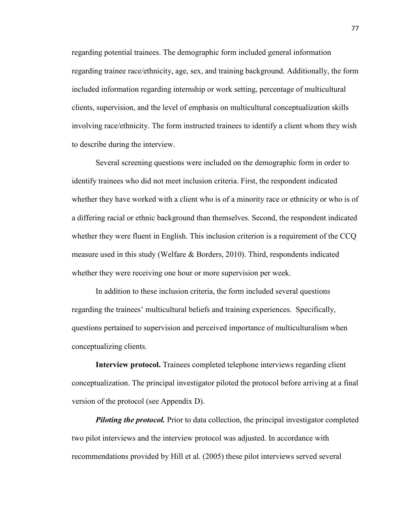regarding potential trainees. The demographic form included general information regarding trainee race/ethnicity, age, sex, and training background. Additionally, the form included information regarding internship or work setting, percentage of multicultural clients, supervision, and the level of emphasis on multicultural conceptualization skills involving race/ethnicity. The form instructed trainees to identify a client whom they wish to describe during the interview.

Several screening questions were included on the demographic form in order to identify trainees who did not meet inclusion criteria. First, the respondent indicated whether they have worked with a client who is of a minority race or ethnicity or who is of a differing racial or ethnic background than themselves. Second, the respondent indicated whether they were fluent in English. This inclusion criterion is a requirement of the CCQ measure used in this study (Welfare & Borders, 2010). Third, respondents indicated whether they were receiving one hour or more supervision per week.

In addition to these inclusion criteria, the form included several questions regarding the trainees' multicultural beliefs and training experiences. Specifically, questions pertained to supervision and perceived importance of multiculturalism when conceptualizing clients.

**Interview protocol.** Trainees completed telephone interviews regarding client conceptualization. The principal investigator piloted the protocol before arriving at a final version of the protocol (see Appendix D).

*Piloting the protocol.* Prior to data collection, the principal investigator completed two pilot interviews and the interview protocol was adjusted. In accordance with recommendations provided by Hill et al. (2005) these pilot interviews served several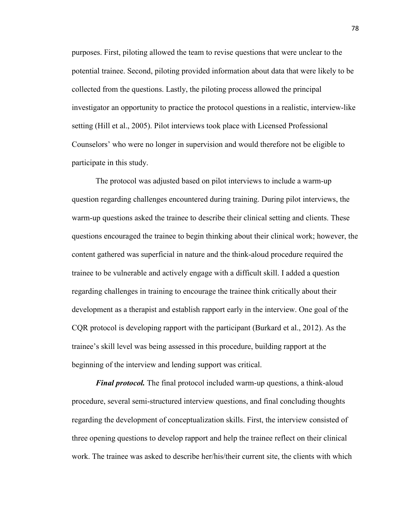purposes. First, piloting allowed the team to revise questions that were unclear to the potential trainee. Second, piloting provided information about data that were likely to be collected from the questions. Lastly, the piloting process allowed the principal investigator an opportunity to practice the protocol questions in a realistic, interview-like setting (Hill et al., 2005). Pilot interviews took place with Licensed Professional Counselors' who were no longer in supervision and would therefore not be eligible to participate in this study.

The protocol was adjusted based on pilot interviews to include a warm-up question regarding challenges encountered during training. During pilot interviews, the warm-up questions asked the trainee to describe their clinical setting and clients. These questions encouraged the trainee to begin thinking about their clinical work; however, the content gathered was superficial in nature and the think-aloud procedure required the trainee to be vulnerable and actively engage with a difficult skill. I added a question regarding challenges in training to encourage the trainee think critically about their development as a therapist and establish rapport early in the interview. One goal of the CQR protocol is developing rapport with the participant (Burkard et al., 2012). As the trainee's skill level was being assessed in this procedure, building rapport at the beginning of the interview and lending support was critical.

*Final protocol.* The final protocol included warm-up questions, a think-aloud procedure, several semi-structured interview questions, and final concluding thoughts regarding the development of conceptualization skills. First, the interview consisted of three opening questions to develop rapport and help the trainee reflect on their clinical work. The trainee was asked to describe her/his/their current site, the clients with which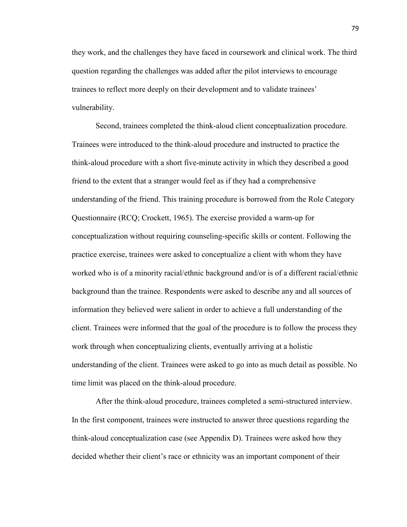they work, and the challenges they have faced in coursework and clinical work. The third question regarding the challenges was added after the pilot interviews to encourage trainees to reflect more deeply on their development and to validate trainees' vulnerability.

Second, trainees completed the think-aloud client conceptualization procedure. Trainees were introduced to the think-aloud procedure and instructed to practice the think-aloud procedure with a short five-minute activity in which they described a good friend to the extent that a stranger would feel as if they had a comprehensive understanding of the friend. This training procedure is borrowed from the Role Category Questionnaire (RCQ; Crockett, 1965). The exercise provided a warm-up for conceptualization without requiring counseling-specific skills or content. Following the practice exercise, trainees were asked to conceptualize a client with whom they have worked who is of a minority racial/ethnic background and/or is of a different racial/ethnic background than the trainee. Respondents were asked to describe any and all sources of information they believed were salient in order to achieve a full understanding of the client. Trainees were informed that the goal of the procedure is to follow the process they work through when conceptualizing clients, eventually arriving at a holistic understanding of the client. Trainees were asked to go into as much detail as possible. No time limit was placed on the think-aloud procedure.

After the think-aloud procedure, trainees completed a semi-structured interview. In the first component, trainees were instructed to answer three questions regarding the think-aloud conceptualization case (see Appendix D). Trainees were asked how they decided whether their client's race or ethnicity was an important component of their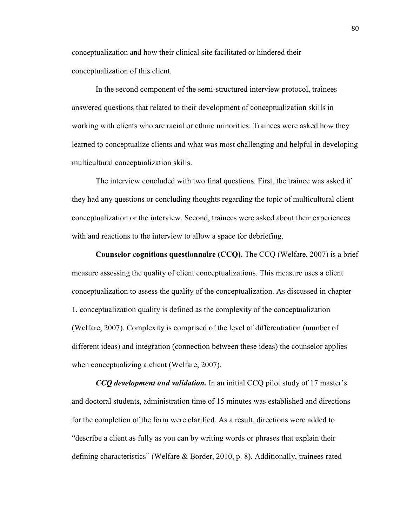conceptualization and how their clinical site facilitated or hindered their conceptualization of this client.

In the second component of the semi-structured interview protocol, trainees answered questions that related to their development of conceptualization skills in working with clients who are racial or ethnic minorities. Trainees were asked how they learned to conceptualize clients and what was most challenging and helpful in developing multicultural conceptualization skills.

The interview concluded with two final questions. First, the trainee was asked if they had any questions or concluding thoughts regarding the topic of multicultural client conceptualization or the interview. Second, trainees were asked about their experiences with and reactions to the interview to allow a space for debriefing.

**Counselor cognitions questionnaire (CCQ).** The CCQ (Welfare, 2007) is a brief measure assessing the quality of client conceptualizations. This measure uses a client conceptualization to assess the quality of the conceptualization. As discussed in chapter 1, conceptualization quality is defined as the complexity of the conceptualization (Welfare, 2007). Complexity is comprised of the level of differentiation (number of different ideas) and integration (connection between these ideas) the counselor applies when conceptualizing a client (Welfare, 2007).

*CCQ development and validation.* In an initial CCQ pilot study of 17 master's and doctoral students, administration time of 15 minutes was established and directions for the completion of the form were clarified. As a result, directions were added to "describe a client as fully as you can by writing words or phrases that explain their defining characteristics" (Welfare & Border, 2010, p. 8). Additionally, trainees rated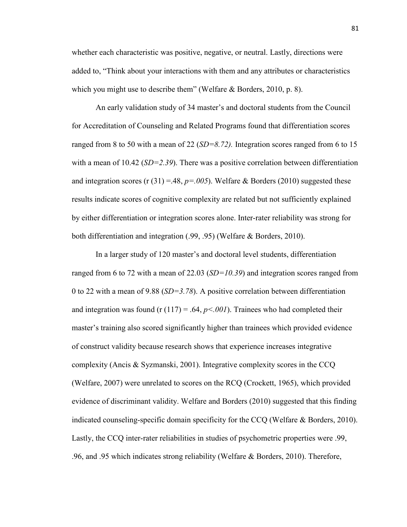whether each characteristic was positive, negative, or neutral. Lastly, directions were added to, "Think about your interactions with them and any attributes or characteristics which you might use to describe them" (Welfare & Borders, 2010, p. 8).

An early validation study of 34 master's and doctoral students from the Council for Accreditation of Counseling and Related Programs found that differentiation scores ranged from 8 to 50 with a mean of 22 (*SD=8.72).* Integration scores ranged from 6 to 15 with a mean of 10.42 (*SD=2.39*). There was a positive correlation between differentiation and integration scores (r  $(31) = .48$ ,  $p = .005$ ). Welfare & Borders (2010) suggested these results indicate scores of cognitive complexity are related but not sufficiently explained by either differentiation or integration scores alone. Inter-rater reliability was strong for both differentiation and integration (.99, .95) (Welfare & Borders, 2010).

 In a larger study of 120 master's and doctoral level students, differentiation ranged from 6 to 72 with a mean of 22.03 (*SD=10.39*) and integration scores ranged from 0 to 22 with a mean of 9.88 (*SD=3.78*). A positive correlation between differentiation and integration was found (r  $(117) = .64$ ,  $p < .001$ ). Trainees who had completed their master's training also scored significantly higher than trainees which provided evidence of construct validity because research shows that experience increases integrative complexity (Ancis & Syzmanski, 2001). Integrative complexity scores in the CCQ (Welfare, 2007) were unrelated to scores on the RCQ (Crockett, 1965), which provided evidence of discriminant validity. Welfare and Borders (2010) suggested that this finding indicated counseling-specific domain specificity for the CCQ (Welfare & Borders, 2010). Lastly, the CCQ inter-rater reliabilities in studies of psychometric properties were .99, .96, and .95 which indicates strong reliability (Welfare & Borders, 2010). Therefore,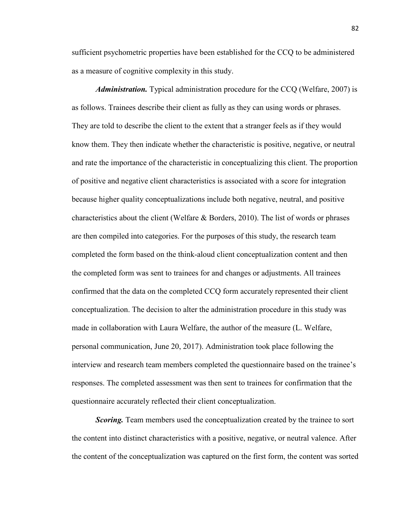sufficient psychometric properties have been established for the CCQ to be administered as a measure of cognitive complexity in this study.

*Administration.* Typical administration procedure for the CCQ (Welfare, 2007) is as follows. Trainees describe their client as fully as they can using words or phrases. They are told to describe the client to the extent that a stranger feels as if they would know them. They then indicate whether the characteristic is positive, negative, or neutral and rate the importance of the characteristic in conceptualizing this client. The proportion of positive and negative client characteristics is associated with a score for integration because higher quality conceptualizations include both negative, neutral, and positive characteristics about the client (Welfare & Borders, 2010). The list of words or phrases are then compiled into categories. For the purposes of this study, the research team completed the form based on the think-aloud client conceptualization content and then the completed form was sent to trainees for and changes or adjustments. All trainees confirmed that the data on the completed CCQ form accurately represented their client conceptualization. The decision to alter the administration procedure in this study was made in collaboration with Laura Welfare, the author of the measure (L. Welfare, personal communication, June 20, 2017). Administration took place following the interview and research team members completed the questionnaire based on the trainee's responses. The completed assessment was then sent to trainees for confirmation that the questionnaire accurately reflected their client conceptualization.

*Scoring.* Team members used the conceptualization created by the trainee to sort the content into distinct characteristics with a positive, negative, or neutral valence. After the content of the conceptualization was captured on the first form, the content was sorted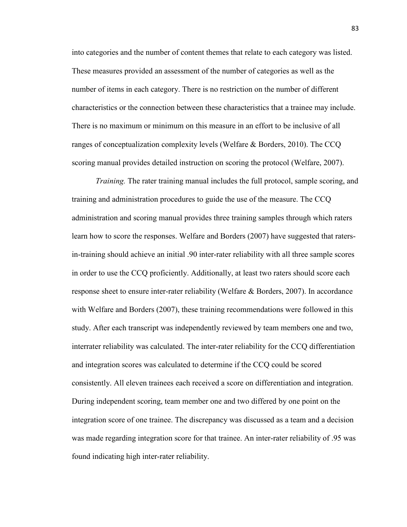into categories and the number of content themes that relate to each category was listed. These measures provided an assessment of the number of categories as well as the number of items in each category. There is no restriction on the number of different characteristics or the connection between these characteristics that a trainee may include. There is no maximum or minimum on this measure in an effort to be inclusive of all ranges of conceptualization complexity levels (Welfare & Borders, 2010). The CCQ scoring manual provides detailed instruction on scoring the protocol (Welfare, 2007).

*Training.* The rater training manual includes the full protocol, sample scoring, and training and administration procedures to guide the use of the measure. The CCQ administration and scoring manual provides three training samples through which raters learn how to score the responses. Welfare and Borders (2007) have suggested that ratersin-training should achieve an initial .90 inter-rater reliability with all three sample scores in order to use the CCQ proficiently. Additionally, at least two raters should score each response sheet to ensure inter-rater reliability (Welfare & Borders, 2007). In accordance with Welfare and Borders (2007), these training recommendations were followed in this study. After each transcript was independently reviewed by team members one and two, interrater reliability was calculated. The inter-rater reliability for the CCQ differentiation and integration scores was calculated to determine if the CCQ could be scored consistently. All eleven trainees each received a score on differentiation and integration. During independent scoring, team member one and two differed by one point on the integration score of one trainee. The discrepancy was discussed as a team and a decision was made regarding integration score for that trainee. An inter-rater reliability of .95 was found indicating high inter-rater reliability.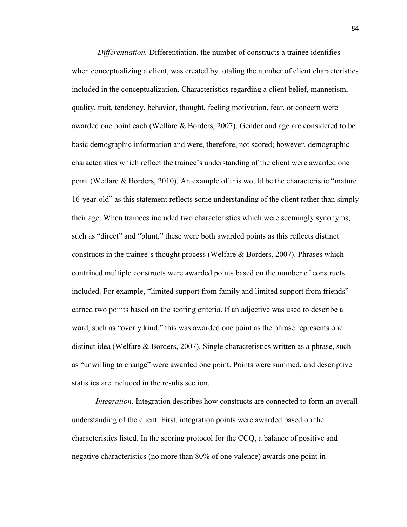*Differentiation.* Differentiation, the number of constructs a trainee identifies when conceptualizing a client, was created by totaling the number of client characteristics included in the conceptualization. Characteristics regarding a client belief, mannerism, quality, trait, tendency, behavior, thought, feeling motivation, fear, or concern were awarded one point each (Welfare & Borders, 2007). Gender and age are considered to be basic demographic information and were, therefore, not scored; however, demographic characteristics which reflect the trainee's understanding of the client were awarded one point (Welfare & Borders, 2010). An example of this would be the characteristic "mature 16-year-old" as this statement reflects some understanding of the client rather than simply their age. When trainees included two characteristics which were seemingly synonyms, such as "direct" and "blunt," these were both awarded points as this reflects distinct constructs in the trainee's thought process (Welfare & Borders, 2007). Phrases which contained multiple constructs were awarded points based on the number of constructs included. For example, "limited support from family and limited support from friends" earned two points based on the scoring criteria. If an adjective was used to describe a word, such as "overly kind," this was awarded one point as the phrase represents one distinct idea (Welfare & Borders, 2007). Single characteristics written as a phrase, such as "unwilling to change" were awarded one point. Points were summed, and descriptive statistics are included in the results section.

*Integration.* Integration describes how constructs are connected to form an overall understanding of the client. First, integration points were awarded based on the characteristics listed. In the scoring protocol for the CCQ, a balance of positive and negative characteristics (no more than 80% of one valence) awards one point in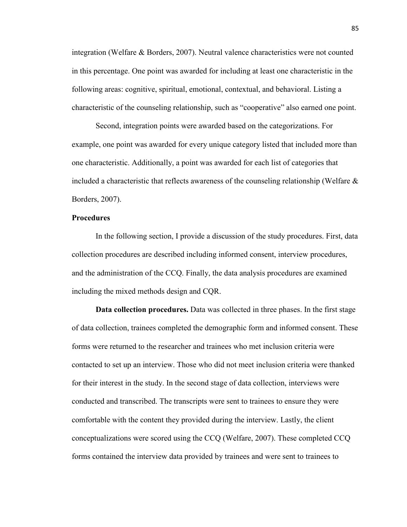integration (Welfare & Borders, 2007). Neutral valence characteristics were not counted in this percentage. One point was awarded for including at least one characteristic in the following areas: cognitive, spiritual, emotional, contextual, and behavioral. Listing a characteristic of the counseling relationship, such as "cooperative" also earned one point.

Second, integration points were awarded based on the categorizations. For example, one point was awarded for every unique category listed that included more than one characteristic. Additionally, a point was awarded for each list of categories that included a characteristic that reflects awareness of the counseling relationship (Welfare  $\&$ Borders, 2007).

### **Procedures**

In the following section, I provide a discussion of the study procedures. First, data collection procedures are described including informed consent, interview procedures, and the administration of the CCQ. Finally, the data analysis procedures are examined including the mixed methods design and CQR.

**Data collection procedures.** Data was collected in three phases. In the first stage of data collection, trainees completed the demographic form and informed consent. These forms were returned to the researcher and trainees who met inclusion criteria were contacted to set up an interview. Those who did not meet inclusion criteria were thanked for their interest in the study. In the second stage of data collection, interviews were conducted and transcribed. The transcripts were sent to trainees to ensure they were comfortable with the content they provided during the interview. Lastly, the client conceptualizations were scored using the CCQ (Welfare, 2007). These completed CCQ forms contained the interview data provided by trainees and were sent to trainees to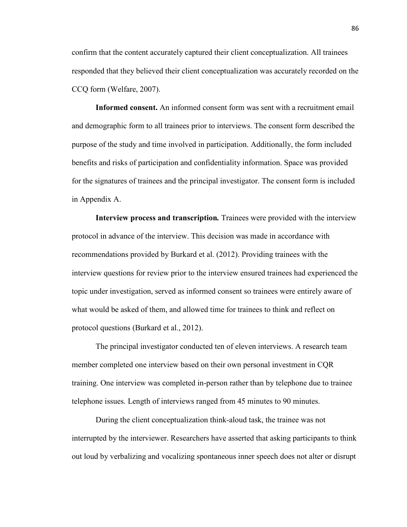confirm that the content accurately captured their client conceptualization. All trainees responded that they believed their client conceptualization was accurately recorded on the CCQ form (Welfare, 2007).

**Informed consent.** An informed consent form was sent with a recruitment email and demographic form to all trainees prior to interviews. The consent form described the purpose of the study and time involved in participation. Additionally, the form included benefits and risks of participation and confidentiality information. Space was provided for the signatures of trainees and the principal investigator. The consent form is included in Appendix A.

**Interview process and transcription***.* Trainees were provided with the interview protocol in advance of the interview. This decision was made in accordance with recommendations provided by Burkard et al. (2012). Providing trainees with the interview questions for review prior to the interview ensured trainees had experienced the topic under investigation, served as informed consent so trainees were entirely aware of what would be asked of them, and allowed time for trainees to think and reflect on protocol questions (Burkard et al., 2012).

The principal investigator conducted ten of eleven interviews. A research team member completed one interview based on their own personal investment in CQR training. One interview was completed in-person rather than by telephone due to trainee telephone issues. Length of interviews ranged from 45 minutes to 90 minutes.

During the client conceptualization think-aloud task, the trainee was not interrupted by the interviewer. Researchers have asserted that asking participants to think out loud by verbalizing and vocalizing spontaneous inner speech does not alter or disrupt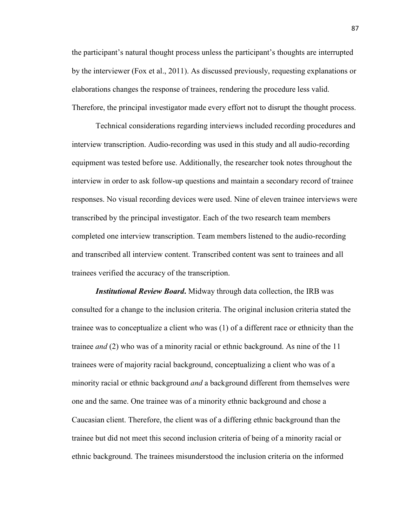the participant's natural thought process unless the participant's thoughts are interrupted by the interviewer (Fox et al., 2011). As discussed previously, requesting explanations or elaborations changes the response of trainees, rendering the procedure less valid. Therefore, the principal investigator made every effort not to disrupt the thought process.

Technical considerations regarding interviews included recording procedures and interview transcription. Audio-recording was used in this study and all audio-recording equipment was tested before use. Additionally, the researcher took notes throughout the interview in order to ask follow-up questions and maintain a secondary record of trainee responses. No visual recording devices were used. Nine of eleven trainee interviews were transcribed by the principal investigator. Each of the two research team members completed one interview transcription. Team members listened to the audio-recording and transcribed all interview content. Transcribed content was sent to trainees and all trainees verified the accuracy of the transcription.

*Institutional Review Board***.** Midway through data collection, the IRB was consulted for a change to the inclusion criteria. The original inclusion criteria stated the trainee was to conceptualize a client who was (1) of a different race or ethnicity than the trainee *and* (2) who was of a minority racial or ethnic background. As nine of the 11 trainees were of majority racial background, conceptualizing a client who was of a minority racial or ethnic background *and* a background different from themselves were one and the same. One trainee was of a minority ethnic background and chose a Caucasian client. Therefore, the client was of a differing ethnic background than the trainee but did not meet this second inclusion criteria of being of a minority racial or ethnic background. The trainees misunderstood the inclusion criteria on the informed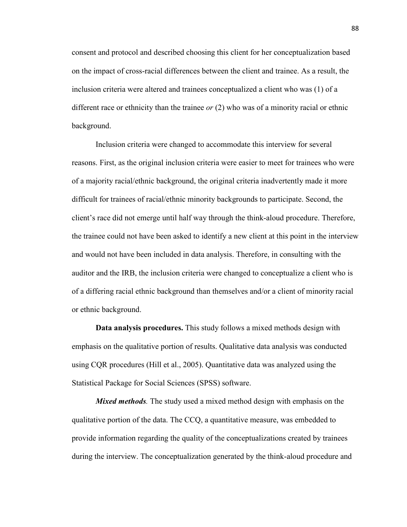consent and protocol and described choosing this client for her conceptualization based on the impact of cross-racial differences between the client and trainee. As a result, the inclusion criteria were altered and trainees conceptualized a client who was (1) of a different race or ethnicity than the trainee *or* (2) who was of a minority racial or ethnic background.

Inclusion criteria were changed to accommodate this interview for several reasons. First, as the original inclusion criteria were easier to meet for trainees who were of a majority racial/ethnic background, the original criteria inadvertently made it more difficult for trainees of racial/ethnic minority backgrounds to participate. Second, the client's race did not emerge until half way through the think-aloud procedure. Therefore, the trainee could not have been asked to identify a new client at this point in the interview and would not have been included in data analysis. Therefore, in consulting with the auditor and the IRB, the inclusion criteria were changed to conceptualize a client who is of a differing racial ethnic background than themselves and/or a client of minority racial or ethnic background.

**Data analysis procedures.** This study follows a mixed methods design with emphasis on the qualitative portion of results. Qualitative data analysis was conducted using CQR procedures (Hill et al., 2005). Quantitative data was analyzed using the Statistical Package for Social Sciences (SPSS) software.

*Mixed methods.* The study used a mixed method design with emphasis on the qualitative portion of the data. The CCQ, a quantitative measure, was embedded to provide information regarding the quality of the conceptualizations created by trainees during the interview. The conceptualization generated by the think-aloud procedure and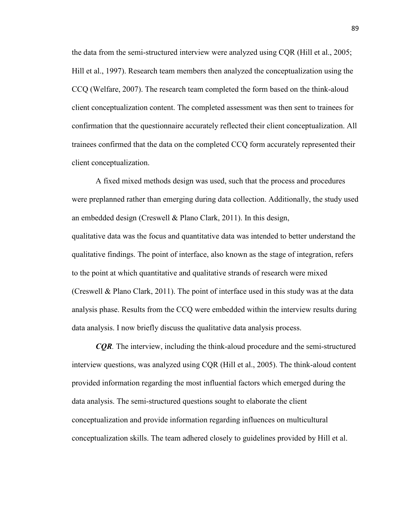the data from the semi-structured interview were analyzed using CQR (Hill et al., 2005; Hill et al., 1997). Research team members then analyzed the conceptualization using the CCQ (Welfare, 2007). The research team completed the form based on the think-aloud client conceptualization content. The completed assessment was then sent to trainees for confirmation that the questionnaire accurately reflected their client conceptualization. All trainees confirmed that the data on the completed CCQ form accurately represented their client conceptualization.

A fixed mixed methods design was used, such that the process and procedures were preplanned rather than emerging during data collection. Additionally, the study used an embedded design (Creswell & Plano Clark, 2011). In this design,

qualitative data was the focus and quantitative data was intended to better understand the qualitative findings. The point of interface, also known as the stage of integration, refers to the point at which quantitative and qualitative strands of research were mixed (Creswell & Plano Clark, 2011). The point of interface used in this study was at the data analysis phase. Results from the CCQ were embedded within the interview results during data analysis. I now briefly discuss the qualitative data analysis process.

*CQR.* The interview, including the think-aloud procedure and the semi-structured interview questions, was analyzed using CQR (Hill et al., 2005). The think-aloud content provided information regarding the most influential factors which emerged during the data analysis. The semi-structured questions sought to elaborate the client conceptualization and provide information regarding influences on multicultural conceptualization skills. The team adhered closely to guidelines provided by Hill et al.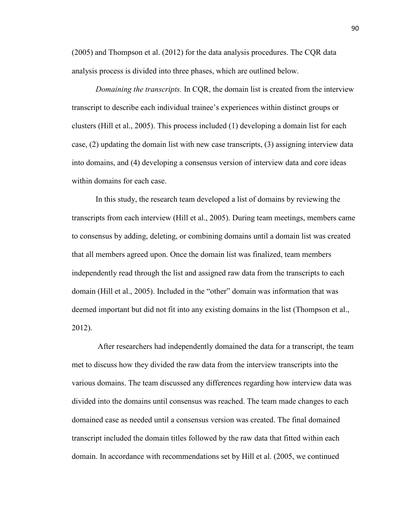(2005) and Thompson et al. (2012) for the data analysis procedures. The CQR data analysis process is divided into three phases, which are outlined below.

*Domaining the transcripts.* In CQR, the domain list is created from the interview transcript to describe each individual trainee's experiences within distinct groups or clusters (Hill et al., 2005). This process included (1) developing a domain list for each case, (2) updating the domain list with new case transcripts, (3) assigning interview data into domains, and (4) developing a consensus version of interview data and core ideas within domains for each case.

In this study, the research team developed a list of domains by reviewing the transcripts from each interview (Hill et al., 2005). During team meetings, members came to consensus by adding, deleting, or combining domains until a domain list was created that all members agreed upon. Once the domain list was finalized, team members independently read through the list and assigned raw data from the transcripts to each domain (Hill et al., 2005). Included in the "other" domain was information that was deemed important but did not fit into any existing domains in the list (Thompson et al., 2012).

 After researchers had independently domained the data for a transcript, the team met to discuss how they divided the raw data from the interview transcripts into the various domains. The team discussed any differences regarding how interview data was divided into the domains until consensus was reached. The team made changes to each domained case as needed until a consensus version was created. The final domained transcript included the domain titles followed by the raw data that fitted within each domain. In accordance with recommendations set by Hill et al. (2005, we continued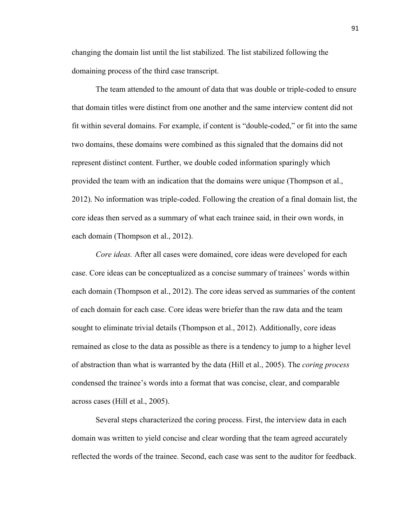changing the domain list until the list stabilized. The list stabilized following the domaining process of the third case transcript.

The team attended to the amount of data that was double or triple-coded to ensure that domain titles were distinct from one another and the same interview content did not fit within several domains. For example, if content is "double-coded," or fit into the same two domains, these domains were combined as this signaled that the domains did not represent distinct content. Further, we double coded information sparingly which provided the team with an indication that the domains were unique (Thompson et al., 2012). No information was triple-coded. Following the creation of a final domain list, the core ideas then served as a summary of what each trainee said, in their own words, in each domain (Thompson et al., 2012).

*Core ideas.* After all cases were domained, core ideas were developed for each case. Core ideas can be conceptualized as a concise summary of trainees' words within each domain (Thompson et al., 2012). The core ideas served as summaries of the content of each domain for each case. Core ideas were briefer than the raw data and the team sought to eliminate trivial details (Thompson et al., 2012). Additionally, core ideas remained as close to the data as possible as there is a tendency to jump to a higher level of abstraction than what is warranted by the data (Hill et al., 2005). The *coring process* condensed the trainee's words into a format that was concise, clear, and comparable across cases (Hill et al., 2005).

Several steps characterized the coring process. First, the interview data in each domain was written to yield concise and clear wording that the team agreed accurately reflected the words of the trainee. Second, each case was sent to the auditor for feedback.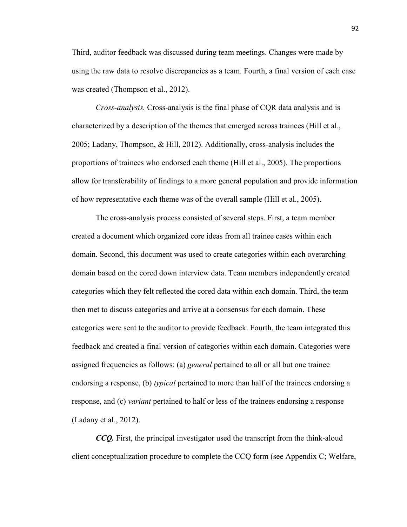Third, auditor feedback was discussed during team meetings. Changes were made by using the raw data to resolve discrepancies as a team. Fourth, a final version of each case was created (Thompson et al., 2012).

*Cross-analysis.* Cross-analysis is the final phase of CQR data analysis and is characterized by a description of the themes that emerged across trainees (Hill et al., 2005; Ladany, Thompson, & Hill, 2012). Additionally, cross-analysis includes the proportions of trainees who endorsed each theme (Hill et al., 2005). The proportions allow for transferability of findings to a more general population and provide information of how representative each theme was of the overall sample (Hill et al., 2005).

The cross-analysis process consisted of several steps. First, a team member created a document which organized core ideas from all trainee cases within each domain. Second, this document was used to create categories within each overarching domain based on the cored down interview data. Team members independently created categories which they felt reflected the cored data within each domain. Third, the team then met to discuss categories and arrive at a consensus for each domain. These categories were sent to the auditor to provide feedback. Fourth, the team integrated this feedback and created a final version of categories within each domain. Categories were assigned frequencies as follows: (a) *general* pertained to all or all but one trainee endorsing a response, (b) *typical* pertained to more than half of the trainees endorsing a response, and (c) *variant* pertained to half or less of the trainees endorsing a response (Ladany et al., 2012).

*CCQ.* First, the principal investigator used the transcript from the think-aloud client conceptualization procedure to complete the CCQ form (see Appendix C; Welfare,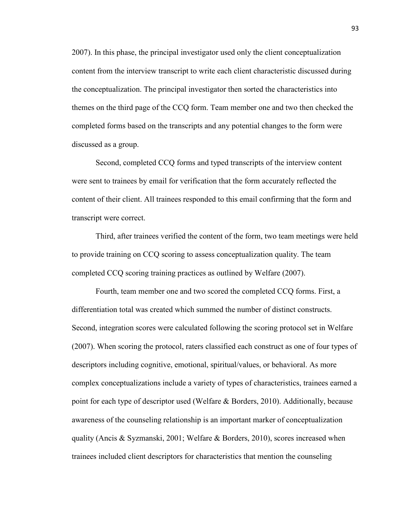2007). In this phase, the principal investigator used only the client conceptualization content from the interview transcript to write each client characteristic discussed during the conceptualization. The principal investigator then sorted the characteristics into themes on the third page of the CCQ form. Team member one and two then checked the completed forms based on the transcripts and any potential changes to the form were discussed as a group.

Second, completed CCQ forms and typed transcripts of the interview content were sent to trainees by email for verification that the form accurately reflected the content of their client. All trainees responded to this email confirming that the form and transcript were correct.

Third, after trainees verified the content of the form, two team meetings were held to provide training on CCQ scoring to assess conceptualization quality. The team completed CCQ scoring training practices as outlined by Welfare (2007).

Fourth, team member one and two scored the completed CCQ forms. First, a differentiation total was created which summed the number of distinct constructs. Second, integration scores were calculated following the scoring protocol set in Welfare (2007). When scoring the protocol, raters classified each construct as one of four types of descriptors including cognitive, emotional, spiritual/values, or behavioral. As more complex conceptualizations include a variety of types of characteristics, trainees earned a point for each type of descriptor used (Welfare & Borders, 2010). Additionally, because awareness of the counseling relationship is an important marker of conceptualization quality (Ancis & Syzmanski, 2001; Welfare & Borders, 2010), scores increased when trainees included client descriptors for characteristics that mention the counseling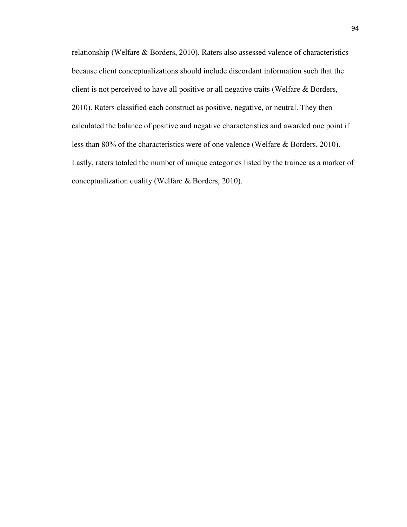relationship (Welfare & Borders, 2010). Raters also assessed valence of characteristics because client conceptualizations should include discordant information such that the client is not perceived to have all positive or all negative traits (Welfare & Borders, 2010). Raters classified each construct as positive, negative, or neutral. They then calculated the balance of positive and negative characteristics and awarded one point if less than 80% of the characteristics were of one valence (Welfare & Borders, 2010). Lastly, raters totaled the number of unique categories listed by the trainee as a marker of conceptualization quality (Welfare & Borders, 2010).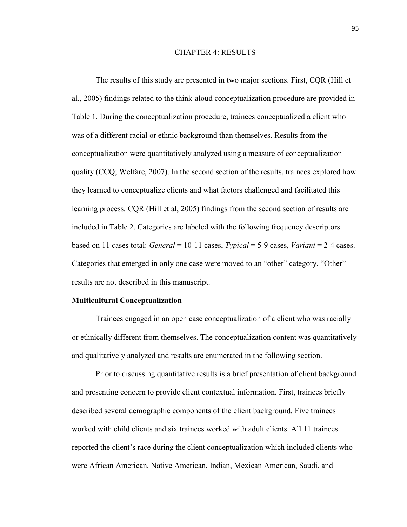#### CHAPTER 4: RESULTS

The results of this study are presented in two major sections. First, CQR (Hill et al., 2005) findings related to the think-aloud conceptualization procedure are provided in Table 1. During the conceptualization procedure, trainees conceptualized a client who was of a different racial or ethnic background than themselves. Results from the conceptualization were quantitatively analyzed using a measure of conceptualization quality (CCQ; Welfare, 2007). In the second section of the results, trainees explored how they learned to conceptualize clients and what factors challenged and facilitated this learning process. CQR (Hill et al, 2005) findings from the second section of results are included in Table 2. Categories are labeled with the following frequency descriptors based on 11 cases total: *General* = 10-11 cases, *Typical* = 5-9 cases, *Variant* = 2-4 cases. Categories that emerged in only one case were moved to an "other" category. "Other" results are not described in this manuscript.

#### **Multicultural Conceptualization**

Trainees engaged in an open case conceptualization of a client who was racially or ethnically different from themselves. The conceptualization content was quantitatively and qualitatively analyzed and results are enumerated in the following section.

Prior to discussing quantitative results is a brief presentation of client background and presenting concern to provide client contextual information. First, trainees briefly described several demographic components of the client background. Five trainees worked with child clients and six trainees worked with adult clients. All 11 trainees reported the client's race during the client conceptualization which included clients who were African American, Native American, Indian, Mexican American, Saudi, and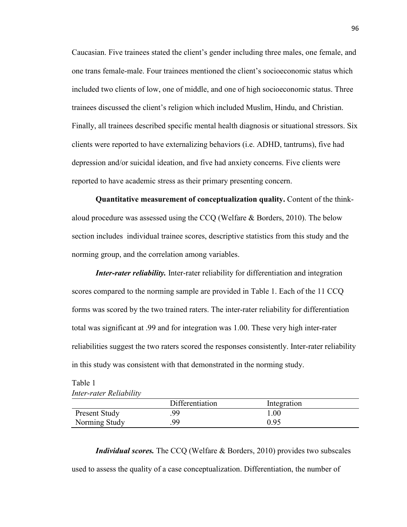Caucasian. Five trainees stated the client's gender including three males, one female, and one trans female-male. Four trainees mentioned the client's socioeconomic status which included two clients of low, one of middle, and one of high socioeconomic status. Three trainees discussed the client's religion which included Muslim, Hindu, and Christian. Finally, all trainees described specific mental health diagnosis or situational stressors. Six clients were reported to have externalizing behaviors (i.e. ADHD, tantrums), five had depression and/or suicidal ideation, and five had anxiety concerns. Five clients were reported to have academic stress as their primary presenting concern.

**Quantitative measurement of conceptualization quality.** Content of the thinkaloud procedure was assessed using the CCQ (Welfare & Borders, 2010). The below section includes individual trainee scores, descriptive statistics from this study and the norming group, and the correlation among variables.

*Inter-rater reliability.* Inter-rater reliability for differentiation and integration scores compared to the norming sample are provided in Table 1. Each of the 11 CCQ forms was scored by the two trained raters. The inter-rater reliability for differentiation total was significant at .99 and for integration was 1.00. These very high inter-rater reliabilities suggest the two raters scored the responses consistently. Inter-rater reliability in this study was consistent with that demonstrated in the norming study.

# Table 1 *Inter-rater Reliability*

|                      | Differentiation | Integration |
|----------------------|-----------------|-------------|
| <b>Present Study</b> | 99              | $1.00\,$    |
| Norming Study        | 99              | 0 95        |

*Individual scores.* The CCQ (Welfare & Borders, 2010) provides two subscales used to assess the quality of a case conceptualization. Differentiation, the number of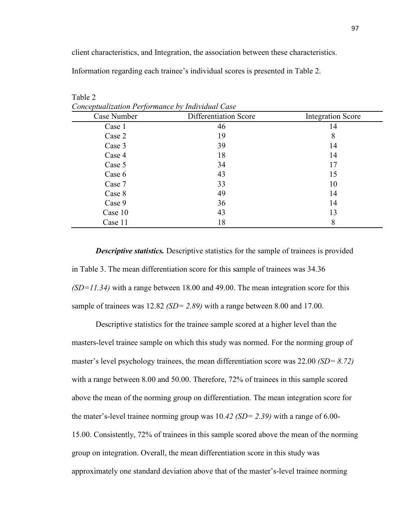client characteristics, and Integration, the association between these characteristics.

Information regarding each trainee's individual scores is presented in Table 2.

| Case Number | Differentiation Score | <b>Integration Score</b> |
|-------------|-----------------------|--------------------------|
| Case 1      | 46                    | 14                       |
| Case 2      | 19                    | 8                        |
| Case 3      | 39                    | 14                       |
| Case 4      | 18                    | 14                       |
| Case 5      | 34                    | 17                       |
| Case 6      | 43                    | 15                       |
| Case 7      | 33                    | 10                       |
| Case 8      | 49                    | 14                       |
| Case 9      | 36                    | 14                       |
| Case 10     | 43                    | 13                       |
| Case 11     | 18                    | 8                        |

Table 2 *Conceptualization Performance by Individual Case*

*Descriptive statistics.* Descriptive statistics for the sample of trainees is provided in Table 3. The mean differentiation score for this sample of trainees was 34.36 *(SD=11.34)* with a range between 18.00 and 49.00. The mean integration score for this sample of trainees was 12.82 *(SD= 2.89)* with a range between 8.00 and 17.00.

Descriptive statistics for the trainee sample scored at a higher level than the masters-level trainee sample on which this study was normed. For the norming group of master's level psychology trainees, the mean differentiation score was 22.00 *(SD= 8.72)*  with a range between 8.00 and 50.00. Therefore, 72% of trainees in this sample scored above the mean of the norming group on differentiation. The mean integration score for the mater's-level trainee norming group was 10.*42 (SD= 2.39)* with a range of 6.00- 15.00. Consistently, 72% of trainees in this sample scored above the mean of the norming group on integration. Overall, the mean differentiation score in this study was approximately one standard deviation above that of the master's-level trainee norming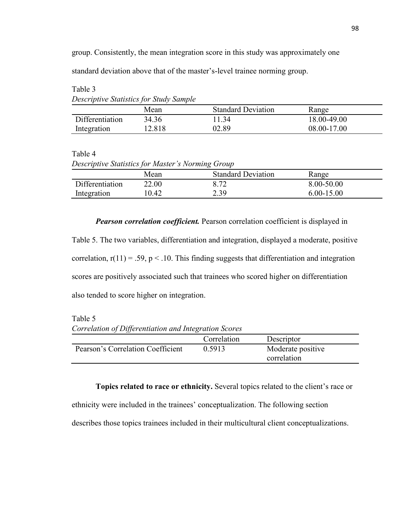group. Consistently, the mean integration score in this study was approximately one

standard deviation above that of the master's-level trainee norming group.

| Descriptive Statistics for Study Sample |        |                           |             |  |
|-----------------------------------------|--------|---------------------------|-------------|--|
|                                         | Mean   | <b>Standard Deviation</b> | Range       |  |
| Differentiation                         | 34.36  | l 134                     | 18.00-49.00 |  |
| Integration                             | 12.818 | 02 89                     | 08.00-17.00 |  |

Table 3 *Descriptive Statistics for Study Sample*

| `able |  |
|-------|--|
|-------|--|

| Descriptive Statistics for Master's Norming Group |       |                           |                |  |
|---------------------------------------------------|-------|---------------------------|----------------|--|
|                                                   | Mean  | <b>Standard Deviation</b> | Range          |  |
| Differentiation                                   | 22.00 | 8.72                      | 8.00-50.00     |  |
| Integration                                       | 10.42 | 2.39                      | $6.00 - 15.00$ |  |

*Pearson correlation coefficient.* Pearson correlation coefficient is displayed in

Table 5. The two variables, differentiation and integration, displayed a moderate, positive correlation,  $r(11) = .59$ ,  $p < .10$ . This finding suggests that differentiation and integration scores are positively associated such that trainees who scored higher on differentiation also tended to score higher on integration.

Table 5

*Correlation of Differentiation and Integration Scores*

|                                   | Correlation | Descriptor                       |  |
|-----------------------------------|-------------|----------------------------------|--|
| Pearson's Correlation Coefficient | 0.5913      | Moderate positive<br>correlation |  |

**Topics related to race or ethnicity.** Several topics related to the client's race or ethnicity were included in the trainees' conceptualization. The following section describes those topics trainees included in their multicultural client conceptualizations.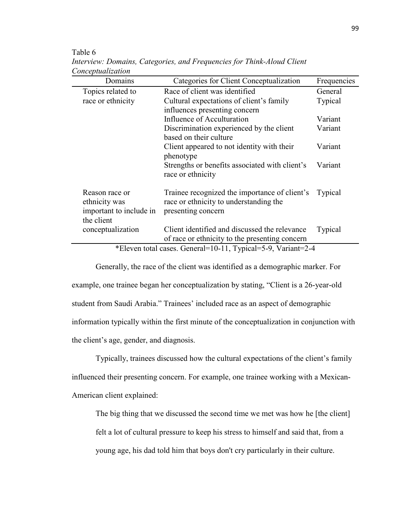| Categories for Client Conceptualization    | Frequencies                                                                                                                                                                                                                                                                                                                                             |
|--------------------------------------------|---------------------------------------------------------------------------------------------------------------------------------------------------------------------------------------------------------------------------------------------------------------------------------------------------------------------------------------------------------|
| Race of client was identified              | General                                                                                                                                                                                                                                                                                                                                                 |
| Cultural expectations of client's family   | Typical                                                                                                                                                                                                                                                                                                                                                 |
| influences presenting concern              |                                                                                                                                                                                                                                                                                                                                                         |
| Influence of Acculturation                 | Variant                                                                                                                                                                                                                                                                                                                                                 |
| Discrimination experienced by the client   | Variant                                                                                                                                                                                                                                                                                                                                                 |
| based on their culture                     |                                                                                                                                                                                                                                                                                                                                                         |
| Client appeared to not identity with their | Variant                                                                                                                                                                                                                                                                                                                                                 |
| phenotype                                  |                                                                                                                                                                                                                                                                                                                                                         |
|                                            | Variant                                                                                                                                                                                                                                                                                                                                                 |
|                                            |                                                                                                                                                                                                                                                                                                                                                         |
|                                            |                                                                                                                                                                                                                                                                                                                                                         |
|                                            | Typical                                                                                                                                                                                                                                                                                                                                                 |
|                                            |                                                                                                                                                                                                                                                                                                                                                         |
|                                            |                                                                                                                                                                                                                                                                                                                                                         |
|                                            |                                                                                                                                                                                                                                                                                                                                                         |
|                                            | Typical                                                                                                                                                                                                                                                                                                                                                 |
|                                            |                                                                                                                                                                                                                                                                                                                                                         |
|                                            | Strengths or benefits associated with client's<br>race or ethnicity<br>Trainee recognized the importance of client's<br>race or ethnicity to understanding the<br>presenting concern<br>Client identified and discussed the relevance<br>of race or ethnicity to the presenting concern<br>*Eleven total cases. General=10-11, Typical=5-9, Variant=2-4 |

Table 6 *Interview: Domains, Categories, and Frequencies for Think-Aloud Client Conceptualization* 

\*Eleven total cases. General=10-11, Typical=5-9, Variant=2-4

Generally, the race of the client was identified as a demographic marker. For example, one trainee began her conceptualization by stating, "Client is a 26-year-old student from Saudi Arabia." Trainees' included race as an aspect of demographic information typically within the first minute of the conceptualization in conjunction with the client's age, gender, and diagnosis.

Typically, trainees discussed how the cultural expectations of the client's family influenced their presenting concern. For example, one trainee working with a Mexican-American client explained:

The big thing that we discussed the second time we met was how he [the client] felt a lot of cultural pressure to keep his stress to himself and said that, from a young age, his dad told him that boys don't cry particularly in their culture.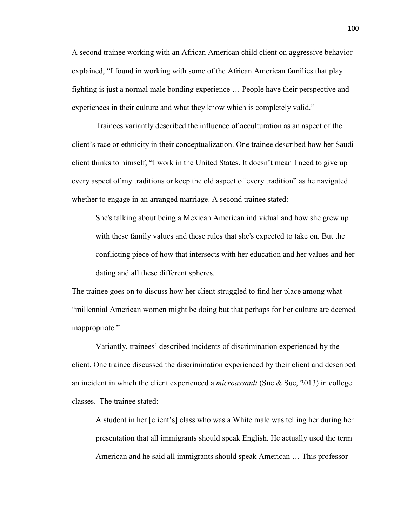A second trainee working with an African American child client on aggressive behavior explained, "I found in working with some of the African American families that play fighting is just a normal male bonding experience … People have their perspective and experiences in their culture and what they know which is completely valid."

Trainees variantly described the influence of acculturation as an aspect of the client's race or ethnicity in their conceptualization. One trainee described how her Saudi client thinks to himself, "I work in the United States. It doesn't mean I need to give up every aspect of my traditions or keep the old aspect of every tradition" as he navigated whether to engage in an arranged marriage. A second trainee stated:

She's talking about being a Mexican American individual and how she grew up with these family values and these rules that she's expected to take on. But the conflicting piece of how that intersects with her education and her values and her dating and all these different spheres.

The trainee goes on to discuss how her client struggled to find her place among what "millennial American women might be doing but that perhaps for her culture are deemed inappropriate."

Variantly, trainees' described incidents of discrimination experienced by the client. One trainee discussed the discrimination experienced by their client and described an incident in which the client experienced a *microassault* (Sue & Sue, 2013) in college classes. The trainee stated:

A student in her [client's] class who was a White male was telling her during her presentation that all immigrants should speak English. He actually used the term American and he said all immigrants should speak American … This professor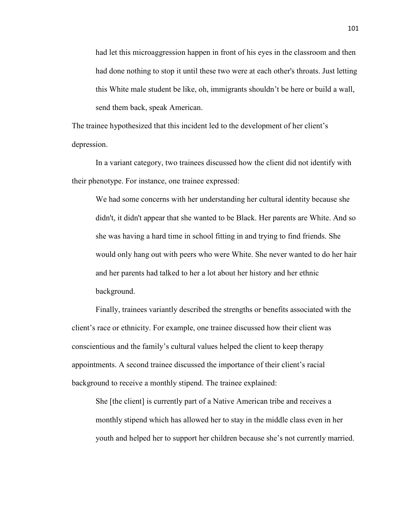had let this microaggression happen in front of his eyes in the classroom and then had done nothing to stop it until these two were at each other's throats. Just letting this White male student be like, oh, immigrants shouldn't be here or build a wall, send them back, speak American.

The trainee hypothesized that this incident led to the development of her client's depression.

In a variant category, two trainees discussed how the client did not identify with their phenotype. For instance, one trainee expressed:

We had some concerns with her understanding her cultural identity because she didn't, it didn't appear that she wanted to be Black. Her parents are White. And so she was having a hard time in school fitting in and trying to find friends. She would only hang out with peers who were White. She never wanted to do her hair and her parents had talked to her a lot about her history and her ethnic background.

Finally, trainees variantly described the strengths or benefits associated with the client's race or ethnicity. For example, one trainee discussed how their client was conscientious and the family's cultural values helped the client to keep therapy appointments. A second trainee discussed the importance of their client's racial background to receive a monthly stipend. The trainee explained:

She [the client] is currently part of a Native American tribe and receives a monthly stipend which has allowed her to stay in the middle class even in her youth and helped her to support her children because she's not currently married.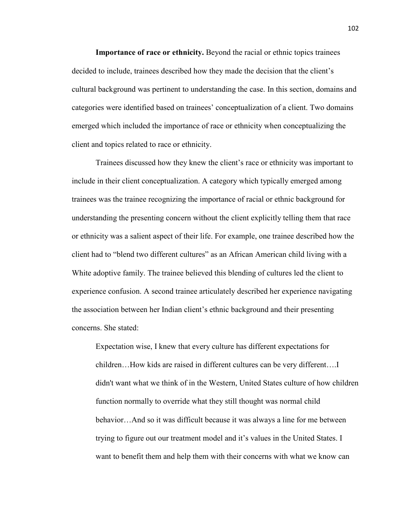**Importance of race or ethnicity.** Beyond the racial or ethnic topics trainees decided to include, trainees described how they made the decision that the client's cultural background was pertinent to understanding the case. In this section, domains and categories were identified based on trainees' conceptualization of a client. Two domains emerged which included the importance of race or ethnicity when conceptualizing the client and topics related to race or ethnicity.

Trainees discussed how they knew the client's race or ethnicity was important to include in their client conceptualization. A category which typically emerged among trainees was the trainee recognizing the importance of racial or ethnic background for understanding the presenting concern without the client explicitly telling them that race or ethnicity was a salient aspect of their life. For example, one trainee described how the client had to "blend two different cultures" as an African American child living with a White adoptive family. The trainee believed this blending of cultures led the client to experience confusion. A second trainee articulately described her experience navigating the association between her Indian client's ethnic background and their presenting concerns. She stated:

Expectation wise, I knew that every culture has different expectations for children…How kids are raised in different cultures can be very different….I didn't want what we think of in the Western, United States culture of how children function normally to override what they still thought was normal child behavior…And so it was difficult because it was always a line for me between trying to figure out our treatment model and it's values in the United States. I want to benefit them and help them with their concerns with what we know can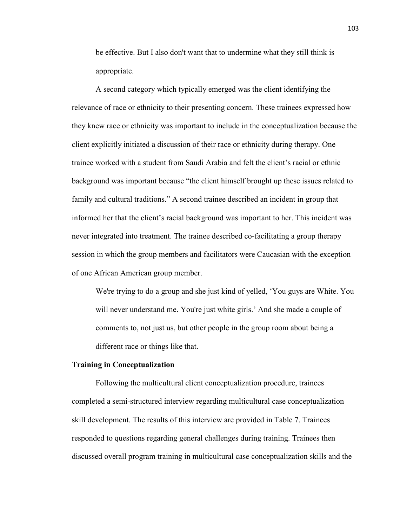be effective. But I also don't want that to undermine what they still think is appropriate.

A second category which typically emerged was the client identifying the relevance of race or ethnicity to their presenting concern. These trainees expressed how they knew race or ethnicity was important to include in the conceptualization because the client explicitly initiated a discussion of their race or ethnicity during therapy. One trainee worked with a student from Saudi Arabia and felt the client's racial or ethnic background was important because "the client himself brought up these issues related to family and cultural traditions." A second trainee described an incident in group that informed her that the client's racial background was important to her. This incident was never integrated into treatment. The trainee described co-facilitating a group therapy session in which the group members and facilitators were Caucasian with the exception of one African American group member.

We're trying to do a group and she just kind of yelled, 'You guys are White. You will never understand me. You're just white girls.' And she made a couple of comments to, not just us, but other people in the group room about being a different race or things like that.

## **Training in Conceptualization**

Following the multicultural client conceptualization procedure, trainees completed a semi-structured interview regarding multicultural case conceptualization skill development. The results of this interview are provided in Table 7. Trainees responded to questions regarding general challenges during training. Trainees then discussed overall program training in multicultural case conceptualization skills and the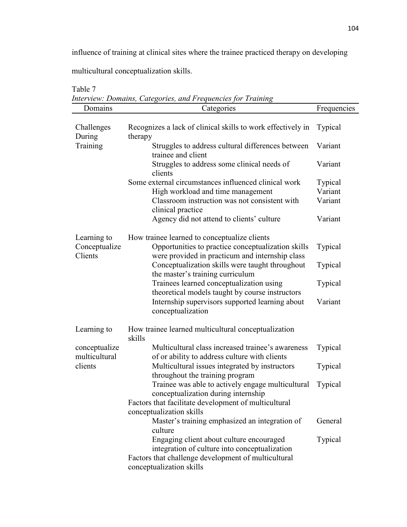influence of training at clinical sites where the trainee practiced therapy on developing

multicultural conceptualization skills.

|                                         | Interview: Domains, Categories, and Frequencies for Training                                                                                          |             |
|-----------------------------------------|-------------------------------------------------------------------------------------------------------------------------------------------------------|-------------|
| Domains                                 | Categories                                                                                                                                            | Frequencies |
| Challenges<br>During                    | Recognizes a lack of clinical skills to work effectively in<br>therapy                                                                                | Typical     |
| Training                                | Struggles to address cultural differences between<br>trainee and client                                                                               | Variant     |
|                                         | Struggles to address some clinical needs of<br>clients                                                                                                | Variant     |
|                                         | Some external circumstances influenced clinical work                                                                                                  | Typical     |
|                                         | High workload and time management                                                                                                                     | Variant     |
|                                         | Classroom instruction was not consistent with<br>clinical practice                                                                                    | Variant     |
|                                         | Agency did not attend to clients' culture                                                                                                             | Variant     |
| Learning to<br>Conceptualize<br>Clients | How trainee learned to conceptualize clients<br>Opportunities to practice conceptualization skills<br>were provided in practicum and internship class | Typical     |
|                                         | Conceptualization skills were taught throughout<br>the master's training curriculum                                                                   | Typical     |
|                                         | Trainees learned conceptualization using<br>theoretical models taught by course instructors                                                           | Typical     |
|                                         | Internship supervisors supported learning about<br>conceptualization                                                                                  | Variant     |
| Learning to                             | How trainee learned multicultural conceptualization<br>skills                                                                                         |             |
| conceptualize<br>multicultural          | Multicultural class increased trainee's awareness<br>of or ability to address culture with clients                                                    | Typical     |
| clients                                 | Multicultural issues integrated by instructors<br>throughout the training program                                                                     | Typical     |
|                                         | Trainee was able to actively engage multicultural<br>conceptualization during internship                                                              | Typical     |
|                                         | Factors that facilitate development of multicultural                                                                                                  |             |
|                                         | conceptualization skills<br>Master's training emphasized an integration of                                                                            | General     |
|                                         | culture                                                                                                                                               |             |
|                                         | Engaging client about culture encouraged<br>integration of culture into conceptualization                                                             | Typical     |
|                                         | Factors that challenge development of multicultural<br>conceptualization skills                                                                       |             |
|                                         |                                                                                                                                                       |             |

Table 7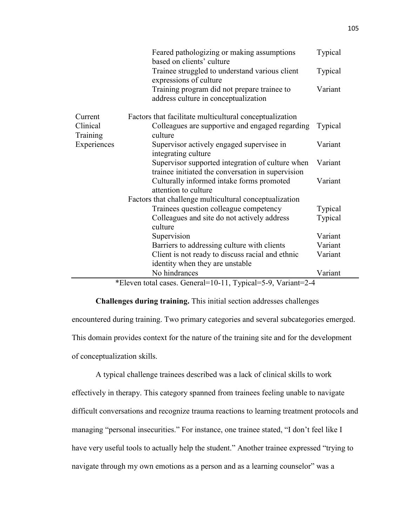|                      | Feared pathologizing or making assumptions<br>based on clients' culture                               | Typical |
|----------------------|-------------------------------------------------------------------------------------------------------|---------|
|                      | Trainee struggled to understand various client<br>expressions of culture                              | Typical |
|                      | Training program did not prepare trainee to<br>address culture in conceptualization                   | Variant |
| Current              | Factors that facilitate multicultural conceptualization                                               |         |
| Clinical<br>Training | Colleagues are supportive and engaged regarding<br>culture                                            | Typical |
| Experiences          | Supervisor actively engaged supervisee in<br>integrating culture                                      | Variant |
|                      | Supervisor supported integration of culture when<br>trainee initiated the conversation in supervision | Variant |
|                      | Culturally informed intake forms promoted<br>attention to culture                                     | Variant |
|                      | Factors that challenge multicultural conceptualization                                                |         |
|                      | Trainees question colleague competency                                                                | Typical |
|                      | Colleagues and site do not actively address                                                           | Typical |
|                      | culture                                                                                               | Variant |
|                      | Supervision                                                                                           |         |
|                      | Barriers to addressing culture with clients                                                           | Variant |
|                      | Client is not ready to discuss racial and ethnic                                                      | Variant |
|                      | identity when they are unstable                                                                       |         |
|                      | No hindrances                                                                                         | Variant |

\*Eleven total cases. General=10-11, Typical=5-9, Variant=2-4

# **Challenges during training.** This initial section addresses challenges

encountered during training. Two primary categories and several subcategories emerged. This domain provides context for the nature of the training site and for the development of conceptualization skills.

 A typical challenge trainees described was a lack of clinical skills to work effectively in therapy. This category spanned from trainees feeling unable to navigate difficult conversations and recognize trauma reactions to learning treatment protocols and managing "personal insecurities." For instance, one trainee stated, "I don't feel like I have very useful tools to actually help the student." Another trainee expressed "trying to navigate through my own emotions as a person and as a learning counselor" was a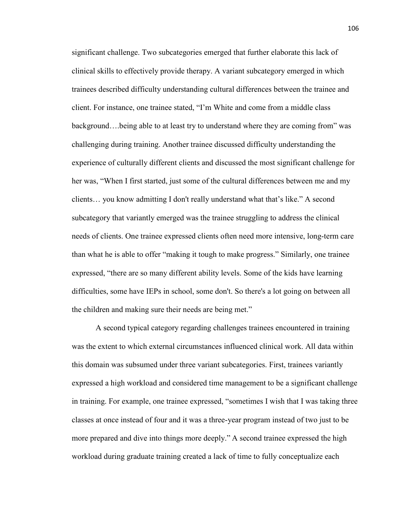significant challenge. Two subcategories emerged that further elaborate this lack of clinical skills to effectively provide therapy. A variant subcategory emerged in which trainees described difficulty understanding cultural differences between the trainee and client. For instance, one trainee stated, "I'm White and come from a middle class background….being able to at least try to understand where they are coming from" was challenging during training. Another trainee discussed difficulty understanding the experience of culturally different clients and discussed the most significant challenge for her was, "When I first started, just some of the cultural differences between me and my clients… you know admitting I don't really understand what that's like." A second subcategory that variantly emerged was the trainee struggling to address the clinical needs of clients. One trainee expressed clients often need more intensive, long-term care than what he is able to offer "making it tough to make progress." Similarly, one trainee expressed, "there are so many different ability levels. Some of the kids have learning difficulties, some have IEPs in school, some don't. So there's a lot going on between all the children and making sure their needs are being met."

A second typical category regarding challenges trainees encountered in training was the extent to which external circumstances influenced clinical work. All data within this domain was subsumed under three variant subcategories. First, trainees variantly expressed a high workload and considered time management to be a significant challenge in training. For example, one trainee expressed, "sometimes I wish that I was taking three classes at once instead of four and it was a three-year program instead of two just to be more prepared and dive into things more deeply." A second trainee expressed the high workload during graduate training created a lack of time to fully conceptualize each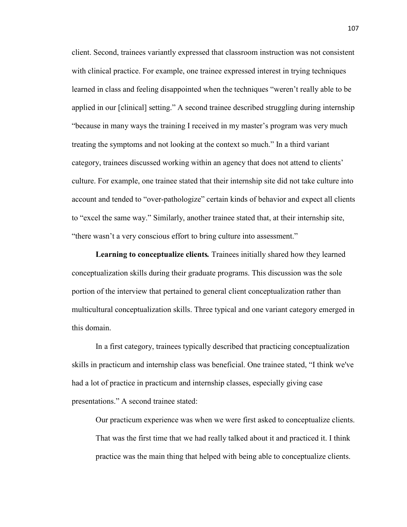client. Second, trainees variantly expressed that classroom instruction was not consistent with clinical practice. For example, one trainee expressed interest in trying techniques learned in class and feeling disappointed when the techniques "weren't really able to be applied in our [clinical] setting." A second trainee described struggling during internship "because in many ways the training I received in my master's program was very much treating the symptoms and not looking at the context so much." In a third variant category, trainees discussed working within an agency that does not attend to clients' culture. For example, one trainee stated that their internship site did not take culture into account and tended to "over-pathologize" certain kinds of behavior and expect all clients to "excel the same way." Similarly, another trainee stated that, at their internship site, "there wasn't a very conscious effort to bring culture into assessment."

**Learning to conceptualize clients***.* Trainees initially shared how they learned conceptualization skills during their graduate programs. This discussion was the sole portion of the interview that pertained to general client conceptualization rather than multicultural conceptualization skills. Three typical and one variant category emerged in this domain.

In a first category, trainees typically described that practicing conceptualization skills in practicum and internship class was beneficial. One trainee stated, "I think we've had a lot of practice in practicum and internship classes, especially giving case presentations." A second trainee stated:

Our practicum experience was when we were first asked to conceptualize clients. That was the first time that we had really talked about it and practiced it. I think practice was the main thing that helped with being able to conceptualize clients.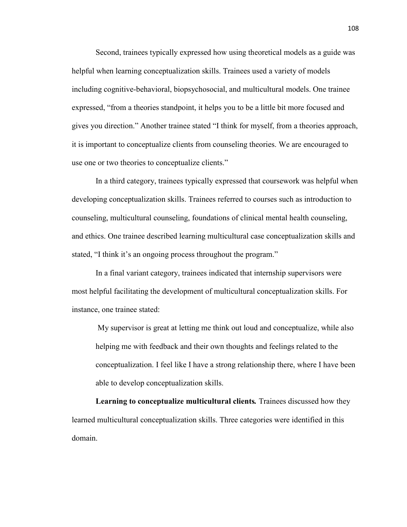Second, trainees typically expressed how using theoretical models as a guide was helpful when learning conceptualization skills. Trainees used a variety of models including cognitive-behavioral, biopsychosocial, and multicultural models. One trainee expressed, "from a theories standpoint, it helps you to be a little bit more focused and gives you direction." Another trainee stated "I think for myself, from a theories approach, it is important to conceptualize clients from counseling theories. We are encouraged to use one or two theories to conceptualize clients."

In a third category, trainees typically expressed that coursework was helpful when developing conceptualization skills. Trainees referred to courses such as introduction to counseling, multicultural counseling, foundations of clinical mental health counseling, and ethics. One trainee described learning multicultural case conceptualization skills and stated, "I think it's an ongoing process throughout the program."

In a final variant category, trainees indicated that internship supervisors were most helpful facilitating the development of multicultural conceptualization skills. For instance, one trainee stated:

My supervisor is great at letting me think out loud and conceptualize, while also helping me with feedback and their own thoughts and feelings related to the conceptualization. I feel like I have a strong relationship there, where I have been able to develop conceptualization skills.

 **Learning to conceptualize multicultural clients***.* Trainees discussed how they learned multicultural conceptualization skills. Three categories were identified in this domain.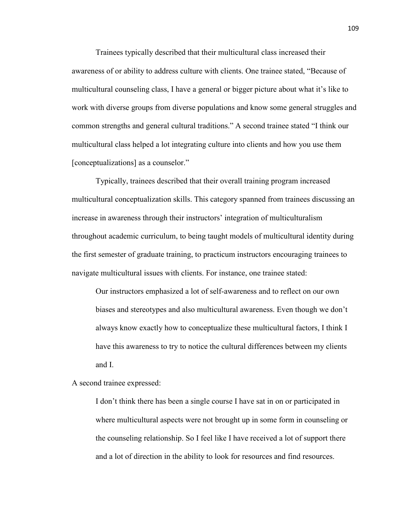Trainees typically described that their multicultural class increased their awareness of or ability to address culture with clients. One trainee stated, "Because of multicultural counseling class, I have a general or bigger picture about what it's like to work with diverse groups from diverse populations and know some general struggles and common strengths and general cultural traditions." A second trainee stated "I think our multicultural class helped a lot integrating culture into clients and how you use them [conceptualizations] as a counselor."

 Typically, trainees described that their overall training program increased multicultural conceptualization skills. This category spanned from trainees discussing an increase in awareness through their instructors' integration of multiculturalism throughout academic curriculum, to being taught models of multicultural identity during the first semester of graduate training, to practicum instructors encouraging trainees to navigate multicultural issues with clients. For instance, one trainee stated:

Our instructors emphasized a lot of self-awareness and to reflect on our own biases and stereotypes and also multicultural awareness. Even though we don't always know exactly how to conceptualize these multicultural factors, I think I have this awareness to try to notice the cultural differences between my clients and I.

A second trainee expressed:

I don't think there has been a single course I have sat in on or participated in where multicultural aspects were not brought up in some form in counseling or the counseling relationship. So I feel like I have received a lot of support there and a lot of direction in the ability to look for resources and find resources.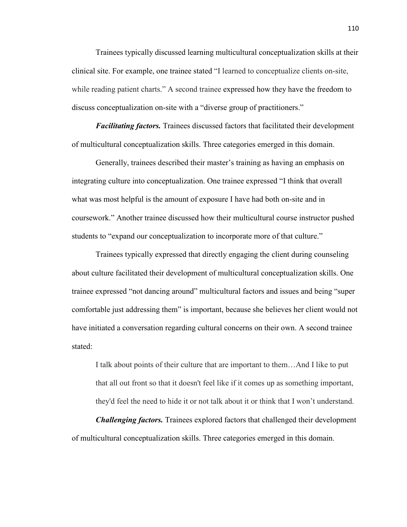Trainees typically discussed learning multicultural conceptualization skills at their clinical site. For example, one trainee stated "I learned to conceptualize clients on-site, while reading patient charts." A second trainee expressed how they have the freedom to discuss conceptualization on-site with a "diverse group of practitioners."

*Facilitating factors.* Trainees discussed factors that facilitated their development of multicultural conceptualization skills. Three categories emerged in this domain.

Generally, trainees described their master's training as having an emphasis on integrating culture into conceptualization. One trainee expressed "I think that overall what was most helpful is the amount of exposure I have had both on-site and in coursework." Another trainee discussed how their multicultural course instructor pushed students to "expand our conceptualization to incorporate more of that culture."

 Trainees typically expressed that directly engaging the client during counseling about culture facilitated their development of multicultural conceptualization skills. One trainee expressed "not dancing around" multicultural factors and issues and being "super comfortable just addressing them" is important, because she believes her client would not have initiated a conversation regarding cultural concerns on their own. A second trainee stated:

I talk about points of their culture that are important to them…And I like to put that all out front so that it doesn't feel like if it comes up as something important, they'd feel the need to hide it or not talk about it or think that I won't understand.

*Challenging factors.* Trainees explored factors that challenged their development of multicultural conceptualization skills. Three categories emerged in this domain.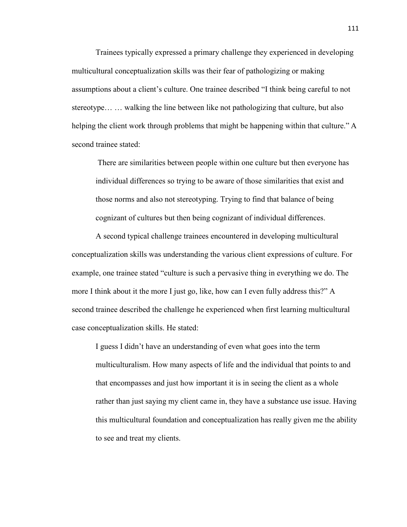Trainees typically expressed a primary challenge they experienced in developing multicultural conceptualization skills was their fear of pathologizing or making assumptions about a client's culture. One trainee described "I think being careful to not stereotype… … walking the line between like not pathologizing that culture, but also helping the client work through problems that might be happening within that culture." A second trainee stated:

There are similarities between people within one culture but then everyone has individual differences so trying to be aware of those similarities that exist and those norms and also not stereotyping. Trying to find that balance of being cognizant of cultures but then being cognizant of individual differences.

A second typical challenge trainees encountered in developing multicultural conceptualization skills was understanding the various client expressions of culture. For example, one trainee stated "culture is such a pervasive thing in everything we do. The more I think about it the more I just go, like, how can I even fully address this?" A second trainee described the challenge he experienced when first learning multicultural case conceptualization skills. He stated:

I guess I didn't have an understanding of even what goes into the term multiculturalism. How many aspects of life and the individual that points to and that encompasses and just how important it is in seeing the client as a whole rather than just saying my client came in, they have a substance use issue. Having this multicultural foundation and conceptualization has really given me the ability to see and treat my clients.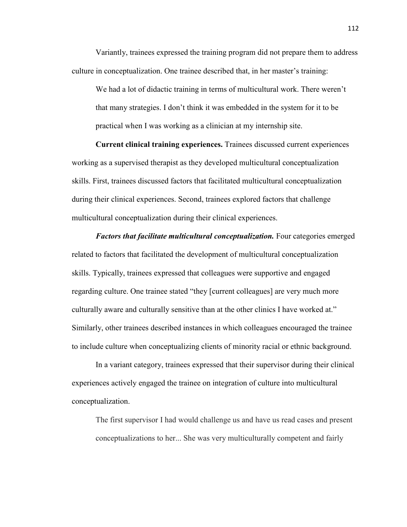Variantly, trainees expressed the training program did not prepare them to address culture in conceptualization. One trainee described that, in her master's training:

We had a lot of didactic training in terms of multicultural work. There weren't that many strategies. I don't think it was embedded in the system for it to be practical when I was working as a clinician at my internship site.

**Current clinical training experiences.** Trainees discussed current experiences working as a supervised therapist as they developed multicultural conceptualization skills. First, trainees discussed factors that facilitated multicultural conceptualization during their clinical experiences. Second, trainees explored factors that challenge multicultural conceptualization during their clinical experiences.

*Factors that facilitate multicultural conceptualization.* Four categories emerged related to factors that facilitated the development of multicultural conceptualization skills. Typically, trainees expressed that colleagues were supportive and engaged regarding culture. One trainee stated "they [current colleagues] are very much more culturally aware and culturally sensitive than at the other clinics I have worked at." Similarly, other trainees described instances in which colleagues encouraged the trainee to include culture when conceptualizing clients of minority racial or ethnic background.

In a variant category, trainees expressed that their supervisor during their clinical experiences actively engaged the trainee on integration of culture into multicultural conceptualization.

The first supervisor I had would challenge us and have us read cases and present conceptualizations to her... She was very multiculturally competent and fairly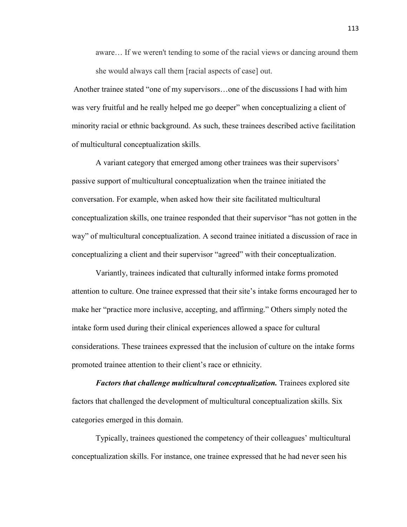aware… If we weren't tending to some of the racial views or dancing around them she would always call them [racial aspects of case] out.

Another trainee stated "one of my supervisors…one of the discussions I had with him was very fruitful and he really helped me go deeper" when conceptualizing a client of minority racial or ethnic background. As such, these trainees described active facilitation of multicultural conceptualization skills.

A variant category that emerged among other trainees was their supervisors' passive support of multicultural conceptualization when the trainee initiated the conversation. For example, when asked how their site facilitated multicultural conceptualization skills, one trainee responded that their supervisor "has not gotten in the way" of multicultural conceptualization. A second trainee initiated a discussion of race in conceptualizing a client and their supervisor "agreed" with their conceptualization.

Variantly, trainees indicated that culturally informed intake forms promoted attention to culture. One trainee expressed that their site's intake forms encouraged her to make her "practice more inclusive, accepting, and affirming." Others simply noted the intake form used during their clinical experiences allowed a space for cultural considerations. These trainees expressed that the inclusion of culture on the intake forms promoted trainee attention to their client's race or ethnicity.

*Factors that challenge multicultural conceptualization.* Trainees explored site factors that challenged the development of multicultural conceptualization skills. Six categories emerged in this domain.

Typically, trainees questioned the competency of their colleagues' multicultural conceptualization skills. For instance, one trainee expressed that he had never seen his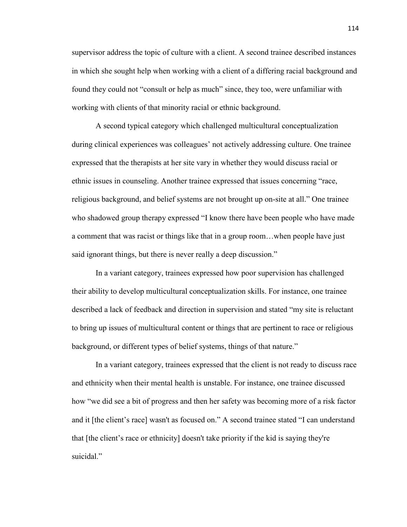supervisor address the topic of culture with a client. A second trainee described instances in which she sought help when working with a client of a differing racial background and found they could not "consult or help as much" since, they too, were unfamiliar with working with clients of that minority racial or ethnic background.

A second typical category which challenged multicultural conceptualization during clinical experiences was colleagues' not actively addressing culture. One trainee expressed that the therapists at her site vary in whether they would discuss racial or ethnic issues in counseling. Another trainee expressed that issues concerning "race, religious background, and belief systems are not brought up on-site at all." One trainee who shadowed group therapy expressed "I know there have been people who have made a comment that was racist or things like that in a group room…when people have just said ignorant things, but there is never really a deep discussion."

In a variant category, trainees expressed how poor supervision has challenged their ability to develop multicultural conceptualization skills. For instance, one trainee described a lack of feedback and direction in supervision and stated "my site is reluctant to bring up issues of multicultural content or things that are pertinent to race or religious background, or different types of belief systems, things of that nature."

In a variant category, trainees expressed that the client is not ready to discuss race and ethnicity when their mental health is unstable. For instance, one trainee discussed how "we did see a bit of progress and then her safety was becoming more of a risk factor and it [the client's race] wasn't as focused on." A second trainee stated "I can understand that [the client's race or ethnicity] doesn't take priority if the kid is saying they're suicidal."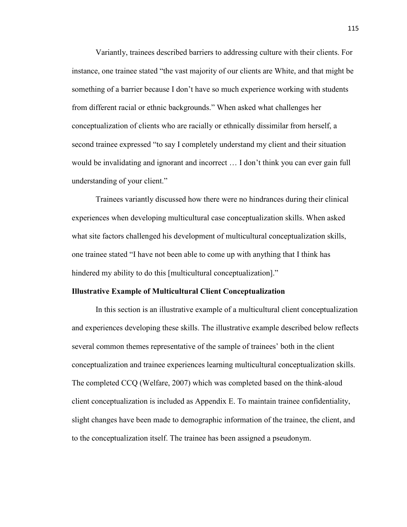Variantly, trainees described barriers to addressing culture with their clients. For instance, one trainee stated "the vast majority of our clients are White, and that might be something of a barrier because I don't have so much experience working with students from different racial or ethnic backgrounds." When asked what challenges her conceptualization of clients who are racially or ethnically dissimilar from herself, a second trainee expressed "to say I completely understand my client and their situation would be invalidating and ignorant and incorrect … I don't think you can ever gain full understanding of your client."

Trainees variantly discussed how there were no hindrances during their clinical experiences when developing multicultural case conceptualization skills. When asked what site factors challenged his development of multicultural conceptualization skills, one trainee stated "I have not been able to come up with anything that I think has hindered my ability to do this [multicultural conceptualization]."

#### **Illustrative Example of Multicultural Client Conceptualization**

 In this section is an illustrative example of a multicultural client conceptualization and experiences developing these skills. The illustrative example described below reflects several common themes representative of the sample of trainees' both in the client conceptualization and trainee experiences learning multicultural conceptualization skills. The completed CCQ (Welfare, 2007) which was completed based on the think-aloud client conceptualization is included as Appendix E. To maintain trainee confidentiality, slight changes have been made to demographic information of the trainee, the client, and to the conceptualization itself. The trainee has been assigned a pseudonym.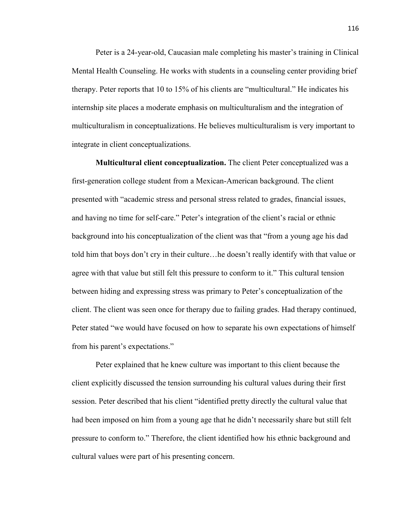Peter is a 24-year-old, Caucasian male completing his master's training in Clinical Mental Health Counseling. He works with students in a counseling center providing brief therapy. Peter reports that 10 to 15% of his clients are "multicultural." He indicates his internship site places a moderate emphasis on multiculturalism and the integration of multiculturalism in conceptualizations. He believes multiculturalism is very important to integrate in client conceptualizations.

**Multicultural client conceptualization.** The client Peter conceptualized was a first-generation college student from a Mexican-American background. The client presented with "academic stress and personal stress related to grades, financial issues, and having no time for self-care." Peter's integration of the client's racial or ethnic background into his conceptualization of the client was that "from a young age his dad told him that boys don't cry in their culture…he doesn't really identify with that value or agree with that value but still felt this pressure to conform to it." This cultural tension between hiding and expressing stress was primary to Peter's conceptualization of the client. The client was seen once for therapy due to failing grades. Had therapy continued, Peter stated "we would have focused on how to separate his own expectations of himself from his parent's expectations."

Peter explained that he knew culture was important to this client because the client explicitly discussed the tension surrounding his cultural values during their first session. Peter described that his client "identified pretty directly the cultural value that had been imposed on him from a young age that he didn't necessarily share but still felt pressure to conform to." Therefore, the client identified how his ethnic background and cultural values were part of his presenting concern.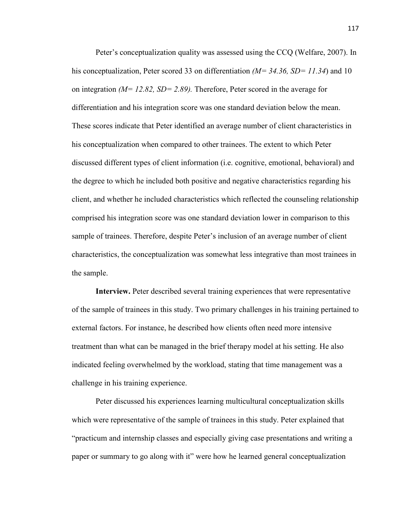Peter's conceptualization quality was assessed using the CCQ (Welfare, 2007). In his conceptualization, Peter scored 33 on differentiation *(M= 34.36, SD= 11.34)* and 10 on integration *(M= 12.82, SD= 2.89).* Therefore, Peter scored in the average for differentiation and his integration score was one standard deviation below the mean. These scores indicate that Peter identified an average number of client characteristics in his conceptualization when compared to other trainees. The extent to which Peter discussed different types of client information (i.e. cognitive, emotional, behavioral) and the degree to which he included both positive and negative characteristics regarding his client, and whether he included characteristics which reflected the counseling relationship comprised his integration score was one standard deviation lower in comparison to this sample of trainees. Therefore, despite Peter's inclusion of an average number of client characteristics, the conceptualization was somewhat less integrative than most trainees in the sample.

**Interview.** Peter described several training experiences that were representative of the sample of trainees in this study. Two primary challenges in his training pertained to external factors. For instance, he described how clients often need more intensive treatment than what can be managed in the brief therapy model at his setting. He also indicated feeling overwhelmed by the workload, stating that time management was a challenge in his training experience.

 Peter discussed his experiences learning multicultural conceptualization skills which were representative of the sample of trainees in this study. Peter explained that "practicum and internship classes and especially giving case presentations and writing a paper or summary to go along with it" were how he learned general conceptualization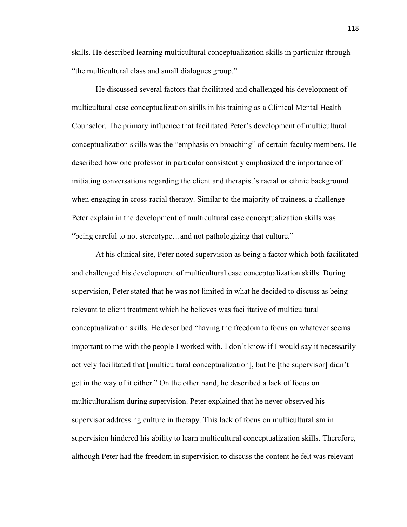skills. He described learning multicultural conceptualization skills in particular through "the multicultural class and small dialogues group."

He discussed several factors that facilitated and challenged his development of multicultural case conceptualization skills in his training as a Clinical Mental Health Counselor. The primary influence that facilitated Peter's development of multicultural conceptualization skills was the "emphasis on broaching" of certain faculty members. He described how one professor in particular consistently emphasized the importance of initiating conversations regarding the client and therapist's racial or ethnic background when engaging in cross-racial therapy. Similar to the majority of trainees, a challenge Peter explain in the development of multicultural case conceptualization skills was "being careful to not stereotype…and not pathologizing that culture."

At his clinical site, Peter noted supervision as being a factor which both facilitated and challenged his development of multicultural case conceptualization skills. During supervision, Peter stated that he was not limited in what he decided to discuss as being relevant to client treatment which he believes was facilitative of multicultural conceptualization skills. He described "having the freedom to focus on whatever seems important to me with the people I worked with. I don't know if I would say it necessarily actively facilitated that [multicultural conceptualization], but he [the supervisor] didn't get in the way of it either." On the other hand, he described a lack of focus on multiculturalism during supervision. Peter explained that he never observed his supervisor addressing culture in therapy. This lack of focus on multiculturalism in supervision hindered his ability to learn multicultural conceptualization skills. Therefore, although Peter had the freedom in supervision to discuss the content he felt was relevant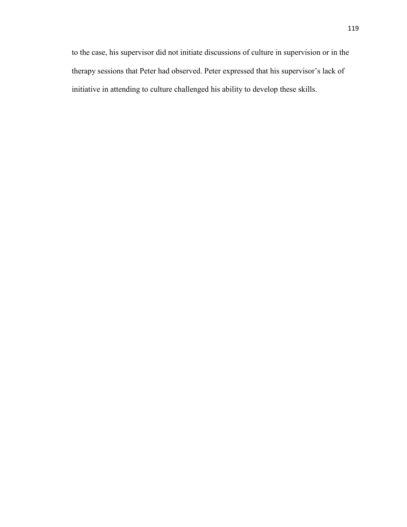to the case, his supervisor did not initiate discussions of culture in supervision or in the therapy sessions that Peter had observed. Peter expressed that his supervisor's lack of initiative in attending to culture challenged his ability to develop these skills.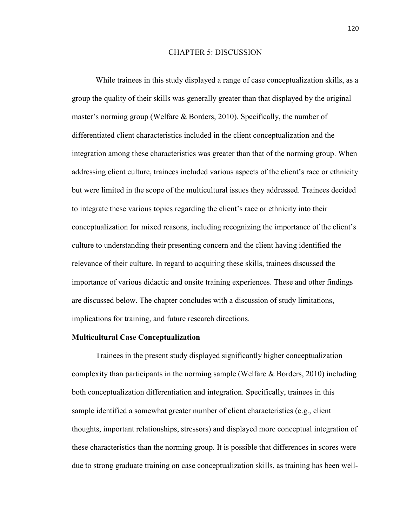## CHAPTER 5: DISCUSSION

While trainees in this study displayed a range of case conceptualization skills, as a group the quality of their skills was generally greater than that displayed by the original master's norming group (Welfare & Borders, 2010). Specifically, the number of differentiated client characteristics included in the client conceptualization and the integration among these characteristics was greater than that of the norming group. When addressing client culture, trainees included various aspects of the client's race or ethnicity but were limited in the scope of the multicultural issues they addressed. Trainees decided to integrate these various topics regarding the client's race or ethnicity into their conceptualization for mixed reasons, including recognizing the importance of the client's culture to understanding their presenting concern and the client having identified the relevance of their culture. In regard to acquiring these skills, trainees discussed the importance of various didactic and onsite training experiences. These and other findings are discussed below. The chapter concludes with a discussion of study limitations, implications for training, and future research directions.

#### **Multicultural Case Conceptualization**

Trainees in the present study displayed significantly higher conceptualization complexity than participants in the norming sample (Welfare  $\&$  Borders, 2010) including both conceptualization differentiation and integration. Specifically, trainees in this sample identified a somewhat greater number of client characteristics (e.g., client thoughts, important relationships, stressors) and displayed more conceptual integration of these characteristics than the norming group. It is possible that differences in scores were due to strong graduate training on case conceptualization skills, as training has been well-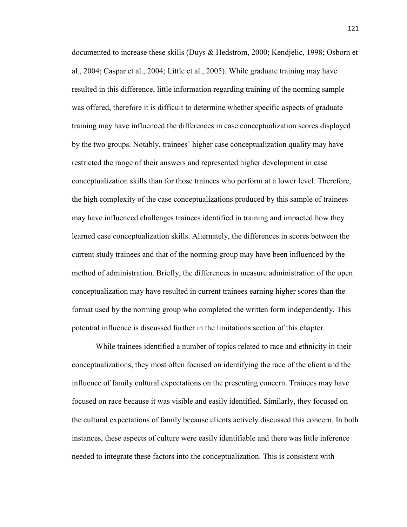documented to increase these skills (Duys & Hedstrom, 2000; Kendjelic, 1998; Osborn et al., 2004; Caspar et al., 2004; Little et al., 2005). While graduate training may have resulted in this difference, little information regarding training of the norming sample was offered, therefore it is difficult to determine whether specific aspects of graduate training may have influenced the differences in case conceptualization scores displayed by the two groups. Notably, trainees' higher case conceptualization quality may have restricted the range of their answers and represented higher development in case conceptualization skills than for those trainees who perform at a lower level. Therefore, the high complexity of the case conceptualizations produced by this sample of trainees may have influenced challenges trainees identified in training and impacted how they learned case conceptualization skills. Alternately, the differences in scores between the current study trainees and that of the norming group may have been influenced by the method of administration. Briefly, the differences in measure administration of the open conceptualization may have resulted in current trainees earning higher scores than the format used by the norming group who completed the written form independently. This potential influence is discussed further in the limitations section of this chapter.

While trainees identified a number of topics related to race and ethnicity in their conceptualizations, they most often focused on identifying the race of the client and the influence of family cultural expectations on the presenting concern. Trainees may have focused on race because it was visible and easily identified. Similarly, they focused on the cultural expectations of family because clients actively discussed this concern. In both instances, these aspects of culture were easily identifiable and there was little inference needed to integrate these factors into the conceptualization. This is consistent with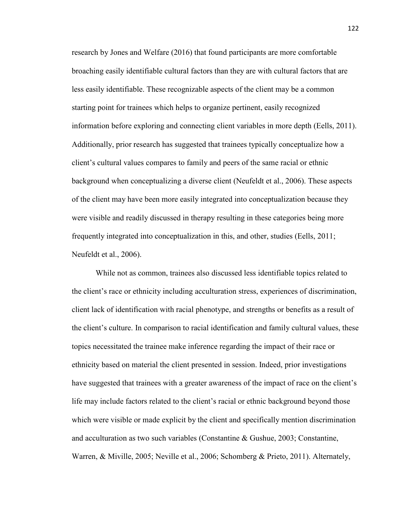research by Jones and Welfare (2016) that found participants are more comfortable broaching easily identifiable cultural factors than they are with cultural factors that are less easily identifiable. These recognizable aspects of the client may be a common starting point for trainees which helps to organize pertinent, easily recognized information before exploring and connecting client variables in more depth (Eells, 2011). Additionally, prior research has suggested that trainees typically conceptualize how a client's cultural values compares to family and peers of the same racial or ethnic background when conceptualizing a diverse client (Neufeldt et al., 2006). These aspects of the client may have been more easily integrated into conceptualization because they were visible and readily discussed in therapy resulting in these categories being more frequently integrated into conceptualization in this, and other, studies (Eells, 2011; Neufeldt et al., 2006).

While not as common, trainees also discussed less identifiable topics related to the client's race or ethnicity including acculturation stress, experiences of discrimination, client lack of identification with racial phenotype, and strengths or benefits as a result of the client's culture. In comparison to racial identification and family cultural values, these topics necessitated the trainee make inference regarding the impact of their race or ethnicity based on material the client presented in session. Indeed, prior investigations have suggested that trainees with a greater awareness of the impact of race on the client's life may include factors related to the client's racial or ethnic background beyond those which were visible or made explicit by the client and specifically mention discrimination and acculturation as two such variables (Constantine & Gushue, 2003; Constantine, Warren, & Miville, 2005; Neville et al., 2006; Schomberg & Prieto, 2011). Alternately,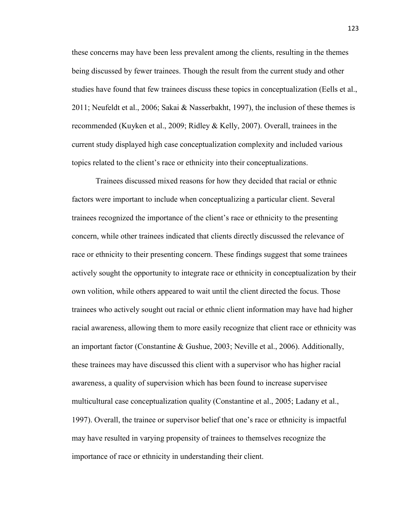these concerns may have been less prevalent among the clients, resulting in the themes being discussed by fewer trainees. Though the result from the current study and other studies have found that few trainees discuss these topics in conceptualization (Eells et al., 2011; Neufeldt et al., 2006; Sakai & Nasserbakht, 1997), the inclusion of these themes is recommended (Kuyken et al., 2009; Ridley & Kelly, 2007). Overall, trainees in the current study displayed high case conceptualization complexity and included various topics related to the client's race or ethnicity into their conceptualizations.

Trainees discussed mixed reasons for how they decided that racial or ethnic factors were important to include when conceptualizing a particular client. Several trainees recognized the importance of the client's race or ethnicity to the presenting concern, while other trainees indicated that clients directly discussed the relevance of race or ethnicity to their presenting concern. These findings suggest that some trainees actively sought the opportunity to integrate race or ethnicity in conceptualization by their own volition, while others appeared to wait until the client directed the focus. Those trainees who actively sought out racial or ethnic client information may have had higher racial awareness, allowing them to more easily recognize that client race or ethnicity was an important factor (Constantine & Gushue, 2003; Neville et al., 2006). Additionally, these trainees may have discussed this client with a supervisor who has higher racial awareness, a quality of supervision which has been found to increase supervisee multicultural case conceptualization quality (Constantine et al., 2005; Ladany et al., 1997). Overall, the trainee or supervisor belief that one's race or ethnicity is impactful may have resulted in varying propensity of trainees to themselves recognize the importance of race or ethnicity in understanding their client.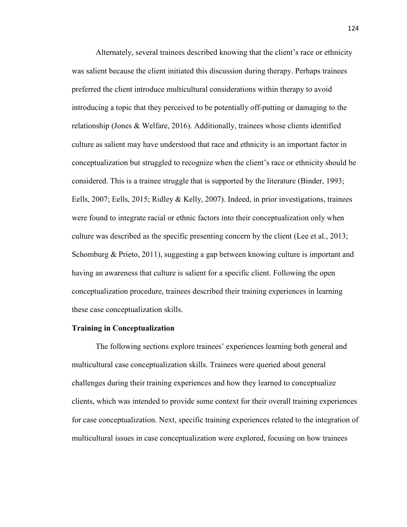Alternately, several trainees described knowing that the client's race or ethnicity was salient because the client initiated this discussion during therapy. Perhaps trainees preferred the client introduce multicultural considerations within therapy to avoid introducing a topic that they perceived to be potentially off-putting or damaging to the relationship (Jones & Welfare, 2016). Additionally, trainees whose clients identified culture as salient may have understood that race and ethnicity is an important factor in conceptualization but struggled to recognize when the client's race or ethnicity should be considered. This is a trainee struggle that is supported by the literature (Binder, 1993; Eells, 2007; Eells, 2015; Ridley & Kelly, 2007). Indeed, in prior investigations, trainees were found to integrate racial or ethnic factors into their conceptualization only when culture was described as the specific presenting concern by the client (Lee et al., 2013; Schomburg & Prieto, 2011), suggesting a gap between knowing culture is important and having an awareness that culture is salient for a specific client. Following the open conceptualization procedure, trainees described their training experiences in learning these case conceptualization skills.

#### **Training in Conceptualization**

The following sections explore trainees' experiences learning both general and multicultural case conceptualization skills. Trainees were queried about general challenges during their training experiences and how they learned to conceptualize clients, which was intended to provide some context for their overall training experiences for case conceptualization. Next, specific training experiences related to the integration of multicultural issues in case conceptualization were explored, focusing on how trainees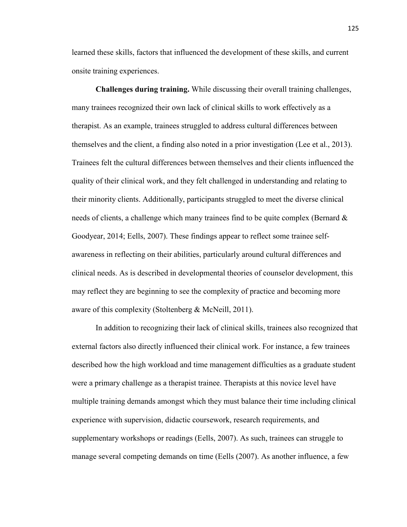learned these skills, factors that influenced the development of these skills, and current onsite training experiences.

**Challenges during training.** While discussing their overall training challenges, many trainees recognized their own lack of clinical skills to work effectively as a therapist. As an example, trainees struggled to address cultural differences between themselves and the client, a finding also noted in a prior investigation (Lee et al., 2013). Trainees felt the cultural differences between themselves and their clients influenced the quality of their clinical work, and they felt challenged in understanding and relating to their minority clients. Additionally, participants struggled to meet the diverse clinical needs of clients, a challenge which many trainees find to be quite complex (Bernard  $\&$ Goodyear, 2014; Eells, 2007). These findings appear to reflect some trainee selfawareness in reflecting on their abilities, particularly around cultural differences and clinical needs. As is described in developmental theories of counselor development, this may reflect they are beginning to see the complexity of practice and becoming more aware of this complexity (Stoltenberg & McNeill, 2011).

In addition to recognizing their lack of clinical skills, trainees also recognized that external factors also directly influenced their clinical work. For instance, a few trainees described how the high workload and time management difficulties as a graduate student were a primary challenge as a therapist trainee. Therapists at this novice level have multiple training demands amongst which they must balance their time including clinical experience with supervision, didactic coursework, research requirements, and supplementary workshops or readings (Eells, 2007). As such, trainees can struggle to manage several competing demands on time (Eells (2007). As another influence, a few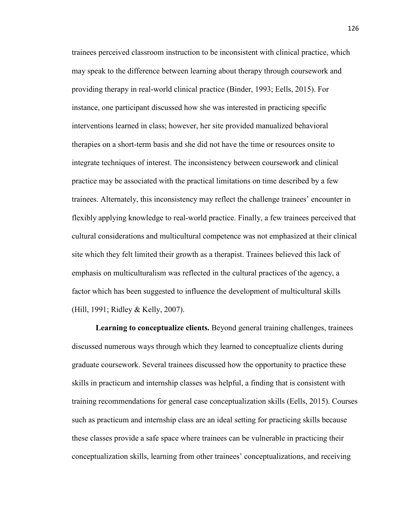trainees perceived classroom instruction to be inconsistent with clinical practice, which may speak to the difference between learning about therapy through coursework and providing therapy in real-world clinical practice (Binder, 1993; Eells, 2015). For instance, one participant discussed how she was interested in practicing specific interventions learned in class; however, her site provided manualized behavioral therapies on a short-term basis and she did not have the time or resources onsite to integrate techniques of interest. The inconsistency between coursework and clinical practice may be associated with the practical limitations on time described by a few trainees. Alternately, this inconsistency may reflect the challenge trainees' encounter in flexibly applying knowledge to real-world practice. Finally, a few trainees perceived that cultural considerations and multicultural competence was not emphasized at their clinical site which they felt limited their growth as a therapist. Trainees believed this lack of emphasis on multiculturalism was reflected in the cultural practices of the agency, a factor which has been suggested to influence the development of multicultural skills (Hill, 1991; Ridley & Kelly, 2007).

**Learning to conceptualize clients.** Beyond general training challenges, trainees discussed numerous ways through which they learned to conceptualize clients during graduate coursework. Several trainees discussed how the opportunity to practice these skills in practicum and internship classes was helpful, a finding that is consistent with training recommendations for general case conceptualization skills (Eells, 2015). Courses such as practicum and internship class are an ideal setting for practicing skills because these classes provide a safe space where trainees can be vulnerable in practicing their conceptualization skills, learning from other trainees' conceptualizations, and receiving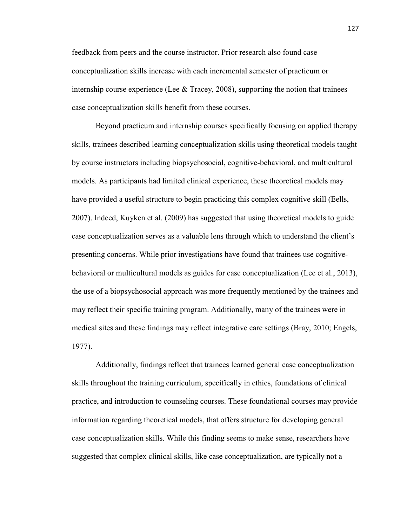feedback from peers and the course instructor. Prior research also found case conceptualization skills increase with each incremental semester of practicum or internship course experience (Lee  $\&$  Tracey, 2008), supporting the notion that trainees case conceptualization skills benefit from these courses.

Beyond practicum and internship courses specifically focusing on applied therapy skills, trainees described learning conceptualization skills using theoretical models taught by course instructors including biopsychosocial, cognitive-behavioral, and multicultural models. As participants had limited clinical experience, these theoretical models may have provided a useful structure to begin practicing this complex cognitive skill (Eells, 2007). Indeed, Kuyken et al. (2009) has suggested that using theoretical models to guide case conceptualization serves as a valuable lens through which to understand the client's presenting concerns. While prior investigations have found that trainees use cognitivebehavioral or multicultural models as guides for case conceptualization (Lee et al., 2013), the use of a biopsychosocial approach was more frequently mentioned by the trainees and may reflect their specific training program. Additionally, many of the trainees were in medical sites and these findings may reflect integrative care settings (Bray, 2010; Engels, 1977).

Additionally, findings reflect that trainees learned general case conceptualization skills throughout the training curriculum, specifically in ethics, foundations of clinical practice, and introduction to counseling courses. These foundational courses may provide information regarding theoretical models, that offers structure for developing general case conceptualization skills. While this finding seems to make sense, researchers have suggested that complex clinical skills, like case conceptualization, are typically not a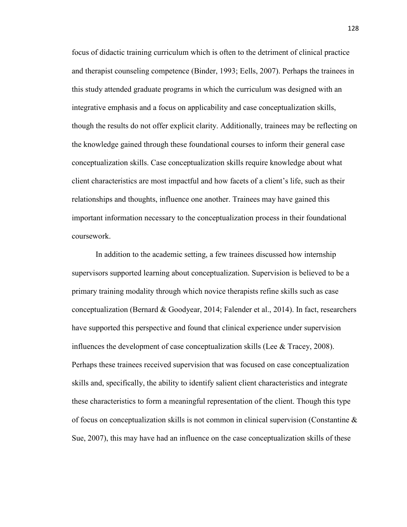focus of didactic training curriculum which is often to the detriment of clinical practice and therapist counseling competence (Binder, 1993; Eells, 2007). Perhaps the trainees in this study attended graduate programs in which the curriculum was designed with an integrative emphasis and a focus on applicability and case conceptualization skills, though the results do not offer explicit clarity. Additionally, trainees may be reflecting on the knowledge gained through these foundational courses to inform their general case conceptualization skills. Case conceptualization skills require knowledge about what client characteristics are most impactful and how facets of a client's life, such as their relationships and thoughts, influence one another. Trainees may have gained this important information necessary to the conceptualization process in their foundational coursework.

In addition to the academic setting, a few trainees discussed how internship supervisors supported learning about conceptualization. Supervision is believed to be a primary training modality through which novice therapists refine skills such as case conceptualization (Bernard & Goodyear, 2014; Falender et al., 2014). In fact, researchers have supported this perspective and found that clinical experience under supervision influences the development of case conceptualization skills (Lee & Tracey, 2008). Perhaps these trainees received supervision that was focused on case conceptualization skills and, specifically, the ability to identify salient client characteristics and integrate these characteristics to form a meaningful representation of the client. Though this type of focus on conceptualization skills is not common in clinical supervision (Constantine  $\&$ Sue, 2007), this may have had an influence on the case conceptualization skills of these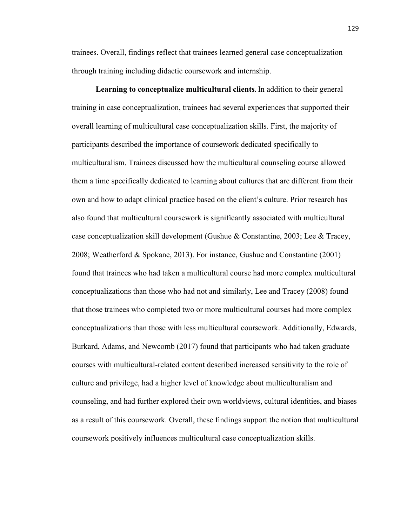trainees. Overall, findings reflect that trainees learned general case conceptualization through training including didactic coursework and internship.

**Learning to conceptualize multicultural clients.** In addition to their general training in case conceptualization, trainees had several experiences that supported their overall learning of multicultural case conceptualization skills. First, the majority of participants described the importance of coursework dedicated specifically to multiculturalism. Trainees discussed how the multicultural counseling course allowed them a time specifically dedicated to learning about cultures that are different from their own and how to adapt clinical practice based on the client's culture. Prior research has also found that multicultural coursework is significantly associated with multicultural case conceptualization skill development (Gushue & Constantine, 2003; Lee & Tracey, 2008; Weatherford & Spokane, 2013). For instance, Gushue and Constantine (2001) found that trainees who had taken a multicultural course had more complex multicultural conceptualizations than those who had not and similarly, Lee and Tracey (2008) found that those trainees who completed two or more multicultural courses had more complex conceptualizations than those with less multicultural coursework. Additionally, Edwards, Burkard, Adams, and Newcomb (2017) found that participants who had taken graduate courses with multicultural-related content described increased sensitivity to the role of culture and privilege, had a higher level of knowledge about multiculturalism and counseling, and had further explored their own worldviews, cultural identities, and biases as a result of this coursework. Overall, these findings support the notion that multicultural coursework positively influences multicultural case conceptualization skills.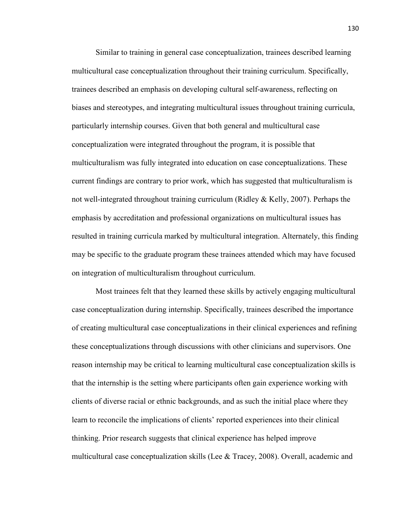Similar to training in general case conceptualization, trainees described learning multicultural case conceptualization throughout their training curriculum. Specifically, trainees described an emphasis on developing cultural self-awareness, reflecting on biases and stereotypes, and integrating multicultural issues throughout training curricula, particularly internship courses. Given that both general and multicultural case conceptualization were integrated throughout the program, it is possible that multiculturalism was fully integrated into education on case conceptualizations. These current findings are contrary to prior work, which has suggested that multiculturalism is not well-integrated throughout training curriculum (Ridley & Kelly, 2007). Perhaps the emphasis by accreditation and professional organizations on multicultural issues has resulted in training curricula marked by multicultural integration. Alternately, this finding may be specific to the graduate program these trainees attended which may have focused on integration of multiculturalism throughout curriculum.

Most trainees felt that they learned these skills by actively engaging multicultural case conceptualization during internship. Specifically, trainees described the importance of creating multicultural case conceptualizations in their clinical experiences and refining these conceptualizations through discussions with other clinicians and supervisors. One reason internship may be critical to learning multicultural case conceptualization skills is that the internship is the setting where participants often gain experience working with clients of diverse racial or ethnic backgrounds, and as such the initial place where they learn to reconcile the implications of clients' reported experiences into their clinical thinking. Prior research suggests that clinical experience has helped improve multicultural case conceptualization skills (Lee  $\&$  Tracey, 2008). Overall, academic and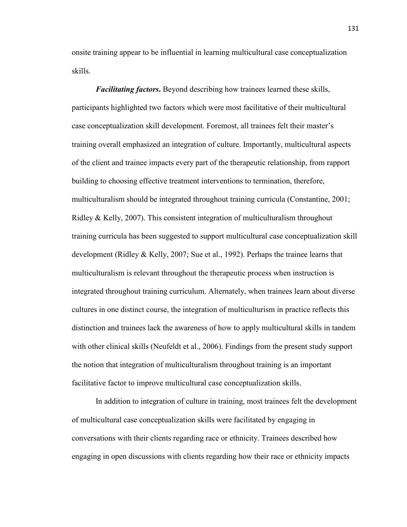onsite training appear to be influential in learning multicultural case conceptualization skills.

*Facilitating factors***.** Beyond describing how trainees learned these skills, participants highlighted two factors which were most facilitative of their multicultural case conceptualization skill development. Foremost, all trainees felt their master's training overall emphasized an integration of culture. Importantly, multicultural aspects of the client and trainee impacts every part of the therapeutic relationship, from rapport building to choosing effective treatment interventions to termination, therefore, multiculturalism should be integrated throughout training curricula (Constantine, 2001; Ridley & Kelly, 2007). This consistent integration of multiculturalism throughout training curricula has been suggested to support multicultural case conceptualization skill development (Ridley & Kelly, 2007; Sue et al., 1992). Perhaps the trainee learns that multiculturalism is relevant throughout the therapeutic process when instruction is integrated throughout training curriculum. Alternately, when trainees learn about diverse cultures in one distinct course, the integration of multiculturism in practice reflects this distinction and trainees lack the awareness of how to apply multicultural skills in tandem with other clinical skills (Neufeldt et al., 2006). Findings from the present study support the notion that integration of multiculturalism throughout training is an important facilitative factor to improve multicultural case conceptualization skills.

In addition to integration of culture in training, most trainees felt the development of multicultural case conceptualization skills were facilitated by engaging in conversations with their clients regarding race or ethnicity. Trainees described how engaging in open discussions with clients regarding how their race or ethnicity impacts

131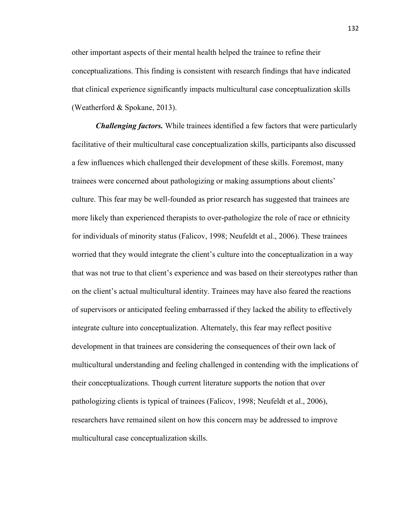other important aspects of their mental health helped the trainee to refine their conceptualizations. This finding is consistent with research findings that have indicated that clinical experience significantly impacts multicultural case conceptualization skills (Weatherford & Spokane, 2013).

*Challenging factors.* While trainees identified a few factors that were particularly facilitative of their multicultural case conceptualization skills, participants also discussed a few influences which challenged their development of these skills. Foremost, many trainees were concerned about pathologizing or making assumptions about clients' culture. This fear may be well-founded as prior research has suggested that trainees are more likely than experienced therapists to over-pathologize the role of race or ethnicity for individuals of minority status (Falicov, 1998; Neufeldt et al., 2006). These trainees worried that they would integrate the client's culture into the conceptualization in a way that was not true to that client's experience and was based on their stereotypes rather than on the client's actual multicultural identity. Trainees may have also feared the reactions of supervisors or anticipated feeling embarrassed if they lacked the ability to effectively integrate culture into conceptualization. Alternately, this fear may reflect positive development in that trainees are considering the consequences of their own lack of multicultural understanding and feeling challenged in contending with the implications of their conceptualizations. Though current literature supports the notion that over pathologizing clients is typical of trainees (Falicov, 1998; Neufeldt et al., 2006), researchers have remained silent on how this concern may be addressed to improve multicultural case conceptualization skills.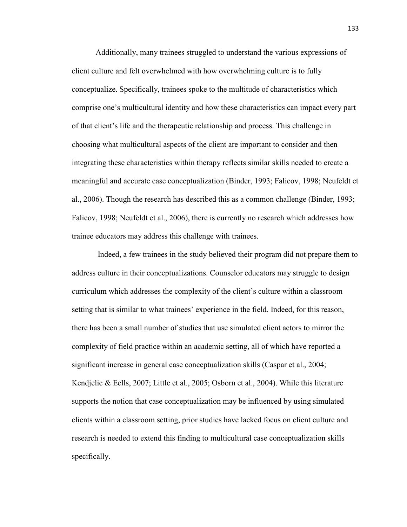Additionally, many trainees struggled to understand the various expressions of client culture and felt overwhelmed with how overwhelming culture is to fully conceptualize. Specifically, trainees spoke to the multitude of characteristics which comprise one's multicultural identity and how these characteristics can impact every part of that client's life and the therapeutic relationship and process. This challenge in choosing what multicultural aspects of the client are important to consider and then integrating these characteristics within therapy reflects similar skills needed to create a meaningful and accurate case conceptualization (Binder, 1993; Falicov, 1998; Neufeldt et al., 2006). Though the research has described this as a common challenge (Binder, 1993; Falicov, 1998; Neufeldt et al., 2006), there is currently no research which addresses how trainee educators may address this challenge with trainees.

 Indeed, a few trainees in the study believed their program did not prepare them to address culture in their conceptualizations. Counselor educators may struggle to design curriculum which addresses the complexity of the client's culture within a classroom setting that is similar to what trainees' experience in the field. Indeed, for this reason, there has been a small number of studies that use simulated client actors to mirror the complexity of field practice within an academic setting, all of which have reported a significant increase in general case conceptualization skills (Caspar et al., 2004; Kendjelic & Eells, 2007; Little et al., 2005; Osborn et al., 2004). While this literature supports the notion that case conceptualization may be influenced by using simulated clients within a classroom setting, prior studies have lacked focus on client culture and research is needed to extend this finding to multicultural case conceptualization skills specifically.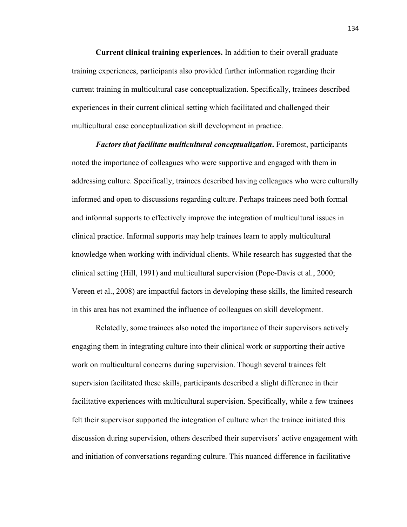**Current clinical training experiences.** In addition to their overall graduate training experiences, participants also provided further information regarding their current training in multicultural case conceptualization. Specifically, trainees described experiences in their current clinical setting which facilitated and challenged their multicultural case conceptualization skill development in practice.

*Factors that facilitate multicultural conceptualization***.** Foremost, participants noted the importance of colleagues who were supportive and engaged with them in addressing culture. Specifically, trainees described having colleagues who were culturally informed and open to discussions regarding culture. Perhaps trainees need both formal and informal supports to effectively improve the integration of multicultural issues in clinical practice. Informal supports may help trainees learn to apply multicultural knowledge when working with individual clients. While research has suggested that the clinical setting (Hill, 1991) and multicultural supervision (Pope-Davis et al., 2000; Vereen et al., 2008) are impactful factors in developing these skills, the limited research in this area has not examined the influence of colleagues on skill development.

Relatedly, some trainees also noted the importance of their supervisors actively engaging them in integrating culture into their clinical work or supporting their active work on multicultural concerns during supervision. Though several trainees felt supervision facilitated these skills, participants described a slight difference in their facilitative experiences with multicultural supervision. Specifically, while a few trainees felt their supervisor supported the integration of culture when the trainee initiated this discussion during supervision, others described their supervisors' active engagement with and initiation of conversations regarding culture. This nuanced difference in facilitative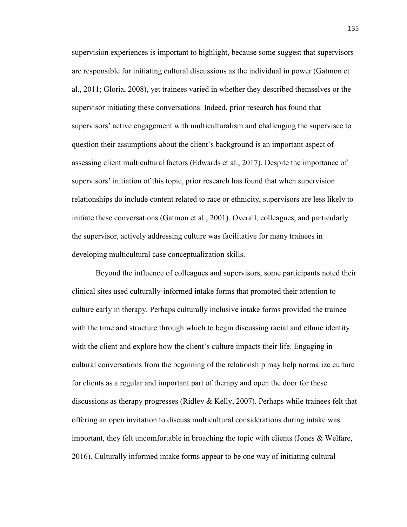supervision experiences is important to highlight, because some suggest that supervisors are responsible for initiating cultural discussions as the individual in power (Gatmon et al., 2011; Gloria, 2008), yet trainees varied in whether they described themselves or the supervisor initiating these conversations. Indeed, prior research has found that supervisors' active engagement with multiculturalism and challenging the supervisee to question their assumptions about the client's background is an important aspect of assessing client multicultural factors (Edwards et al., 2017). Despite the importance of supervisors' initiation of this topic, prior research has found that when supervision relationships do include content related to race or ethnicity, supervisors are less likely to initiate these conversations (Gatmon et al., 2001). Overall, colleagues, and particularly the supervisor, actively addressing culture was facilitative for many trainees in developing multicultural case conceptualization skills.

Beyond the influence of colleagues and supervisors, some participants noted their clinical sites used culturally-informed intake forms that promoted their attention to culture early in therapy. Perhaps culturally inclusive intake forms provided the trainee with the time and structure through which to begin discussing racial and ethnic identity with the client and explore how the client's culture impacts their life. Engaging in cultural conversations from the beginning of the relationship may help normalize culture for clients as a regular and important part of therapy and open the door for these discussions as therapy progresses (Ridley & Kelly, 2007). Perhaps while trainees felt that offering an open invitation to discuss multicultural considerations during intake was important, they felt uncomfortable in broaching the topic with clients (Jones & Welfare, 2016). Culturally informed intake forms appear to be one way of initiating cultural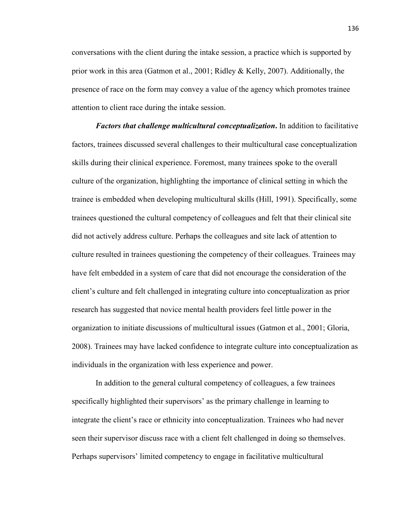conversations with the client during the intake session, a practice which is supported by prior work in this area (Gatmon et al., 2001; Ridley & Kelly, 2007). Additionally, the presence of race on the form may convey a value of the agency which promotes trainee attention to client race during the intake session.

*Factors that challenge multicultural conceptualization***.** In addition to facilitative factors, trainees discussed several challenges to their multicultural case conceptualization skills during their clinical experience. Foremost, many trainees spoke to the overall culture of the organization, highlighting the importance of clinical setting in which the trainee is embedded when developing multicultural skills (Hill, 1991). Specifically, some trainees questioned the cultural competency of colleagues and felt that their clinical site did not actively address culture. Perhaps the colleagues and site lack of attention to culture resulted in trainees questioning the competency of their colleagues. Trainees may have felt embedded in a system of care that did not encourage the consideration of the client's culture and felt challenged in integrating culture into conceptualization as prior research has suggested that novice mental health providers feel little power in the organization to initiate discussions of multicultural issues (Gatmon et al., 2001; Gloria, 2008). Trainees may have lacked confidence to integrate culture into conceptualization as individuals in the organization with less experience and power.

In addition to the general cultural competency of colleagues, a few trainees specifically highlighted their supervisors' as the primary challenge in learning to integrate the client's race or ethnicity into conceptualization. Trainees who had never seen their supervisor discuss race with a client felt challenged in doing so themselves. Perhaps supervisors' limited competency to engage in facilitative multicultural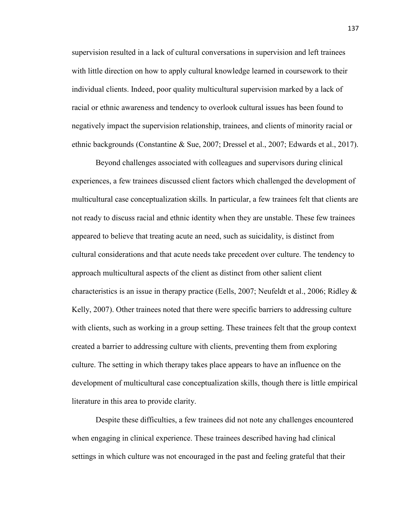supervision resulted in a lack of cultural conversations in supervision and left trainees with little direction on how to apply cultural knowledge learned in coursework to their individual clients. Indeed, poor quality multicultural supervision marked by a lack of racial or ethnic awareness and tendency to overlook cultural issues has been found to negatively impact the supervision relationship, trainees, and clients of minority racial or ethnic backgrounds (Constantine & Sue, 2007; Dressel et al., 2007; Edwards et al., 2017).

Beyond challenges associated with colleagues and supervisors during clinical experiences, a few trainees discussed client factors which challenged the development of multicultural case conceptualization skills. In particular, a few trainees felt that clients are not ready to discuss racial and ethnic identity when they are unstable. These few trainees appeared to believe that treating acute an need, such as suicidality, is distinct from cultural considerations and that acute needs take precedent over culture. The tendency to approach multicultural aspects of the client as distinct from other salient client characteristics is an issue in therapy practice (Eells, 2007; Neufeldt et al., 2006; Ridley  $\&$ Kelly, 2007). Other trainees noted that there were specific barriers to addressing culture with clients, such as working in a group setting. These trainees felt that the group context created a barrier to addressing culture with clients, preventing them from exploring culture. The setting in which therapy takes place appears to have an influence on the development of multicultural case conceptualization skills, though there is little empirical literature in this area to provide clarity.

Despite these difficulties, a few trainees did not note any challenges encountered when engaging in clinical experience. These trainees described having had clinical settings in which culture was not encouraged in the past and feeling grateful that their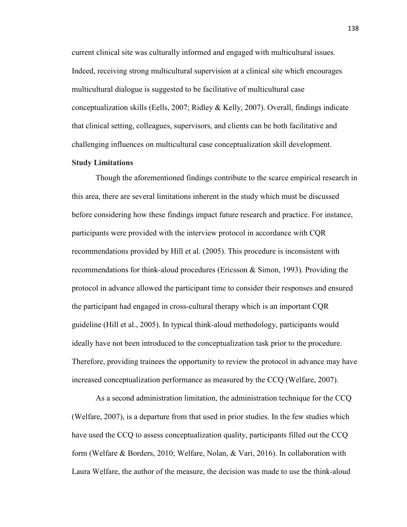current clinical site was culturally informed and engaged with multicultural issues. Indeed, receiving strong multicultural supervision at a clinical site which encourages multicultural dialogue is suggested to be facilitative of multicultural case conceptualization skills (Eells, 2007; Ridley & Kelly, 2007). Overall, findings indicate that clinical setting, colleagues, supervisors, and clients can be both facilitative and challenging influences on multicultural case conceptualization skill development.

#### **Study Limitations**

Though the aforementioned findings contribute to the scarce empirical research in this area, there are several limitations inherent in the study which must be discussed before considering how these findings impact future research and practice. For instance, participants were provided with the interview protocol in accordance with CQR recommendations provided by Hill et al. (2005). This procedure is inconsistent with recommendations for think-aloud procedures (Ericsson & Simon, 1993). Providing the protocol in advance allowed the participant time to consider their responses and ensured the participant had engaged in cross-cultural therapy which is an important CQR guideline (Hill et al., 2005). In typical think-aloud methodology, participants would ideally have not been introduced to the conceptualization task prior to the procedure. Therefore, providing trainees the opportunity to review the protocol in advance may have increased conceptualization performance as measured by the CCQ (Welfare, 2007).

As a second administration limitation, the administration technique for the CCQ (Welfare, 2007), is a departure from that used in prior studies. In the few studies which have used the CCQ to assess conceptualization quality, participants filled out the CCQ form (Welfare & Borders, 2010; Welfare, Nolan, & Vari, 2016). In collaboration with Laura Welfare, the author of the measure, the decision was made to use the think-aloud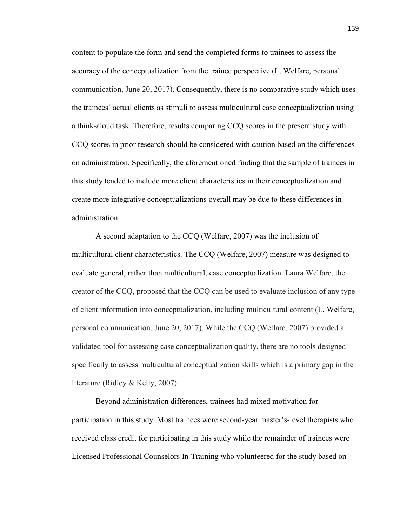content to populate the form and send the completed forms to trainees to assess the accuracy of the conceptualization from the trainee perspective (L. Welfare, personal communication, June 20, 2017). Consequently, there is no comparative study which uses the trainees' actual clients as stimuli to assess multicultural case conceptualization using a think-aloud task. Therefore, results comparing CCQ scores in the present study with CCQ scores in prior research should be considered with caution based on the differences on administration. Specifically, the aforementioned finding that the sample of trainees in this study tended to include more client characteristics in their conceptualization and create more integrative conceptualizations overall may be due to these differences in administration.

A second adaptation to the CCQ (Welfare, 2007) was the inclusion of multicultural client characteristics. The CCQ (Welfare, 2007) measure was designed to evaluate general, rather than multicultural, case conceptualization. Laura Welfare, the creator of the CCQ, proposed that the CCQ can be used to evaluate inclusion of any type of client information into conceptualization, including multicultural content (L. Welfare, personal communication, June 20, 2017). While the CCQ (Welfare, 2007) provided a validated tool for assessing case conceptualization quality, there are no tools designed specifically to assess multicultural conceptualization skills which is a primary gap in the literature (Ridley & Kelly, 2007).

Beyond administration differences, trainees had mixed motivation for participation in this study. Most trainees were second-year master's-level therapists who received class credit for participating in this study while the remainder of trainees were Licensed Professional Counselors In-Training who volunteered for the study based on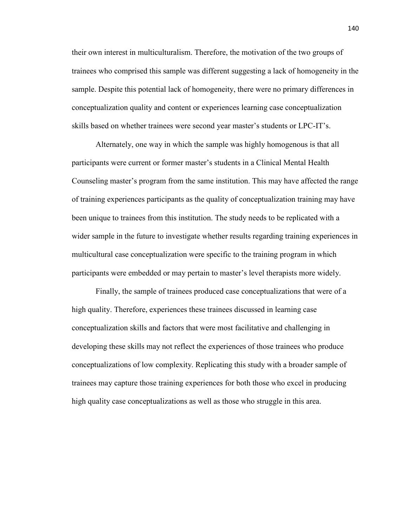their own interest in multiculturalism. Therefore, the motivation of the two groups of trainees who comprised this sample was different suggesting a lack of homogeneity in the sample. Despite this potential lack of homogeneity, there were no primary differences in conceptualization quality and content or experiences learning case conceptualization skills based on whether trainees were second year master's students or LPC-IT's.

Alternately, one way in which the sample was highly homogenous is that all participants were current or former master's students in a Clinical Mental Health Counseling master's program from the same institution. This may have affected the range of training experiences participants as the quality of conceptualization training may have been unique to trainees from this institution. The study needs to be replicated with a wider sample in the future to investigate whether results regarding training experiences in multicultural case conceptualization were specific to the training program in which participants were embedded or may pertain to master's level therapists more widely.

Finally, the sample of trainees produced case conceptualizations that were of a high quality. Therefore, experiences these trainees discussed in learning case conceptualization skills and factors that were most facilitative and challenging in developing these skills may not reflect the experiences of those trainees who produce conceptualizations of low complexity. Replicating this study with a broader sample of trainees may capture those training experiences for both those who excel in producing high quality case conceptualizations as well as those who struggle in this area.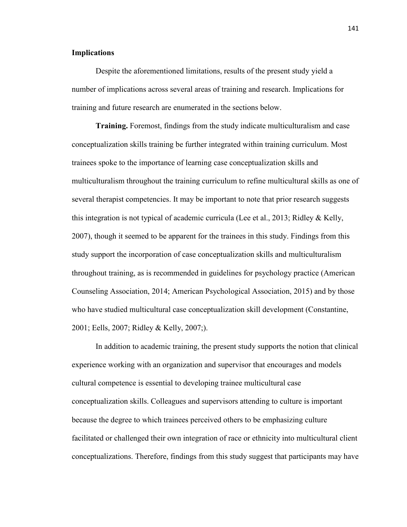### **Implications**

Despite the aforementioned limitations, results of the present study yield a number of implications across several areas of training and research. Implications for training and future research are enumerated in the sections below.

**Training.** Foremost, findings from the study indicate multiculturalism and case conceptualization skills training be further integrated within training curriculum. Most trainees spoke to the importance of learning case conceptualization skills and multiculturalism throughout the training curriculum to refine multicultural skills as one of several therapist competencies. It may be important to note that prior research suggests this integration is not typical of academic curricula (Lee et al., 2013; Ridley & Kelly, 2007), though it seemed to be apparent for the trainees in this study. Findings from this study support the incorporation of case conceptualization skills and multiculturalism throughout training, as is recommended in guidelines for psychology practice (American Counseling Association, 2014; American Psychological Association, 2015) and by those who have studied multicultural case conceptualization skill development (Constantine, 2001; Eells, 2007; Ridley & Kelly, 2007;).

 In addition to academic training, the present study supports the notion that clinical experience working with an organization and supervisor that encourages and models cultural competence is essential to developing trainee multicultural case conceptualization skills. Colleagues and supervisors attending to culture is important because the degree to which trainees perceived others to be emphasizing culture facilitated or challenged their own integration of race or ethnicity into multicultural client conceptualizations. Therefore, findings from this study suggest that participants may have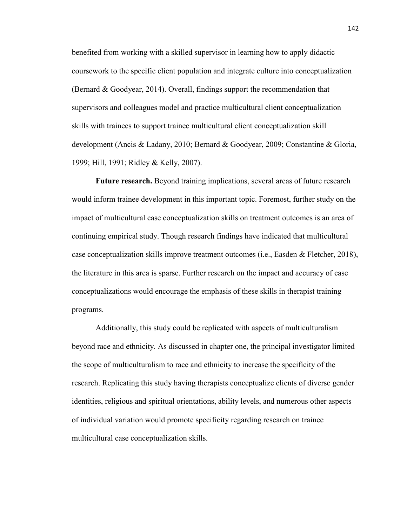benefited from working with a skilled supervisor in learning how to apply didactic coursework to the specific client population and integrate culture into conceptualization (Bernard & Goodyear, 2014). Overall, findings support the recommendation that supervisors and colleagues model and practice multicultural client conceptualization skills with trainees to support trainee multicultural client conceptualization skill development (Ancis & Ladany, 2010; Bernard & Goodyear, 2009; Constantine & Gloria, 1999; Hill, 1991; Ridley & Kelly, 2007).

**Future research.** Beyond training implications, several areas of future research would inform trainee development in this important topic. Foremost, further study on the impact of multicultural case conceptualization skills on treatment outcomes is an area of continuing empirical study. Though research findings have indicated that multicultural case conceptualization skills improve treatment outcomes (i.e., Easden & Fletcher, 2018), the literature in this area is sparse. Further research on the impact and accuracy of case conceptualizations would encourage the emphasis of these skills in therapist training programs.

Additionally, this study could be replicated with aspects of multiculturalism beyond race and ethnicity. As discussed in chapter one, the principal investigator limited the scope of multiculturalism to race and ethnicity to increase the specificity of the research. Replicating this study having therapists conceptualize clients of diverse gender identities, religious and spiritual orientations, ability levels, and numerous other aspects of individual variation would promote specificity regarding research on trainee multicultural case conceptualization skills.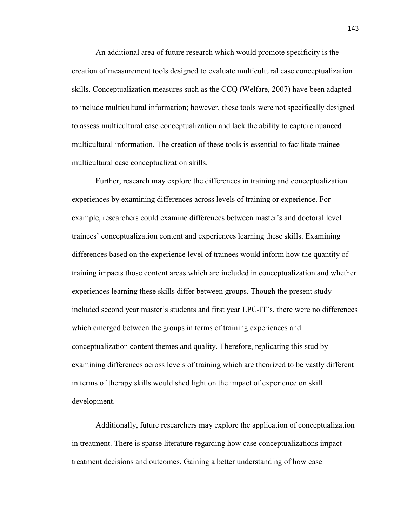An additional area of future research which would promote specificity is the creation of measurement tools designed to evaluate multicultural case conceptualization skills. Conceptualization measures such as the CCQ (Welfare, 2007) have been adapted to include multicultural information; however, these tools were not specifically designed to assess multicultural case conceptualization and lack the ability to capture nuanced multicultural information. The creation of these tools is essential to facilitate trainee multicultural case conceptualization skills.

Further, research may explore the differences in training and conceptualization experiences by examining differences across levels of training or experience. For example, researchers could examine differences between master's and doctoral level trainees' conceptualization content and experiences learning these skills. Examining differences based on the experience level of trainees would inform how the quantity of training impacts those content areas which are included in conceptualization and whether experiences learning these skills differ between groups. Though the present study included second year master's students and first year LPC-IT's, there were no differences which emerged between the groups in terms of training experiences and conceptualization content themes and quality. Therefore, replicating this stud by examining differences across levels of training which are theorized to be vastly different in terms of therapy skills would shed light on the impact of experience on skill development.

Additionally, future researchers may explore the application of conceptualization in treatment. There is sparse literature regarding how case conceptualizations impact treatment decisions and outcomes. Gaining a better understanding of how case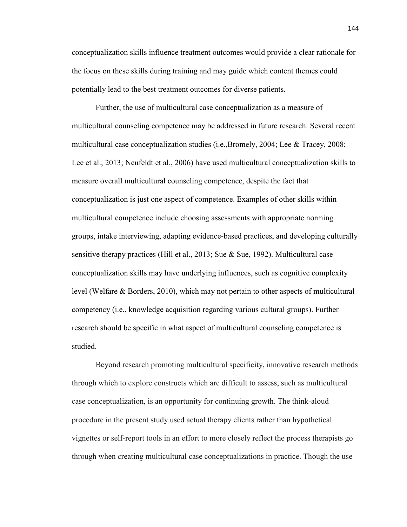conceptualization skills influence treatment outcomes would provide a clear rationale for the focus on these skills during training and may guide which content themes could potentially lead to the best treatment outcomes for diverse patients.

Further, the use of multicultural case conceptualization as a measure of multicultural counseling competence may be addressed in future research. Several recent multicultural case conceptualization studies (i.e., Bromely, 2004; Lee  $&$  Tracey, 2008; Lee et al., 2013; Neufeldt et al., 2006) have used multicultural conceptualization skills to measure overall multicultural counseling competence, despite the fact that conceptualization is just one aspect of competence. Examples of other skills within multicultural competence include choosing assessments with appropriate norming groups, intake interviewing, adapting evidence-based practices, and developing culturally sensitive therapy practices (Hill et al., 2013; Sue & Sue, 1992). Multicultural case conceptualization skills may have underlying influences, such as cognitive complexity level (Welfare & Borders, 2010), which may not pertain to other aspects of multicultural competency (i.e., knowledge acquisition regarding various cultural groups). Further research should be specific in what aspect of multicultural counseling competence is studied.

Beyond research promoting multicultural specificity, innovative research methods through which to explore constructs which are difficult to assess, such as multicultural case conceptualization, is an opportunity for continuing growth. The think-aloud procedure in the present study used actual therapy clients rather than hypothetical vignettes or self-report tools in an effort to more closely reflect the process therapists go through when creating multicultural case conceptualizations in practice. Though the use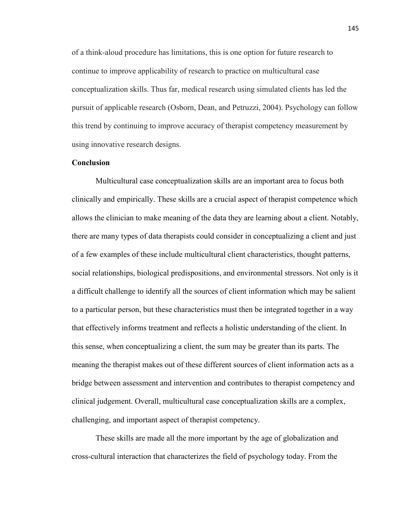of a think-aloud procedure has limitations, this is one option for future research to continue to improve applicability of research to practice on multicultural case conceptualization skills. Thus far, medical research using simulated clients has led the pursuit of applicable research (Osborn, Dean, and Petruzzi, 2004). Psychology can follow this trend by continuing to improve accuracy of therapist competency measurement by using innovative research designs.

#### **Conclusion**

Multicultural case conceptualization skills are an important area to focus both clinically and empirically. These skills are a crucial aspect of therapist competence which allows the clinician to make meaning of the data they are learning about a client. Notably, there are many types of data therapists could consider in conceptualizing a client and just of a few examples of these include multicultural client characteristics, thought patterns, social relationships, biological predispositions, and environmental stressors. Not only is it a difficult challenge to identify all the sources of client information which may be salient to a particular person, but these characteristics must then be integrated together in a way that effectively informs treatment and reflects a holistic understanding of the client. In this sense, when conceptualizing a client, the sum may be greater than its parts. The meaning the therapist makes out of these different sources of client information acts as a bridge between assessment and intervention and contributes to therapist competency and clinical judgement. Overall, multicultural case conceptualization skills are a complex, challenging, and important aspect of therapist competency.

 These skills are made all the more important by the age of globalization and cross-cultural interaction that characterizes the field of psychology today. From the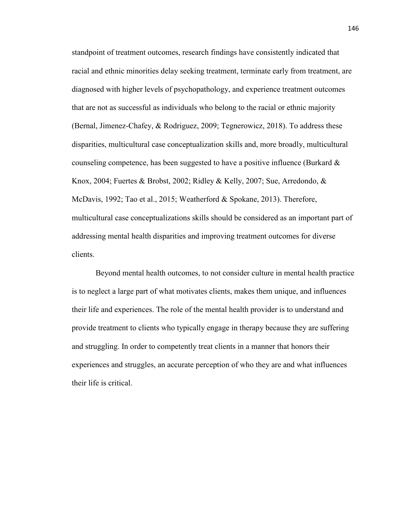standpoint of treatment outcomes, research findings have consistently indicated that racial and ethnic minorities delay seeking treatment, terminate early from treatment, are diagnosed with higher levels of psychopathology, and experience treatment outcomes that are not as successful as individuals who belong to the racial or ethnic majority (Bernal, Jimenez-Chafey, & Rodriguez, 2009; Tegnerowicz, 2018). To address these disparities, multicultural case conceptualization skills and, more broadly, multicultural counseling competence, has been suggested to have a positive influence (Burkard & Knox, 2004; Fuertes & Brobst, 2002; Ridley & Kelly, 2007; Sue, Arredondo, & McDavis, 1992; Tao et al., 2015; Weatherford & Spokane, 2013). Therefore, multicultural case conceptualizations skills should be considered as an important part of addressing mental health disparities and improving treatment outcomes for diverse clients.

Beyond mental health outcomes, to not consider culture in mental health practice is to neglect a large part of what motivates clients, makes them unique, and influences their life and experiences. The role of the mental health provider is to understand and provide treatment to clients who typically engage in therapy because they are suffering and struggling. In order to competently treat clients in a manner that honors their experiences and struggles, an accurate perception of who they are and what influences their life is critical.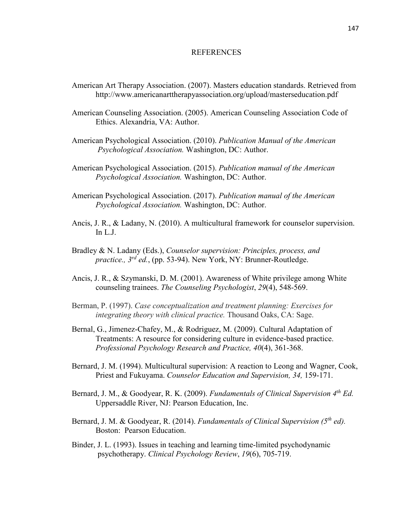### REFERENCES

- American Art Therapy Association. (2007). Masters education standards. Retrieved from http://www.americanarttherapyassociation.org/upload/masterseducation.pdf
- American Counseling Association. (2005). American Counseling Association Code of Ethics. Alexandria, VA: Author.
- American Psychological Association. (2010). *Publication Manual of the American Psychological Association.* Washington, DC: Author.
- American Psychological Association. (2015). *Publication manual of the American Psychological Association.* Washington, DC: Author.
- American Psychological Association. (2017). *Publication manual of the American Psychological Association.* Washington, DC: Author.
- Ancis, J. R., & Ladany, N. (2010). A multicultural framework for counselor supervision. In L.J.
- Bradley & N. Ladany (Eds.), *Counselor supervision: Principles, process, and practice., 3rd ed.*, (pp. 53-94). New York, NY: Brunner-Routledge.
- Ancis, J. R., & Szymanski, D. M. (2001). Awareness of White privilege among White counseling trainees. *The Counseling Psychologist*, *29*(4), 548-569.
- Berman, P. (1997). *Case conceptualization and treatment planning: Exercises for integrating theory with clinical practice.* Thousand Oaks, CA: Sage.
- Bernal, G., Jimenez-Chafey, M., & Rodriguez, M. (2009). Cultural Adaptation of Treatments: A resource for considering culture in evidence-based practice. *Professional Psychology Research and Practice, 40*(4), 361-368.
- Bernard, J. M. (1994). Multicultural supervision: A reaction to Leong and Wagner, Cook, Priest and Fukuyama. *Counselor Education and Supervision, 34,* 159-171.
- Bernard, J. M., & Goodyear, R. K. (2009). *Fundamentals of Clinical Supervision 4th Ed.* Uppersaddle River, NJ: Pearson Education, Inc.
- Bernard, J. M. & Goodyear, R. (2014). *Fundamentals of Clinical Supervision (5th ed).*  Boston: Pearson Education.
- Binder, J. L. (1993). Issues in teaching and learning time-limited psychodynamic psychotherapy. *Clinical Psychology Review*, *19*(6), 705-719.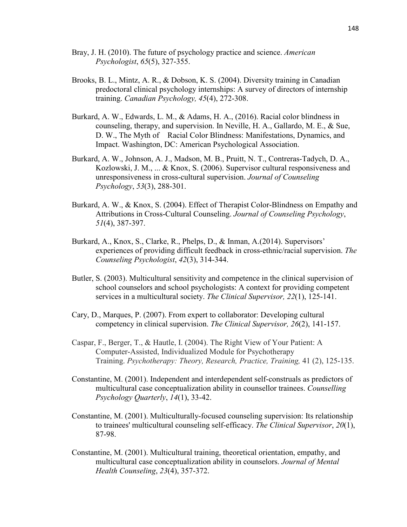- Bray, J. H. (2010). The future of psychology practice and science. *American Psychologist*, *65*(5), 327-355.
- Brooks, B. L., Mintz, A. R., & Dobson, K. S. (2004). Diversity training in Canadian predoctoral clinical psychology internships: A survey of directors of internship training. *Canadian Psychology, 45*(4), 272-308.
- Burkard, A. W., Edwards, L. M., & Adams, H. A., (2016). Racial color blindness in counseling, therapy, and supervision. In Neville, H. A., Gallardo, M. E., & Sue, D. W., The Myth of Racial Color Blindness: Manifestations, Dynamics, and Impact. Washington, DC: American Psychological Association.
- Burkard, A. W., Johnson, A. J., Madson, M. B., Pruitt, N. T., Contreras-Tadych, D. A., Kozlowski, J. M., ... & Knox, S. (2006). Supervisor cultural responsiveness and unresponsiveness in cross-cultural supervision. *Journal of Counseling Psychology*, *53*(3), 288-301.
- Burkard, A. W., & Knox, S. (2004). Effect of Therapist Color-Blindness on Empathy and Attributions in Cross-Cultural Counseling. *Journal of Counseling Psychology*, *51*(4), 387-397.
- Burkard, A., Knox, S., Clarke, R., Phelps, D., & Inman, A.(2014). Supervisors' experiences of providing difficult feedback in cross-ethnic/racial supervision. *The Counseling Psychologist*, *42*(3), 314-344.
- Butler, S. (2003). Multicultural sensitivity and competence in the clinical supervision of school counselors and school psychologists: A context for providing competent services in a multicultural society. *The Clinical Supervisor, 22*(1), 125-141.
- Cary, D., Marques, P. (2007). From expert to collaborator: Developing cultural competency in clinical supervision. *The Clinical Supervisor, 26*(2), 141-157.
- Caspar, F., Berger, T., & Hautle, I. (2004). The Right View of Your Patient: A Computer-Assisted, Individualized Module for Psychotherapy Training. *Psychotherapy: Theory, Research, Practice, Training,* 41 (2), 125-135.
- Constantine, M. (2001). Independent and interdependent self-construals as predictors of multicultural case conceptualization ability in counsellor trainees. *Counselling Psychology Quarterly*, *14*(1), 33-42.
- Constantine, M. (2001). Multiculturally-focused counseling supervision: Its relationship to trainees' multicultural counseling self-efficacy. *The Clinical Supervisor*, *20*(1), 87-98.
- Constantine, M. (2001). Multicultural training, theoretical orientation, empathy, and multicultural case conceptualization ability in counselors. *Journal of Mental Health Counseling*, *23*(4), 357-372.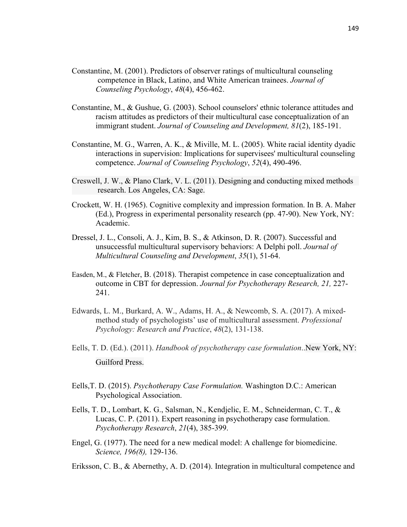- Constantine, M. (2001). Predictors of observer ratings of multicultural counseling competence in Black, Latino, and White American trainees. *Journal of Counseling Psychology*, *48*(4), 456-462.
- Constantine, M., & Gushue, G. (2003). School counselors' ethnic tolerance attitudes and racism attitudes as predictors of their multicultural case conceptualization of an immigrant student. *Journal of Counseling and Development, 81*(2), 185-191.
- Constantine, M. G., Warren, A. K., & Miville, M. L. (2005). White racial identity dyadic interactions in supervision: Implications for supervisees' multicultural counseling competence. *Journal of Counseling Psychology*, *52*(4), 490-496.
- Creswell, J. W., & Plano Clark, V. L. (2011). Designing and conducting mixed methods research. Los Angeles, CA: Sage.
- Crockett, W. H. (1965). Cognitive complexity and impression formation. In B. A. Maher (Ed.), Progress in experimental personality research (pp. 47-90). New York, NY: Academic.
- Dressel, J. L., Consoli, A. J., Kim, B. S., & Atkinson, D. R. (2007). Successful and unsuccessful multicultural supervisory behaviors: A Delphi poll. *Journal of Multicultural Counseling and Development*, *35*(1), 51-64.
- Easden, M., & Fletcher, B. (2018). Therapist competence in case conceptualization and outcome in CBT for depression. *Journal for Psychotherapy Research, 21,* 227- 241.
- Edwards, L. M., Burkard, A. W., Adams, H. A., & Newcomb, S. A. (2017). A mixedmethod study of psychologists' use of multicultural assessment. *Professional Psychology: Research and Practice*, *48*(2), 131-138.
- Eells, T. D. (Ed.). (2011). *Handbook of psychotherapy case formulation*..New York, NY: Guilford Press.
- Eells,T. D. (2015). *Psychotherapy Case Formulation.* Washington D.C.: American Psychological Association.
- Eells, T. D., Lombart, K. G., Salsman, N., Kendjelic, E. M., Schneiderman, C. T., & Lucas, C. P. (2011). Expert reasoning in psychotherapy case formulation. *Psychotherapy Research*, *21*(4), 385-399.
- Engel, G. (1977). The need for a new medical model: A challenge for biomedicine.  *Science, 196(8),* 129-136.
- Eriksson, C. B., & Abernethy, A. D. (2014). Integration in multicultural competence and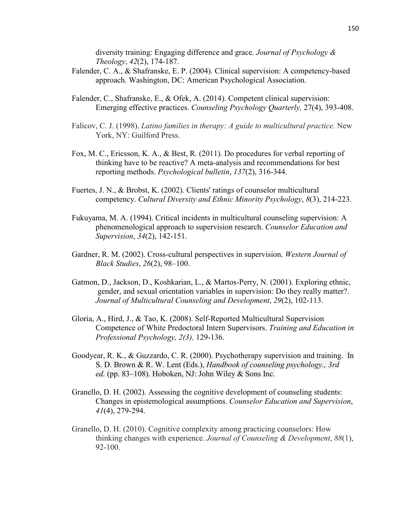diversity training: Engaging difference and grace. *Journal of Psychology & Theology*, *42*(2), 174-187.

- Falender, C. A., & Shafranske, E. P. (2004). Clinical supervision: A competency-based approach. Washington, DC: American Psychological Association.
- Falender, C., Shafranske, E., & Ofek, A. (2014). Competent clinical supervision: Emerging effective practices. *Counseling Psychology Quarterly,* 27(4), 393-408.
- Falicov, C. J. (1998). *Latino families in therapy: A guide to multicultural practice.* New York, NY: Guilford Press.
- Fox, M. C., Ericsson, K. A., & Best, R. (2011). Do procedures for verbal reporting of thinking have to be reactive? A meta-analysis and recommendations for best reporting methods. *Psychological bulletin*, *137*(2), 316-344.
- Fuertes, J. N., & Brobst, K. (2002). Clients' ratings of counselor multicultural competency. *Cultural Diversity and Ethnic Minority Psychology*, *8*(3), 214-223.
- Fukuyama, M. A. (1994). Critical incidents in multicultural counseling supervision: A phenomenological approach to supervision research. *Counselor Education and Supervision*, *34*(2), 142-151.
- Gardner, R. M. (2002). Cross-cultural perspectives in supervision. *Western Journal of Black Studies*, *26*(2), 98–100.
- Gatmon, D., Jackson, D., Koshkarian, L., & Martos-Perry, N. (2001). Exploring ethnic, gender, and sexual orientation variables in supervision: Do they really matter?. *Journal of Multicultural Counseling and Development*, *29*(2), 102-113.
- Gloria, A., Hird, J., & Tao, K. (2008). Self-Reported Multicultural Supervision Competence of White Predoctoral Intern Supervisors. *Training and Education in Professional Psychology, 2(3),* 129-136.
- Goodyear, R. K., & Guzzardo, C. R. (2000). Psychotherapy supervision and training. In S. D. Brown & R. W. Lent (Eds.), *Handbook of counseling psychology., 3rd ed.* (pp. 83–108). Hoboken, NJ: John Wiley & Sons Inc.
- Granello, D. H. (2002). Assessing the cognitive development of counseling students: Changes in epistemological assumptions. *Counselor Education and Supervision*, *41*(4), 279-294.
- Granello, D. H. (2010). Cognitive complexity among practicing counselors: How thinking changes with experience. *Journal of Counseling & Development*, *88*(1), 92-100.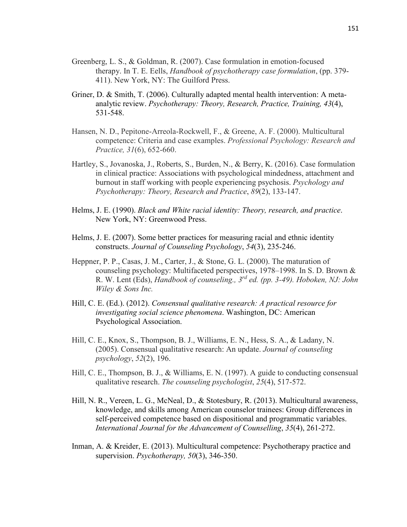- Greenberg, L. S., & Goldman, R. (2007). Case formulation in emotion-focused therapy. In T. E. Eells, *Handbook of psychotherapy case formulation*, (pp. 379- 411). New York, NY: The Guilford Press.
- Griner, D. & Smith, T. (2006). Culturally adapted mental health intervention: A metaanalytic review. *Psychotherapy: Theory, Research, Practice, Training, 43*(4), 531-548.
- Hansen, N. D., Pepitone-Arreola-Rockwell, F., & Greene, A. F. (2000). Multicultural competence: Criteria and case examples. *Professional Psychology: Research and Practice, 31*(6), 652-660.
- Hartley, S., Jovanoska, J., Roberts, S., Burden, N., & Berry, K. (2016). Case formulation in clinical practice: Associations with psychological mindedness, attachment and burnout in staff working with people experiencing psychosis. *Psychology and Psychotherapy: Theory, Research and Practice*, *89*(2), 133-147.
- Helms, J. E. (1990). *Black and White racial identity: Theory, research, and practice*. New York, NY: Greenwood Press.
- Helms, J. E. (2007). Some better practices for measuring racial and ethnic identity constructs. *Journal of Counseling Psychology*, *54*(3), 235-246.
- Heppner, P. P., Casas, J. M., Carter, J., & Stone, G. L. (2000). The maturation of counseling psychology: Multifaceted perspectives, 1978–1998. In S. D. Brown & R. W. Lent (Eds), *Handbook of counseling., 3rd ed. (pp. 3-49). Hoboken, NJ: John Wiley & Sons Inc.*
- Hill, C. E. (Ed.). (2012). *Consensual qualitative research: A practical resource for investigating social science phenomena*. Washington, DC: American Psychological Association.
- Hill, C. E., Knox, S., Thompson, B. J., Williams, E. N., Hess, S. A., & Ladany, N. (2005). Consensual qualitative research: An update. *Journal of counseling psychology*, *52*(2), 196.
- Hill, C. E., Thompson, B. J., & Williams, E. N. (1997). A guide to conducting consensual qualitative research. *The counseling psychologist*, *25*(4), 517-572.
- Hill, N. R., Vereen, L. G., McNeal, D., & Stotesbury, R. (2013). Multicultural awareness, knowledge, and skills among American counselor trainees: Group differences in self-perceived competence based on dispositional and programmatic variables. *International Journal for the Advancement of Counselling*, *35*(4), 261-272.
- Inman, A. & Kreider, E. (2013). Multicultural competence: Psychotherapy practice and supervision. *Psychotherapy, 50*(3), 346-350.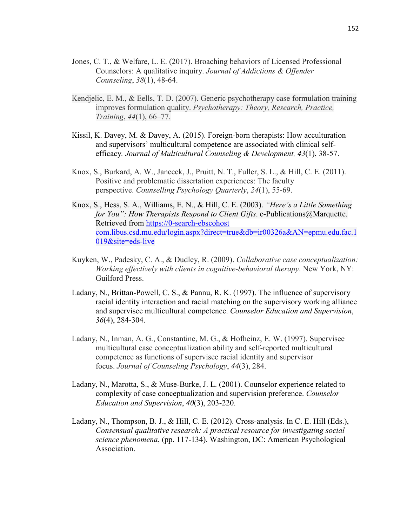- Jones, C. T., & Welfare, L. E. (2017). Broaching behaviors of Licensed Professional Counselors: A qualitative inquiry. *Journal of Addictions & Offender Counseling*, *38*(1), 48-64.
- Kendjelic, E. M., & Eells, T. D. (2007). Generic psychotherapy case formulation training improves formulation quality. *Psychotherapy: Theory, Research, Practice, Training*, *44*(1), 66–77.
- Kissil, K. Davey, M. & Davey, A. (2015). Foreign-born therapists: How acculturation and supervisors' multicultural competence are associated with clinical selfefficacy*. Journal of Multicultural Counseling & Development, 43*(1), 38-57.
- Knox, S., Burkard, A. W., Janecek, J., Pruitt, N. T., Fuller, S. L., & Hill, C. E. (2011). Positive and problematic dissertation experiences: The faculty perspective. *Counselling Psychology Quarterly*, *24*(1), 55-69.
- Knox, S., Hess, S. A., Williams, E. N., & Hill, C. E. (2003). *"Here's a Little Something for You": How Therapists Respond to Client Gifts.* e-Publications@Marquette. Retrieved from https://0-search-ebscohost com.libus.csd.mu.edu/login.aspx?direct=true&db=ir00326a&AN=epmu.edu.fac.1 019&site=eds-live
- Kuyken, W., Padesky, C. A., & Dudley, R. (2009). *Collaborative case conceptualization: Working effectively with clients in cognitive-behavioral therapy*. New York, NY: Guilford Press.
- Ladany, N., Brittan-Powell, C. S., & Pannu, R. K. (1997). The influence of supervisory racial identity interaction and racial matching on the supervisory working alliance and supervisee multicultural competence. *Counselor Education and Supervision*, *36*(4), 284-304.
- Ladany, N., Inman, A. G., Constantine, M. G., & Hofheinz, E. W. (1997). Supervisee multicultural case conceptualization ability and self-reported multicultural competence as functions of supervisee racial identity and supervisor focus. *Journal of Counseling Psychology*, *44*(3), 284.
- Ladany, N., Marotta, S., & Muse-Burke, J. L. (2001). Counselor experience related to complexity of case conceptualization and supervision preference. *Counselor Education and Supervision*, *40*(3), 203-220.
- Ladany, N., Thompson, B. J., & Hill, C. E. (2012). Cross-analysis. In C. E. Hill (Eds.), *Consensual qualitative research: A practical resource for investigating social science phenomena*, (pp. 117-134). Washington, DC: American Psychological Association.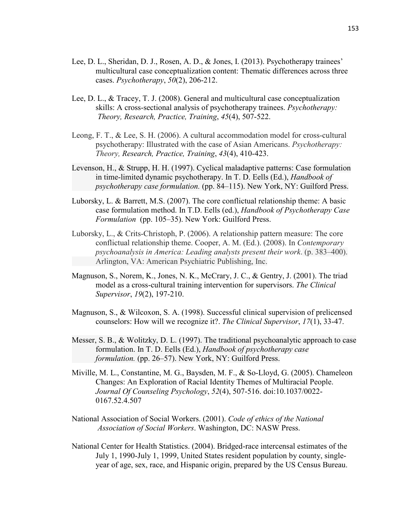- Lee, D. L., Sheridan, D. J., Rosen, A. D., & Jones, I. (2013). Psychotherapy trainees' multicultural case conceptualization content: Thematic differences across three cases. *Psychotherapy*, *50*(2), 206-212.
- Lee, D. L., & Tracey, T. J. (2008). General and multicultural case conceptualization skills: A cross-sectional analysis of psychotherapy trainees. *Psychotherapy: Theory, Research, Practice, Training*, *45*(4), 507-522.
- Leong, F. T., & Lee, S. H. (2006). A cultural accommodation model for cross-cultural psychotherapy: Illustrated with the case of Asian Americans. *Psychotherapy: Theory, Research, Practice, Training*, *43*(4), 410-423.
- Levenson, H., & Strupp, H. H. (1997). Cyclical maladaptive patterns: Case formulation in time-limited dynamic psychotherapy. In T. D. Eells (Ed.), *Handbook of psychotherapy case formulation.* (pp. 84–115). New York, NY: Guilford Press.
- Luborsky, L. & Barrett, M.S. (2007). The core conflictual relationship theme: A basic case formulation method. In T.D. Eells (ed.), *Handbook of Psychotherapy Case Formulation* (pp. 105–35). New York: Guilford Press.
- Luborsky, L., & Crits-Christoph, P. (2006). A relationship pattern measure: The core conflictual relationship theme. Cooper, A. M. (Ed.). (2008). In *Contemporary psychoanalysis in America: Leading analysts present their work*. (p. 383–400). Arlington, VA: American Psychiatric Publishing, Inc.
- Magnuson, S., Norem, K., Jones, N. K., McCrary, J. C., & Gentry, J. (2001). The triad model as a cross-cultural training intervention for supervisors. *The Clinical Supervisor*, *19*(2), 197-210.
- Magnuson, S., & Wilcoxon, S. A. (1998). Successful clinical supervision of prelicensed counselors: How will we recognize it?. *The Clinical Supervisor*, *17*(1), 33-47.
- Messer, S. B., & Wolitzky, D. L. (1997). The traditional psychoanalytic approach to case formulation. In T. D. Eells (Ed.), *Handbook of psychotherapy case formulation.* (pp. 26–57). New York, NY: Guilford Press.
- Miville, M. L., Constantine, M. G., Baysden, M. F., & So-Lloyd, G. (2005). Chameleon Changes: An Exploration of Racial Identity Themes of Multiracial People. *Journal Of Counseling Psychology*, *52*(4), 507-516. doi:10.1037/0022- 0167.52.4.507
- National Association of Social Workers. (2001). *Code of ethics of the National Association of Social Workers*. Washington, DC: NASW Press.
- National Center for Health Statistics. (2004). Bridged-race intercensal estimates of the July 1, 1990-July 1, 1999, United States resident population by county, singleyear of age, sex, race, and Hispanic origin, prepared by the US Census Bureau.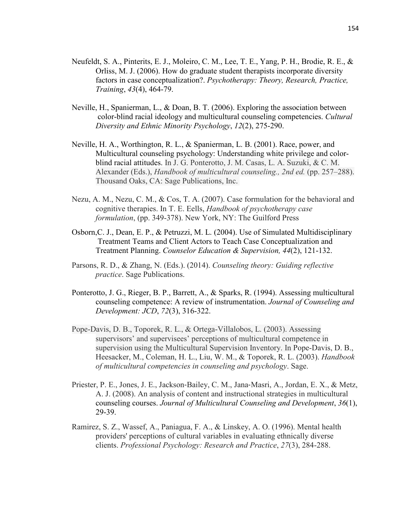- Neufeldt, S. A., Pinterits, E. J., Moleiro, C. M., Lee, T. E., Yang, P. H., Brodie, R. E., & Orliss, M. J. (2006). How do graduate student therapists incorporate diversity factors in case conceptualization?. *Psychotherapy: Theory, Research, Practice, Training*, *43*(4), 464-79.
- Neville, H., Spanierman, L., & Doan, B. T. (2006). Exploring the association between color-blind racial ideology and multicultural counseling competencies. *Cultural Diversity and Ethnic Minority Psychology*, *12*(2), 275-290.
- Neville, H. A., Worthington, R. L., & Spanierman, L. B. (2001). Race, power, and Multicultural counseling psychology: Understanding white privilege and colorblind racial attitudes. In J. G. Ponterotto, J. M. Casas, L. A. Suzuki, & C. M. Alexander (Eds.), *Handbook of multicultural counseling., 2nd ed.* (pp. 257–288). Thousand Oaks, CA: Sage Publications, Inc.
- Nezu, A. M., Nezu, C. M., & Cos, T. A. (2007). Case formulation for the behavioral and cognitive therapies. In T. E. Eells, *Handbook of psychotherapy case formulation*, (pp. 349-378). New York, NY: The Guilford Press
- Osborn,C. J., Dean, E. P., & Petruzzi, M. L. (2004). Use of Simulated Multidisciplinary Treatment Teams and Client Actors to Teach Case Conceptualization and Treatment Planning. *Counselor Education & Supervision, 44*(2), 121-132.
- Parsons, R. D., & Zhang, N. (Eds.). (2014). *Counseling theory: Guiding reflective practice*. Sage Publications.
- Ponterotto, J. G., Rieger, B. P., Barrett, A., & Sparks, R. (1994). Assessing multicultural counseling competence: A review of instrumentation. *Journal of Counseling and Development: JCD*, *72*(3), 316-322.
- Pope-Davis, D. B., Toporek, R. L., & Ortega-Villalobos, L. (2003). Assessing supervisors' and supervisees' perceptions of multicultural competence in supervision using the Multicultural Supervision Inventory. In Pope-Davis, D. B., Heesacker, M., Coleman, H. L., Liu, W. M., & Toporek, R. L. (2003). *Handbook of multicultural competencies in counseling and psychology*. Sage.
- Priester, P. E., Jones, J. E., Jackson‐Bailey, C. M., Jana‐Masri, A., Jordan, E. X., & Metz, A. J. (2008). An analysis of content and instructional strategies in multicultural counseling courses. *Journal of Multicultural Counseling and Development*, *36*(1), 29-39.
- Ramirez, S. Z., Wassef, A., Paniagua, F. A., & Linskey, A. O. (1996). Mental health providers' perceptions of cultural variables in evaluating ethnically diverse clients. *Professional Psychology: Research and Practice*, *27*(3), 284-288.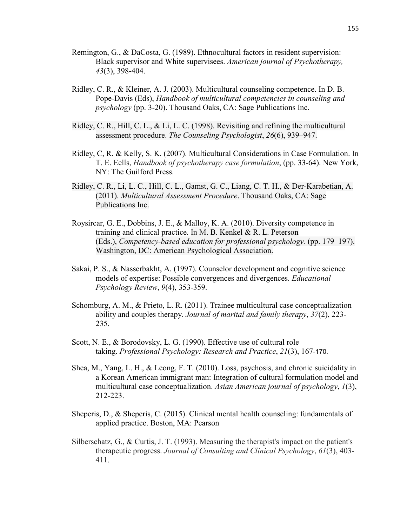- Remington, G., & DaCosta, G. (1989). Ethnocultural factors in resident supervision: Black supervisor and White supervisees. *American journal of Psychotherapy, 43*(3), 398-404.
- Ridley, C. R., & Kleiner, A. J. (2003). Multicultural counseling competence. In D. B. Pope-Davis (Eds), *Handbook of multicultural competencies in counseling and psychology* (pp. 3-20). Thousand Oaks, CA: Sage Publications Inc.
- Ridley, C. R., Hill, C. L., & Li, L. C. (1998). Revisiting and refining the multicultural assessment procedure. *The Counseling Psychologist*, *26*(6), 939–947.
- Ridley, C, R. & Kelly, S. K. (2007). Multicultural Considerations in Case Formulation. In T. E. Eells, *Handbook of psychotherapy case formulation*, (pp. 33-64). New York, NY: The Guilford Press.
- Ridley, C. R., Li, L. C., Hill, C. L., Gamst, G. C., Liang, C. T. H., & Der-Karabetian, A. (2011). *Multicultural Assessment Procedure*. Thousand Oaks, CA: Sage Publications Inc.
- Roysircar, G. E., Dobbins, J. E., & Malloy, K. A. (2010). Diversity competence in training and clinical practice. In M. B. Kenkel & R. L. Peterson (Eds.), *Competency-based education for professional psychology.* (pp. 179–197). Washington, DC: American Psychological Association.
- Sakai, P. S., & Nasserbakht, A. (1997). Counselor development and cognitive science models of expertise: Possible convergences and divergences. *Educational Psychology Review*, *9*(4), 353-359.
- Schomburg, A. M., & Prieto, L. R. (2011). Trainee multicultural case conceptualization ability and couples therapy. *Journal of marital and family therapy*, *37*(2), 223- 235.
- Scott, N. E., & Borodovsky, L. G. (1990). Effective use of cultural role taking. *Professional Psychology: Research and Practice*, *21*(3), 167-170.
- Shea, M., Yang, L. H., & Leong, F. T. (2010). Loss, psychosis, and chronic suicidality in a Korean American immigrant man: Integration of cultural formulation model and multicultural case conceptualization. *Asian American journal of psychology*, *1*(3), 212-223.
- Sheperis, D., & Sheperis, C. (2015). Clinical mental health counseling: fundamentals of applied practice. Boston, MA: Pearson
- Silberschatz, G., & Curtis, J. T. (1993). Measuring the therapist's impact on the patient's therapeutic progress. *Journal of Consulting and Clinical Psychology*, *61*(3), 403- 411.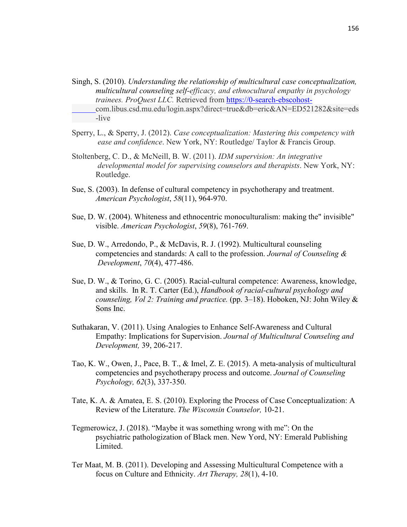- Singh, S. (2010). *Understanding the relationship of multicultural case conceptualization, multicultural counseling self-efficacy, and ethnocultural empathy in psychology trainees. ProQuest LLC.* Retrieved from https://0-search-ebscohostcom.libus.csd.mu.edu/login.aspx?direct=true&db=eric&AN=ED521282&site=eds -live
- Sperry, L., & Sperry, J. (2012). *Case conceptualization: Mastering this competency with ease and confidence*. New York, NY: Routledge/ Taylor & Francis Group.
- Stoltenberg, C. D., & McNeill, B. W. (2011). *IDM supervision: An integrative developmental model for supervising counselors and therapists*. New York, NY: Routledge.
- Sue, S. (2003). In defense of cultural competency in psychotherapy and treatment. *American Psychologist*, *58*(11), 964-970.
- Sue, D. W. (2004). Whiteness and ethnocentric monoculturalism: making the" invisible" visible. *American Psychologist*, *59*(8), 761-769.
- Sue, D. W., Arredondo, P., & McDavis, R. J. (1992). Multicultural counseling competencies and standards: A call to the profession. *Journal of Counseling & Development*, *70*(4), 477-486.
- Sue, D. W., & Torino, G. C. (2005). Racial-cultural competence: Awareness, knowledge, and skills. In R. T. Carter (Ed.), *Handbook of racial-cultural psychology and counseling, Vol 2: Training and practice.* (pp. 3–18). Hoboken, NJ: John Wiley & Sons Inc.
- Suthakaran, V. (2011). Using Analogies to Enhance Self-Awareness and Cultural Empathy: Implications for Supervision. *Journal of Multicultural Counseling and Development,* 39, 206-217.
- Tao, K. W., Owen, J., Pace, B. T., & Imel, Z. E. (2015). A meta-analysis of multicultural competencies and psychotherapy process and outcome. *Journal of Counseling Psychology, 62*(3), 337-350.
- Tate, K. A. & Amatea, E. S. (2010). Exploring the Process of Case Conceptualization: A Review of the Literature. *The Wisconsin Counselor,* 10-21.
- Tegmerowicz, J. (2018). "Maybe it was something wrong with me": On the psychiatric pathologization of Black men. New Yord, NY: Emerald Publishing Limited.
- Ter Maat, M. B. (2011). Developing and Assessing Multicultural Competence with a focus on Culture and Ethnicity. *Art Therapy, 28*(1), 4-10.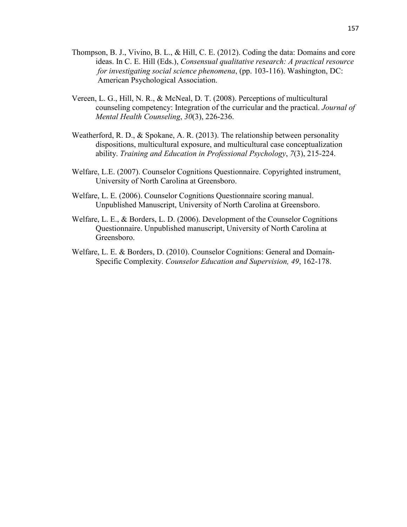- Thompson, B. J., Vivino, B. L., & Hill, C. E. (2012). Coding the data: Domains and core ideas. In C. E. Hill (Eds.), *Consensual qualitative research: A practical resource for investigating social science phenomena*, (pp. 103-116). Washington, DC: American Psychological Association.
- Vereen, L. G., Hill, N. R., & McNeal, D. T. (2008). Perceptions of multicultural counseling competency: Integration of the curricular and the practical. *Journal of Mental Health Counseling*, *30*(3), 226-236.
- Weatherford, R. D., & Spokane, A. R. (2013). The relationship between personality dispositions, multicultural exposure, and multicultural case conceptualization ability. *Training and Education in Professional Psychology*, *7*(3), 215-224.
- Welfare, L.E. (2007). Counselor Cognitions Questionnaire. Copyrighted instrument, University of North Carolina at Greensboro.
- Welfare, L. E. (2006). Counselor Cognitions Questionnaire scoring manual. Unpublished Manuscript, University of North Carolina at Greensboro.
- Welfare, L. E., & Borders, L. D. (2006). Development of the Counselor Cognitions Questionnaire. Unpublished manuscript, University of North Carolina at Greensboro.
- Welfare, L. E. & Borders, D. (2010). Counselor Cognitions: General and Domain-Specific Complexity. *Counselor Education and Supervision, 49*, 162-178.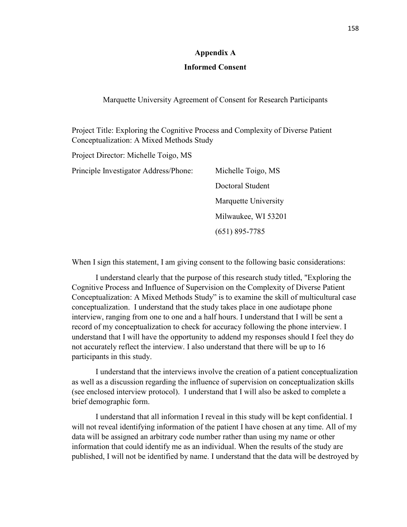#### **Appendix A**

### **Informed Consent**

Marquette University Agreement of Consent for Research Participants

Project Title: Exploring the Cognitive Process and Complexity of Diverse Patient Conceptualization: A Mixed Methods Study

Project Director: Michelle Toigo, MS Principle Investigator Address/Phone: Michelle Toigo, MS Doctoral Student Marquette University Milwaukee, WI 53201 (651) 895-7785

When I sign this statement, I am giving consent to the following basic considerations:

I understand clearly that the purpose of this research study titled, "Exploring the Cognitive Process and Influence of Supervision on the Complexity of Diverse Patient Conceptualization: A Mixed Methods Study" is to examine the skill of multicultural case conceptualization. I understand that the study takes place in one audiotape phone interview, ranging from one to one and a half hours. I understand that I will be sent a record of my conceptualization to check for accuracy following the phone interview. I understand that I will have the opportunity to addend my responses should I feel they do not accurately reflect the interview. I also understand that there will be up to 16 participants in this study.

I understand that the interviews involve the creation of a patient conceptualization as well as a discussion regarding the influence of supervision on conceptualization skills (see enclosed interview protocol). I understand that I will also be asked to complete a brief demographic form.

I understand that all information I reveal in this study will be kept confidential. I will not reveal identifying information of the patient I have chosen at any time. All of my data will be assigned an arbitrary code number rather than using my name or other information that could identify me as an individual. When the results of the study are published, I will not be identified by name. I understand that the data will be destroyed by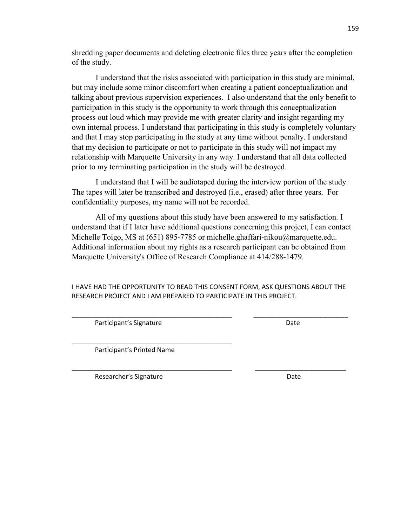shredding paper documents and deleting electronic files three years after the completion of the study.

I understand that the risks associated with participation in this study are minimal, but may include some minor discomfort when creating a patient conceptualization and talking about previous supervision experiences. I also understand that the only benefit to participation in this study is the opportunity to work through this conceptualization process out loud which may provide me with greater clarity and insight regarding my own internal process. I understand that participating in this study is completely voluntary and that I may stop participating in the study at any time without penalty. I understand that my decision to participate or not to participate in this study will not impact my relationship with Marquette University in any way. I understand that all data collected prior to my terminating participation in the study will be destroyed.

I understand that I will be audiotaped during the interview portion of the study. The tapes will later be transcribed and destroyed (i.e., erased) after three years. For confidentiality purposes, my name will not be recorded.

All of my questions about this study have been answered to my satisfaction. I understand that if I later have additional questions concerning this project, I can contact Michelle Toigo, MS at (651) 895-7785 or michelle.ghaffari-nikou@marquette.edu. Additional information about my rights as a research participant can be obtained from Marquette University's Office of Research Compliance at 414/288-1479.

I HAVE HAD THE OPPORTUNITY TO READ THIS CONSENT FORM, ASK QUESTIONS ABOUT THE RESEARCH PROJECT AND I AM PREPARED TO PARTICIPATE IN THIS PROJECT.

\_\_\_\_\_\_\_\_\_\_\_\_\_\_\_\_\_\_\_\_\_\_\_\_\_\_\_\_\_\_\_\_\_\_\_\_\_\_\_\_\_\_\_\_ \_\_\_\_\_\_\_\_\_\_\_\_\_\_\_\_\_\_\_\_\_\_\_\_\_\_

\_\_\_\_\_\_\_\_\_\_\_\_\_\_\_\_\_\_\_\_\_\_\_\_\_\_\_\_\_\_\_\_\_\_\_\_\_\_\_\_\_\_\_\_ \_\_\_\_\_\_\_\_\_\_\_\_\_\_\_\_\_\_\_\_\_\_\_\_\_

Participant's Signature Date Date

Participant's Printed Name

\_\_\_\_\_\_\_\_\_\_\_\_\_\_\_\_\_\_\_\_\_\_\_\_\_\_\_\_\_\_\_\_\_\_\_\_\_\_\_\_\_\_\_\_

Researcher's Signature **Date** Date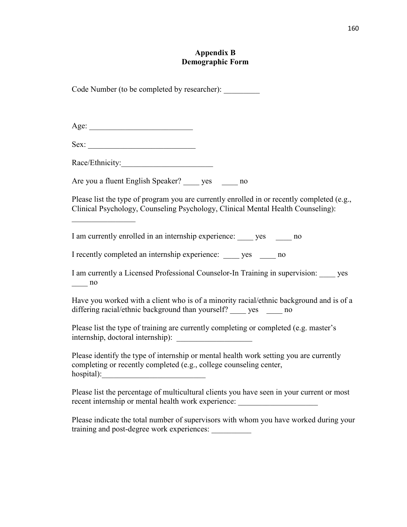### **Appendix B Demographic Form**

Code Number (to be completed by researcher):

Sex:

 $\frac{1}{2}$  ,  $\frac{1}{2}$  ,  $\frac{1}{2}$  ,  $\frac{1}{2}$  ,  $\frac{1}{2}$  ,  $\frac{1}{2}$  ,  $\frac{1}{2}$ 

Race/Ethnicity:\_\_\_\_\_\_\_\_\_\_\_\_\_\_\_\_\_\_\_\_\_\_\_

Are you a fluent English Speaker? ves ho

Please list the type of program you are currently enrolled in or recently completed (e.g., Clinical Psychology, Counseling Psychology, Clinical Mental Health Counseling):

I am currently enrolled in an internship experience: yes ho

I recently completed an internship experience: yes ho

I am currently a Licensed Professional Counselor-In Training in supervision: \_\_\_\_ yes  $\frac{1}{2}$  no

Have you worked with a client who is of a minority racial/ethnic background and is of a differing racial/ethnic background than yourself? \_\_\_\_\_ yes \_\_\_\_\_\_ no

Please list the type of training are currently completing or completed (e.g. master's internship, doctoral internship):

Please identify the type of internship or mental health work setting you are currently completing or recently completed (e.g., college counseling center, hospital):

Please list the percentage of multicultural clients you have seen in your current or most recent internship or mental health work experience:

Please indicate the total number of supervisors with whom you have worked during your training and post-degree work experiences: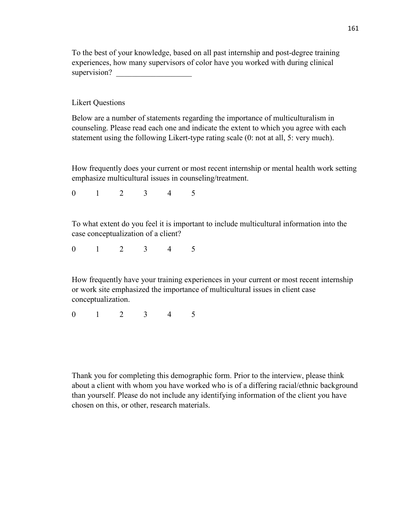To the best of your knowledge, based on all past internship and post-degree training experiences, how many supervisors of color have you worked with during clinical supervision?

Likert Questions

Below are a number of statements regarding the importance of multiculturalism in counseling. Please read each one and indicate the extent to which you agree with each statement using the following Likert-type rating scale (0: not at all, 5: very much).

How frequently does your current or most recent internship or mental health work setting emphasize multicultural issues in counseling/treatment.

0 1 2 3 4 5

To what extent do you feel it is important to include multicultural information into the case conceptualization of a client?

0 1 2 3 4 5

How frequently have your training experiences in your current or most recent internship or work site emphasized the importance of multicultural issues in client case conceptualization.

0 1 2 3 4 5

Thank you for completing this demographic form. Prior to the interview, please think about a client with whom you have worked who is of a differing racial/ethnic background than yourself. Please do not include any identifying information of the client you have chosen on this, or other, research materials.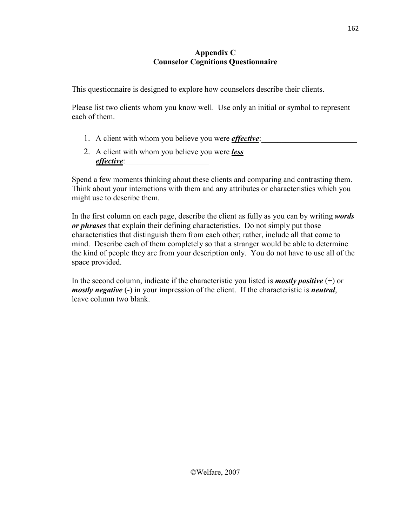### **Appendix C Counselor Cognitions Questionnaire**

This questionnaire is designed to explore how counselors describe their clients.

Please list two clients whom you know well. Use only an initial or symbol to represent each of them.

- 1. A client with whom you believe you were *effective*:
- 2. A client with whom you believe you were *less effective*:

Spend a few moments thinking about these clients and comparing and contrasting them. Think about your interactions with them and any attributes or characteristics which you might use to describe them.

In the first column on each page, describe the client as fully as you can by writing *words or phrases* that explain their defining characteristics. Do not simply put those characteristics that distinguish them from each other; rather, include all that come to mind. Describe each of them completely so that a stranger would be able to determine the kind of people they are from your description only. You do not have to use all of the space provided.

In the second column, indicate if the characteristic you listed is *mostly positive* (+) or *mostly negative* (-) in your impression of the client. If the characteristic is *neutral*, leave column two blank.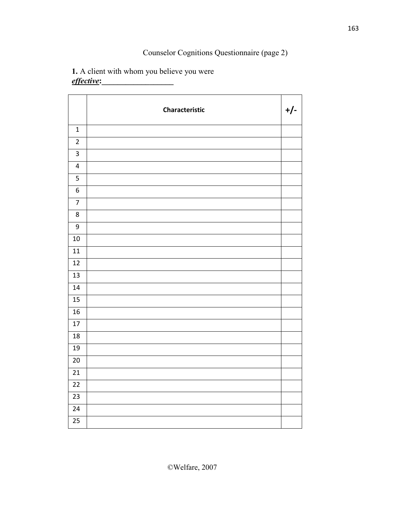# Counselor Cognitions Questionnaire (page 2)

# **1.** A client with whom you believe you were *effective***:\_\_\_\_\_\_\_\_\_\_\_\_\_\_\_\_\_\_**

|                  | Characteristic | $+/-$ |
|------------------|----------------|-------|
| $\mathbf 1$      |                |       |
| $\overline{2}$   |                |       |
| $\mathbf{3}$     |                |       |
| $\pmb{4}$        |                |       |
| 5                |                |       |
| 6                |                |       |
| $\overline{7}$   |                |       |
| $\,8\,$          |                |       |
| $\boldsymbol{9}$ |                |       |
| $10\,$           |                |       |
| 11               |                |       |
| 12               |                |       |
| 13               |                |       |
| $14\,$           |                |       |
| 15               |                |       |
| 16               |                |       |
| $17\,$           |                |       |
| 18               |                |       |
| 19               |                |       |
| $20\,$           |                |       |
| 21               |                |       |
| 22               |                |       |
| 23               |                |       |
| 24               |                |       |
| 25               |                |       |

©Welfare, 2007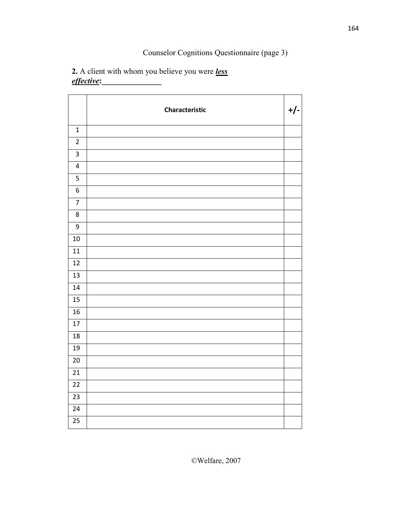# Counselor Cognitions Questionnaire (page 3)

### **2.** A client with whom you believe you were *less effective***:\_\_\_\_\_\_\_\_\_\_\_\_\_\_\_**

|                         | Characteristic | $+/-$ |
|-------------------------|----------------|-------|
| $\mathbf 1$             |                |       |
| $\overline{2}$          |                |       |
| $\overline{\mathbf{3}}$ |                |       |
| $\pmb{4}$               |                |       |
| 5                       |                |       |
| $\boldsymbol{6}$        |                |       |
| $\overline{7}$          |                |       |
| $\,8\,$                 |                |       |
| $\overline{9}$          |                |       |
| 10                      |                |       |
| 11                      |                |       |
| $\overline{12}$         |                |       |
| 13                      |                |       |
| 14                      |                |       |
| 15                      |                |       |
| 16                      |                |       |
| 17                      |                |       |
| 18                      |                |       |
| 19                      |                |       |
| 20                      |                |       |
| 21                      |                |       |
| $\overline{22}$         |                |       |
| $\overline{23}$         |                |       |
| 24                      |                |       |
| 25                      |                |       |

©Welfare, 2007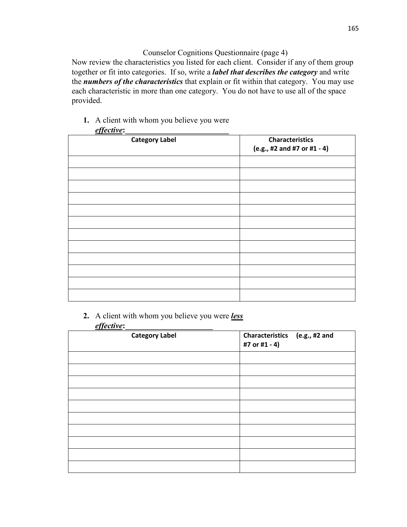### Counselor Cognitions Questionnaire (page 4)

Now review the characteristics you listed for each client. Consider if any of them group together or fit into categories. If so, write a *label that describes the category* and write the *numbers of the characteristics* that explain or fit within that category. You may use each characteristic in more than one category. You do not have to use all of the space provided.

**1.** A client with whom you believe you were

| <b>Category Label</b> | <b>Characteristics</b><br>(e.g., #2 and #7 or #1 - 4) |
|-----------------------|-------------------------------------------------------|
|                       |                                                       |
|                       |                                                       |
|                       |                                                       |
|                       |                                                       |
|                       |                                                       |
|                       |                                                       |
|                       |                                                       |
|                       |                                                       |
|                       |                                                       |
|                       |                                                       |
|                       |                                                       |
|                       |                                                       |

**2.** A client with whom you believe you were *less effective***:\_\_\_\_\_\_\_\_\_\_\_\_\_\_\_\_\_\_\_\_\_\_** 

| <b>Category Label</b> | Characteristics (e.g., #2 and<br>#7 or #1 - 4) |
|-----------------------|------------------------------------------------|
|                       |                                                |
|                       |                                                |
|                       |                                                |
|                       |                                                |
|                       |                                                |
|                       |                                                |
|                       |                                                |
|                       |                                                |
|                       |                                                |
|                       |                                                |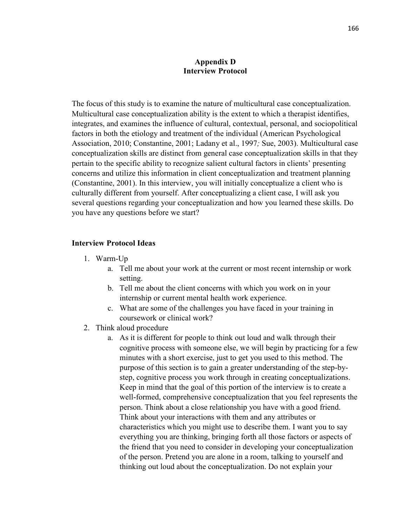### **Appendix D Interview Protocol**

The focus of this study is to examine the nature of multicultural case conceptualization. Multicultural case conceptualization ability is the extent to which a therapist identifies, integrates, and examines the influence of cultural, contextual, personal, and sociopolitical factors in both the etiology and treatment of the individual (American Psychological Association, 2010; Constantine, 2001; Ladany et al., 1997*;* Sue, 2003). Multicultural case conceptualization skills are distinct from general case conceptualization skills in that they pertain to the specific ability to recognize salient cultural factors in clients' presenting concerns and utilize this information in client conceptualization and treatment planning (Constantine, 2001). In this interview, you will initially conceptualize a client who is culturally different from yourself. After conceptualizing a client case, I will ask you several questions regarding your conceptualization and how you learned these skills. Do you have any questions before we start?

### **Interview Protocol Ideas**

- 1. Warm-Up
	- a. Tell me about your work at the current or most recent internship or work setting.
	- b. Tell me about the client concerns with which you work on in your internship or current mental health work experience.
	- c. What are some of the challenges you have faced in your training in coursework or clinical work?
- 2. Think aloud procedure
	- a. As it is different for people to think out loud and walk through their cognitive process with someone else, we will begin by practicing for a few minutes with a short exercise, just to get you used to this method. The purpose of this section is to gain a greater understanding of the step-bystep, cognitive process you work through in creating conceptualizations. Keep in mind that the goal of this portion of the interview is to create a well-formed, comprehensive conceptualization that you feel represents the person. Think about a close relationship you have with a good friend. Think about your interactions with them and any attributes or characteristics which you might use to describe them. I want you to say everything you are thinking, bringing forth all those factors or aspects of the friend that you need to consider in developing your conceptualization of the person. Pretend you are alone in a room, talking to yourself and thinking out loud about the conceptualization. Do not explain your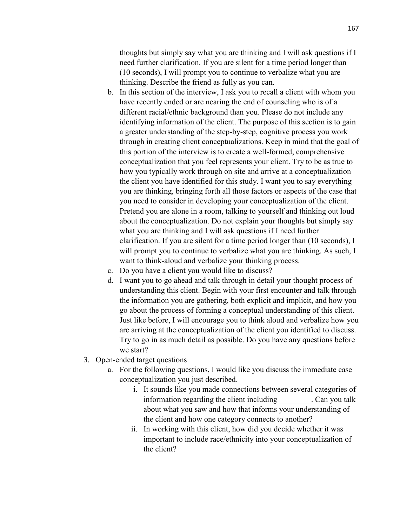thoughts but simply say what you are thinking and I will ask questions if I need further clarification. If you are silent for a time period longer than (10 seconds), I will prompt you to continue to verbalize what you are thinking. Describe the friend as fully as you can.

- b. In this section of the interview, I ask you to recall a client with whom you have recently ended or are nearing the end of counseling who is of a different racial/ethnic background than you. Please do not include any identifying information of the client. The purpose of this section is to gain a greater understanding of the step-by-step, cognitive process you work through in creating client conceptualizations. Keep in mind that the goal of this portion of the interview is to create a well-formed, comprehensive conceptualization that you feel represents your client. Try to be as true to how you typically work through on site and arrive at a conceptualization the client you have identified for this study. I want you to say everything you are thinking, bringing forth all those factors or aspects of the case that you need to consider in developing your conceptualization of the client. Pretend you are alone in a room, talking to yourself and thinking out loud about the conceptualization. Do not explain your thoughts but simply say what you are thinking and I will ask questions if I need further clarification. If you are silent for a time period longer than (10 seconds), I will prompt you to continue to verbalize what you are thinking. As such, I want to think-aloud and verbalize your thinking process.
- c. Do you have a client you would like to discuss?
- d. I want you to go ahead and talk through in detail your thought process of understanding this client. Begin with your first encounter and talk through the information you are gathering, both explicit and implicit, and how you go about the process of forming a conceptual understanding of this client. Just like before, I will encourage you to think aloud and verbalize how you are arriving at the conceptualization of the client you identified to discuss. Try to go in as much detail as possible. Do you have any questions before we start?
- 3. Open-ended target questions
	- a. For the following questions, I would like you discuss the immediate case conceptualization you just described.
		- i. It sounds like you made connections between several categories of information regarding the client including . Can you talk about what you saw and how that informs your understanding of the client and how one category connects to another?
		- ii. In working with this client, how did you decide whether it was important to include race/ethnicity into your conceptualization of the client?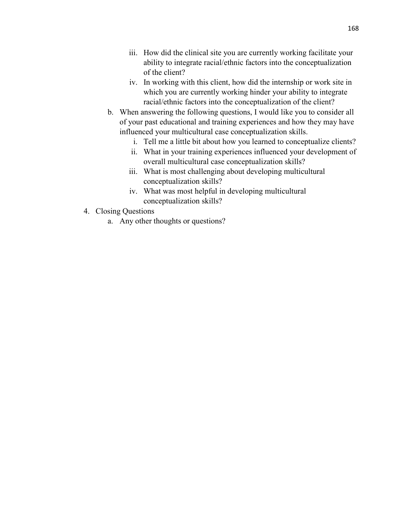- iii. How did the clinical site you are currently working facilitate your ability to integrate racial/ethnic factors into the conceptualization of the client?
- iv. In working with this client, how did the internship or work site in which you are currently working hinder your ability to integrate racial/ethnic factors into the conceptualization of the client?
- b. When answering the following questions, I would like you to consider all of your past educational and training experiences and how they may have influenced your multicultural case conceptualization skills.
	- i. Tell me a little bit about how you learned to conceptualize clients?
	- ii. What in your training experiences influenced your development of overall multicultural case conceptualization skills?
	- iii. What is most challenging about developing multicultural conceptualization skills?
	- iv. What was most helpful in developing multicultural conceptualization skills?
- 4. Closing Questions
	- a. Any other thoughts or questions?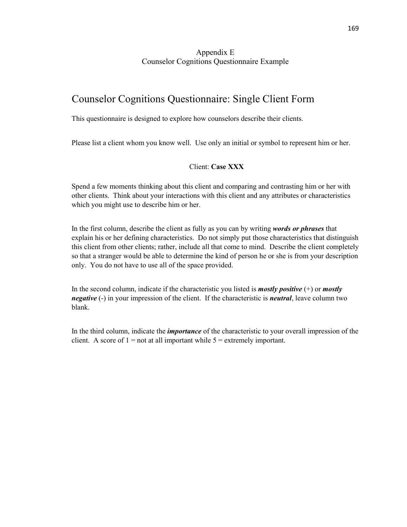### Appendix E Counselor Cognitions Questionnaire Example

# Counselor Cognitions Questionnaire: Single Client Form

This questionnaire is designed to explore how counselors describe their clients.

Please list a client whom you know well. Use only an initial or symbol to represent him or her.

### Client: **Case XXX**

Spend a few moments thinking about this client and comparing and contrasting him or her with other clients. Think about your interactions with this client and any attributes or characteristics which you might use to describe him or her.

In the first column, describe the client as fully as you can by writing *words or phrases* that explain his or her defining characteristics. Do not simply put those characteristics that distinguish this client from other clients; rather, include all that come to mind. Describe the client completely so that a stranger would be able to determine the kind of person he or she is from your description only. You do not have to use all of the space provided.

In the second column, indicate if the characteristic you listed is *mostly positive* (+) or *mostly negative* (-) in your impression of the client. If the characteristic is *neutral*, leave column two blank.

In the third column, indicate the *importance* of the characteristic to your overall impression of the client. A score of  $1 = not$  at all important while  $5 =$  extremely important.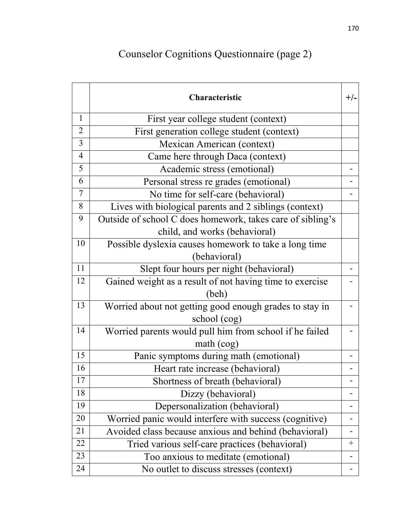## Counselor Cognitions Questionnaire (page 2)

|                | Characteristic                                             | $+/-$ |
|----------------|------------------------------------------------------------|-------|
| $\mathbf{1}$   | First year college student (context)                       |       |
| $\overline{2}$ | First generation college student (context)                 |       |
| $\overline{3}$ | Mexican American (context)                                 |       |
| $\overline{4}$ | Came here through Daca (context)                           |       |
| 5              | Academic stress (emotional)                                |       |
| 6              | Personal stress re grades (emotional)                      |       |
| $\overline{7}$ | No time for self-care (behavioral)                         |       |
| 8              | Lives with biological parents and 2 siblings (context)     |       |
| 9              | Outside of school C does homework, takes care of sibling's |       |
|                | child, and works (behavioral)                              |       |
| 10             | Possible dyslexia causes homework to take a long time      |       |
|                | (behavioral)                                               |       |
| 11             | Slept four hours per night (behavioral)                    |       |
| 12             | Gained weight as a result of not having time to exercise   |       |
|                | (beh)                                                      |       |
| 13             | Worried about not getting good enough grades to stay in    |       |
|                | school (cog)                                               |       |
| 14             | Worried parents would pull him from school if he failed    |       |
|                | math(1)                                                    |       |
| 15             | Panic symptoms during math (emotional)                     |       |
| 16             | Heart rate increase (behavioral)                           |       |
| 17             | Shortness of breath (behavioral)                           |       |
| 18             | Dizzy (behavioral)                                         |       |
| 19             | Depersonalization (behavioral)                             |       |
| 20             | Worried panic would interfere with success (cognitive)     |       |
| 21             | Avoided class because anxious and behind (behavioral)      |       |
| 22             | Tried various self-care practices (behavioral)             |       |
| 23             | Too anxious to meditate (emotional)                        |       |
| 24             | No outlet to discuss stresses (context)                    |       |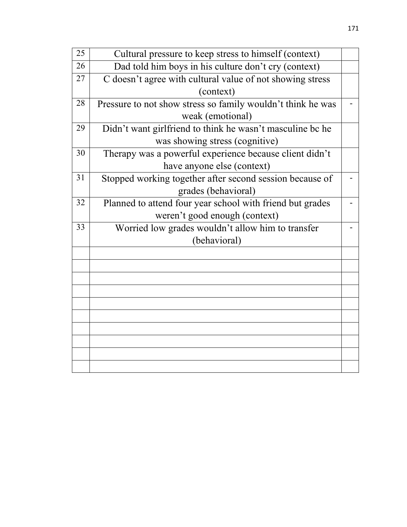| 25 | Cultural pressure to keep stress to himself (context)       |  |  |
|----|-------------------------------------------------------------|--|--|
| 26 | Dad told him boys in his culture don't cry (context)        |  |  |
| 27 | C doesn't agree with cultural value of not showing stress   |  |  |
|    | (context)                                                   |  |  |
| 28 | Pressure to not show stress so family wouldn't think he was |  |  |
|    | weak (emotional)                                            |  |  |
| 29 | Didn't want girlfriend to think he wasn't masculine be he   |  |  |
|    | was showing stress (cognitive)                              |  |  |
| 30 | Therapy was a powerful experience because client didn't     |  |  |
|    | have anyone else (context)                                  |  |  |
| 31 | Stopped working together after second session because of    |  |  |
|    | grades (behavioral)                                         |  |  |
| 32 | Planned to attend four year school with friend but grades   |  |  |
|    | weren't good enough (context)                               |  |  |
| 33 | Worried low grades wouldn't allow him to transfer           |  |  |
|    | (behavioral)                                                |  |  |
|    |                                                             |  |  |
|    |                                                             |  |  |
|    |                                                             |  |  |
|    |                                                             |  |  |
|    |                                                             |  |  |
|    |                                                             |  |  |
|    |                                                             |  |  |
|    |                                                             |  |  |
|    |                                                             |  |  |
|    |                                                             |  |  |